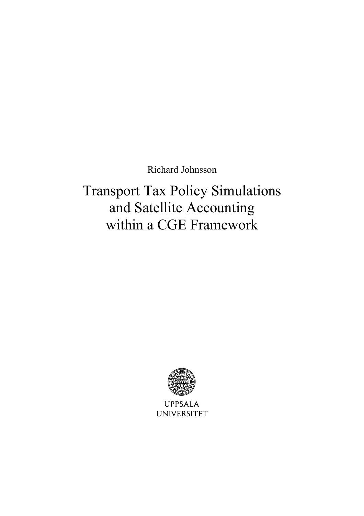Richard Johnsson

Transport Tax Policy Simulations and Satellite Accounting within a CGE Framework



**UPPSALA UNIVERSITET**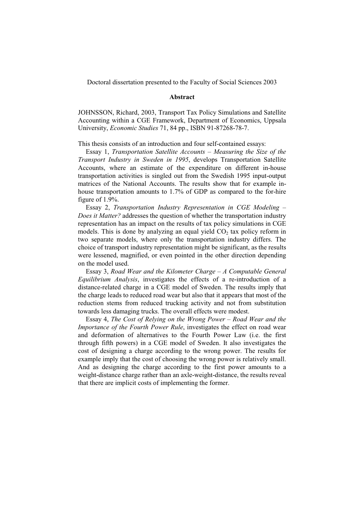Doctoral dissertation presented to the Faculty of Social Sciences 2003

#### **Abstract**

JOHNSSON, Richard, 2003, Transport Tax Policy Simulations and Satellite Accounting within a CGE Framework, Department of Economics, Uppsala University, *Economic Studies* 71, 84 pp., ISBN 91-87268-78-7.

This thesis consists of an introduction and four self-contained essays:

Essay 1, *Transportation Satellite Accounts – Measuring the Size of the Transport Industry in Sweden in 1995*, develops Transportation Satellite Accounts, where an estimate of the expenditure on different in-house transportation activities is singled out from the Swedish 1995 input-output matrices of the National Accounts. The results show that for example inhouse transportation amounts to 1.7% of GDP as compared to the for-hire figure of 1.9%.

Essay 2, *Transportation Industry Representation in CGE Modeling – Does it Matter?* addresses the question of whether the transportation industry representation has an impact on the results of tax policy simulations in CGE models. This is done by analyzing an equal yield  $CO<sub>2</sub>$  tax policy reform in two separate models, where only the transportation industry differs. The choice of transport industry representation might be significant, as the results were lessened, magnified, or even pointed in the other direction depending on the model used.

Essay 3, *Road Wear and the Kilometer Charge – A Computable General Equilibrium Analysis*, investigates the effects of a re-introduction of a distance-related charge in a CGE model of Sweden. The results imply that the charge leads to reduced road wear but also that it appears that most of the reduction stems from reduced trucking activity and not from substitution towards less damaging trucks. The overall effects were modest.

Essay 4, *The Cost of Relying on the Wrong Power – Road Wear and the Importance of the Fourth Power Rule*, investigates the effect on road wear and deformation of alternatives to the Fourth Power Law (i.e. the first through fifth powers) in a CGE model of Sweden. It also investigates the cost of designing a charge according to the wrong power. The results for example imply that the cost of choosing the wrong power is relatively small. And as designing the charge according to the first power amounts to a weight-distance charge rather than an axle-weight-distance, the results reveal that there are implicit costs of implementing the former.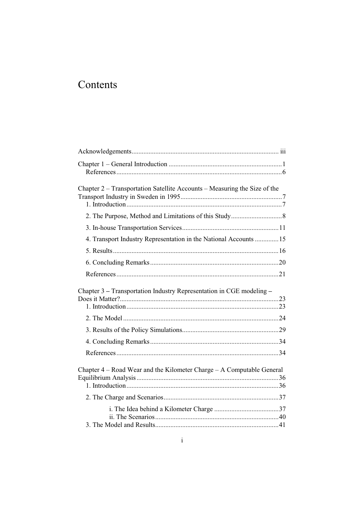# Contents

| Chapter 2 – Transportation Satellite Accounts – Measuring the Size of the |  |
|---------------------------------------------------------------------------|--|
|                                                                           |  |
|                                                                           |  |
| 4. Transport Industry Representation in the National Accounts  15         |  |
|                                                                           |  |
|                                                                           |  |
|                                                                           |  |
| Chapter 3 – Transportation Industry Representation in CGE modeling –      |  |
|                                                                           |  |
|                                                                           |  |
|                                                                           |  |
|                                                                           |  |
| Chapter $4 - Road$ Wear and the Kilometer Charge $- A$ Computable General |  |
|                                                                           |  |
|                                                                           |  |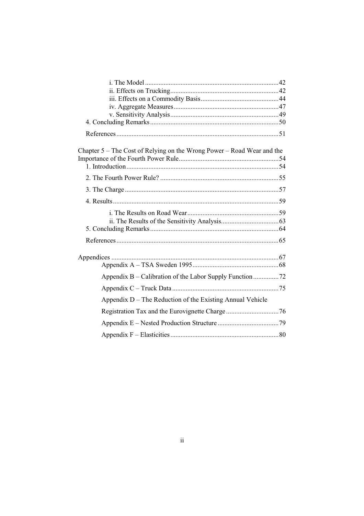| Chapter $5$ – The Cost of Relying on the Wrong Power – Road Wear and the |  |
|--------------------------------------------------------------------------|--|
|                                                                          |  |
|                                                                          |  |
|                                                                          |  |
|                                                                          |  |
|                                                                          |  |
|                                                                          |  |
|                                                                          |  |
|                                                                          |  |
|                                                                          |  |
|                                                                          |  |
|                                                                          |  |
|                                                                          |  |
|                                                                          |  |
|                                                                          |  |
| Appendix D – The Reduction of the Existing Annual Vehicle                |  |
|                                                                          |  |
|                                                                          |  |
|                                                                          |  |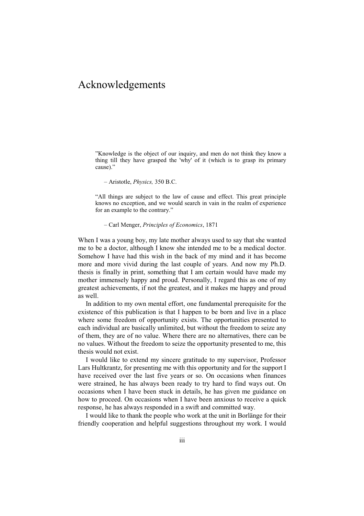## Acknowledgements

"Knowledge is the object of our inquiry, and men do not think they know a thing till they have grasped the 'why' of it (which is to grasp its primary cause)."

– Aristotle, *Physics,* 350 B.C.

"All things are subject to the law of cause and effect. This great principle knows no exception, and we would search in vain in the realm of experience for an example to the contrary."

– Carl Menger, *Principles of Economics*, 1871

When I was a young boy, my late mother always used to say that she wanted me to be a doctor, although I know she intended me to be a medical doctor. Somehow I have had this wish in the back of my mind and it has become more and more vivid during the last couple of years. And now my Ph.D. thesis is finally in print, something that I am certain would have made my mother immensely happy and proud. Personally, I regard this as one of my greatest achievements, if not the greatest, and it makes me happy and proud as well.

In addition to my own mental effort, one fundamental prerequisite for the existence of this publication is that I happen to be born and live in a place where some freedom of opportunity exists. The opportunities presented to each individual are basically unlimited, but without the freedom to seize any of them, they are of no value. Where there are no alternatives, there can be no values. Without the freedom to seize the opportunity presented to me, this thesis would not exist.

I would like to extend my sincere gratitude to my supervisor, Professor Lars Hultkrantz, for presenting me with this opportunity and for the support I have received over the last five years or so. On occasions when finances were strained, he has always been ready to try hard to find ways out. On occasions when I have been stuck in details, he has given me guidance on how to proceed. On occasions when I have been anxious to receive a quick response, he has always responded in a swift and committed way.

I would like to thank the people who work at the unit in Borlänge for their friendly cooperation and helpful suggestions throughout my work. I would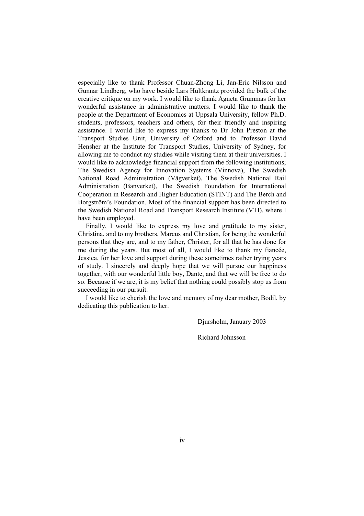especially like to thank Professor Chuan-Zhong Li, Jan-Eric Nilsson and Gunnar Lindberg, who have beside Lars Hultkrantz provided the bulk of the creative critique on my work. I would like to thank Agneta Grummas for her wonderful assistance in administrative matters. I would like to thank the people at the Department of Economics at Uppsala University, fellow Ph.D. students, professors, teachers and others, for their friendly and inspiring assistance. I would like to express my thanks to Dr John Preston at the Transport Studies Unit, University of Oxford and to Professor David Hensher at the Institute for Transport Studies, University of Sydney, for allowing me to conduct my studies while visiting them at their universities. I would like to acknowledge financial support from the following institutions; The Swedish Agency for Innovation Systems (Vinnova), The Swedish National Road Administration (Vägverket), The Swedish National Rail Administration (Banverket), The Swedish Foundation for International Cooperation in Research and Higher Education (STINT) and The Berch and Borgström's Foundation. Most of the financial support has been directed to the Swedish National Road and Transport Research Institute (VTI), where I have been employed.

Finally, I would like to express my love and gratitude to my sister, Christina, and to my brothers, Marcus and Christian, for being the wonderful persons that they are, and to my father, Christer, for all that he has done for me during the years. But most of all, I would like to thank my fiancée, Jessica, for her love and support during these sometimes rather trying years of study. I sincerely and deeply hope that we will pursue our happiness together, with our wonderful little boy, Dante, and that we will be free to do so. Because if we are, it is my belief that nothing could possibly stop us from succeeding in our pursuit.

I would like to cherish the love and memory of my dear mother, Bodil, by dedicating this publication to her.

Djursholm, January 2003

Richard Johnsson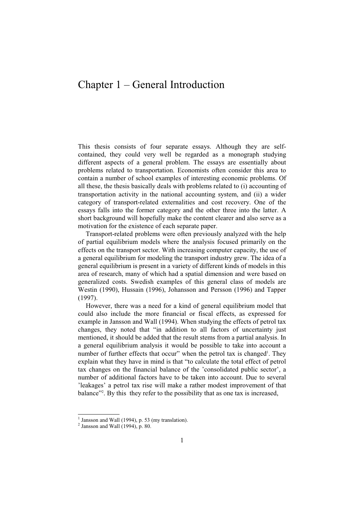## Chapter 1 – General Introduction

This thesis consists of four separate essays. Although they are selfcontained, they could very well be regarded as a monograph studying different aspects of a general problem. The essays are essentially about problems related to transportation. Economists often consider this area to contain a number of school examples of interesting economic problems. Of all these, the thesis basically deals with problems related to (i) accounting of transportation activity in the national accounting system, and (ii) a wider category of transport-related externalities and cost recovery. One of the essays falls into the former category and the other three into the latter. A short background will hopefully make the content clearer and also serve as a motivation for the existence of each separate paper.

Transport-related problems were often previously analyzed with the help of partial equilibrium models where the analysis focused primarily on the effects on the transport sector. With increasing computer capacity, the use of a general equilibrium for modeling the transport industry grew. The idea of a general equilibrium is present in a variety of different kinds of models in this area of research, many of which had a spatial dimension and were based on generalized costs. Swedish examples of this general class of models are Westin (1990), Hussain (1996), Johansson and Persson (1996) and Tapper (1997).

However, there was a need for a kind of general equilibrium model that could also include the more financial or fiscal effects, as expressed for example in Jansson and Wall (1994). When studying the effects of petrol tax changes, they noted that "in addition to all factors of uncertainty just mentioned, it should be added that the result stems from a partial analysis. In a general equilibrium analysis it would be possible to take into account a number of further effects that occur" when the petrol tax is changed<sup>1</sup>. They explain what they have in mind is that "to calculate the total effect of petrol tax changes on the financial balance of the 'consolidated public sector', a number of additional factors have to be taken into account. Due to several 'leakages' a petrol tax rise will make a rather modest improvement of that balance<sup>32</sup>. By this they refer to the possibility that as one tax is increased,

 $\frac{1}{2}$  Jansson and Wall (1994), p. 53 (my translation).

 $<sup>2</sup>$  Jansson and Wall (1994), p. 80.</sup>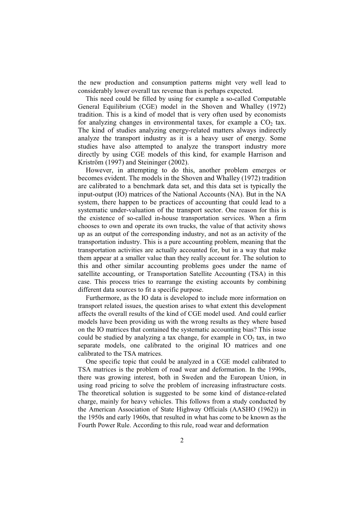the new production and consumption patterns might very well lead to considerably lower overall tax revenue than is perhaps expected.

This need could be filled by using for example a so-called Computable General Equilibrium (CGE) model in the Shoven and Whalley (1972) tradition. This is a kind of model that is very often used by economists for analyzing changes in environmental taxes, for example a  $CO<sub>2</sub>$  tax. The kind of studies analyzing energy-related matters always indirectly analyze the transport industry as it is a heavy user of energy. Some studies have also attempted to analyze the transport industry more directly by using CGE models of this kind, for example Harrison and Kriström (1997) and Steininger (2002).

However, in attempting to do this, another problem emerges or becomes evident. The models in the Shoven and Whalley (1972) tradition are calibrated to a benchmark data set, and this data set is typically the input-output (IO) matrices of the National Accounts (NA). But in the NA system, there happen to be practices of accounting that could lead to a systematic under-valuation of the transport sector. One reason for this is the existence of so-called in-house transportation services. When a firm chooses to own and operate its own trucks, the value of that activity shows up as an output of the corresponding industry, and not as an activity of the transportation industry. This is a pure accounting problem, meaning that the transportation activities are actually accounted for, but in a way that make them appear at a smaller value than they really account for. The solution to this and other similar accounting problems goes under the name of satellite accounting, or Transportation Satellite Accounting (TSA) in this case. This process tries to rearrange the existing accounts by combining different data sources to fit a specific purpose.

Furthermore, as the IO data is developed to include more information on transport related issues, the question arises to what extent this development affects the overall results of the kind of CGE model used. And could earlier models have been providing us with the wrong results as they where based on the IO matrices that contained the systematic accounting bias? This issue could be studied by analyzing a tax change, for example in  $CO<sub>2</sub>$  tax, in two separate models, one calibrated to the original IO matrices and one calibrated to the TSA matrices.

One specific topic that could be analyzed in a CGE model calibrated to TSA matrices is the problem of road wear and deformation. In the 1990s, there was growing interest, both in Sweden and the European Union, in using road pricing to solve the problem of increasing infrastructure costs. The theoretical solution is suggested to be some kind of distance-related charge, mainly for heavy vehicles. This follows from a study conducted by the American Association of State Highway Officials (AASHO (1962)) in the 1950s and early 1960s, that resulted in what has come to be known as the Fourth Power Rule. According to this rule, road wear and deformation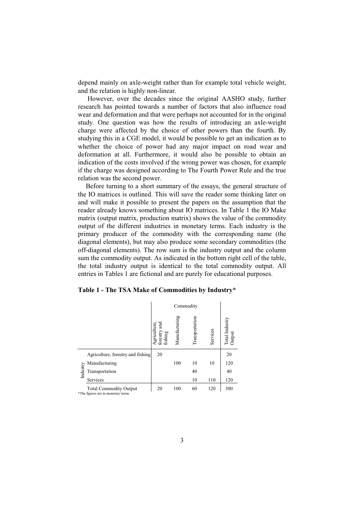depend mainly on axle-weight rather than for example total vehicle weight, and the relation is highly non-linear.

 However, over the decades since the original AASHO study, further research has pointed towards a number of factors that also influence road wear and deformation and that were perhaps not accounted for in the original study. One question was how the results of introducing an axle-weight charge were affected by the choice of other powers than the fourth. By studying this in a CGE model, it would be possible to get an indication as to whether the choice of power had any major impact on road wear and deformation at all. Furthermore, it would also be possible to obtain an indication of the costs involved if the wrong power was chosen, for example if the charge was designed according to The Fourth Power Rule and the true relation was the second power.

Before turning to a short summary of the essays, the general structure of the IO matrices is outlined. This will save the reader some thinking later on and will make it possible to present the papers on the assumption that the reader already knows something about IO matrices. In Table 1 the IO Make matrix (output matrix, production matrix) shows the value of the commodity output of the different industries in monetary terms. Each industry is the primary producer of the commodity with the corresponding name (the diagonal elements), but may also produce some secondary commodities (the off-diagonal elements). The row sum is the industry output and the column sum the commodity output. As indicated in the bottom right cell of the table, the total industry output is identical to the total commodity output. All entries in Tables 1 are fictional and are purely for educational purposes.

**Table 1 - The TSA Make of Commodities by Industry\*** 

|          |                                                                     | Commodity                               |               |                |          |                          |
|----------|---------------------------------------------------------------------|-----------------------------------------|---------------|----------------|----------|--------------------------|
|          |                                                                     | Agriculture,<br>forestry and<br>fishing | Manufacturing | Transportation | Services | Total Industry<br>Output |
|          | Agriculture, forestry and fishing                                   | 20                                      |               |                |          | 20                       |
|          | Manufacturing                                                       |                                         | 100           | 10             | 10       | 120                      |
| Industry | Transportation                                                      |                                         |               | 40             |          | 40                       |
|          | Services                                                            |                                         |               | 10             | 110      | 120                      |
|          | <b>Total Commodity Output</b><br>*The figures are in monetary terms | 20                                      | 100           | 60             | 120      | 300                      |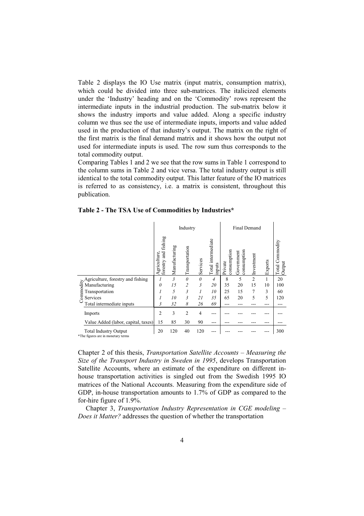Table 2 displays the IO Use matrix (input matrix, consumption matrix), which could be divided into three sub-matrices. The italicized elements under the 'Industry' heading and on the 'Commodity' rows represent the intermediate inputs in the industrial production. The sub-matrix below it shows the industry imports and value added. Along a specific industry column we thus see the use of intermediate inputs, imports and value added used in the production of that industry's output. The matrix on the right of the first matrix is the final demand matrix and it shows how the output not used for intermediate inputs is used. The row sum thus corresponds to the total commodity output.

Comparing Tables 1 and 2 we see that the row sums in Table 1 correspond to the column sums in Table 2 and vice versa. The total industry output is still identical to the total commodity output. This latter feature of the IO matrices is referred to as consistency, i.e. a matrix is consistent, throughout this publication.

|                                                                    |                                           |                | Industry       |          |                               |                        | <b>Final Demand</b>       |                |         |                              |
|--------------------------------------------------------------------|-------------------------------------------|----------------|----------------|----------|-------------------------------|------------------------|---------------------------|----------------|---------|------------------------------|
|                                                                    | fishing<br>Agriculture,<br>forestry and f | Manufacturing  | Transportation | Services | Total intermediate<br>linputs | consumption<br>Private | consumption<br>Government | Investment     | Exports | Commodity<br>Output<br>Total |
| $\geq$ Agriculture, forestry and fishing                           | 1                                         | $\mathfrak{Z}$ | $\theta$       | $\theta$ | $\overline{4}$                | 8                      | 5                         | $\overline{2}$ | 1       | 20                           |
| 与 Manufacturing                                                    | $\theta$                                  | 15             | $\overline{c}$ | 3        | 20                            | 35                     | 20                        | 15             | 10      | 100                          |
| ommo<br>Transportation                                             |                                           | 5              | 3              | 1        | 10                            | 25                     | 15                        | 7              | 3       | 60                           |
| Services                                                           |                                           | 10             | 3              | 21       | 35                            | 65                     | 20                        | 5              | 5       | 120                          |
| Total intermediate inputs                                          | $\overline{\mathbf{3}}$                   | 32             | 8              | 26       | 69                            | ---                    |                           |                |         |                              |
| Imports                                                            | 2                                         | 3              | $\overline{2}$ | 4        |                               |                        |                           |                |         |                              |
| Value Added (labor, capital, taxes)                                | 15                                        | 85             | 30             | 90       | ---                           |                        |                           |                |         |                              |
| <b>Total Industry Output</b><br>*The figures are in monetary terms |                                           | 120            | 40             | 120      |                               |                        |                           |                |         | 300                          |

Chapter 2 of this thesis, *Transportation Satellite Accounts – Measuring the Size of the Transport Industry in Sweden in 1995*, develops Transportation Satellite Accounts, where an estimate of the expenditure on different inhouse transportation activities is singled out from the Swedish 1995 IO matrices of the National Accounts. Measuring from the expenditure side of GDP, in-house transportation amounts to 1.7% of GDP as compared to the for-hire figure of 1.9%.

Chapter 3, *Transportation Industry Representation in CGE modeling – Does it Matter?* addresses the question of whether the transportation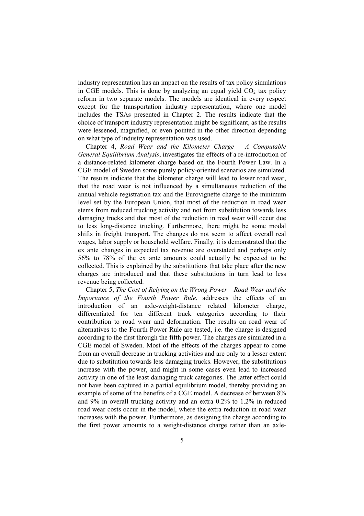industry representation has an impact on the results of tax policy simulations in CGE models. This is done by analyzing an equal yield  $CO<sub>2</sub>$  tax policy reform in two separate models. The models are identical in every respect except for the transportation industry representation, where one model includes the TSAs presented in Chapter 2. The results indicate that the choice of transport industry representation might be significant, as the results were lessened, magnified, or even pointed in the other direction depending on what type of industry representation was used.

Chapter 4, *Road Wear and the Kilometer Charge – A Computable General Equilibrium Analysis*, investigates the effects of a re-introduction of a distance-related kilometer charge based on the Fourth Power Law. In a CGE model of Sweden some purely policy-oriented scenarios are simulated. The results indicate that the kilometer charge will lead to lower road wear, that the road wear is not influenced by a simultaneous reduction of the annual vehicle registration tax and the Eurovignette charge to the minimum level set by the European Union, that most of the reduction in road wear stems from reduced trucking activity and not from substitution towards less damaging trucks and that most of the reduction in road wear will occur due to less long-distance trucking. Furthermore, there might be some modal shifts in freight transport. The changes do not seem to affect overall real wages, labor supply or household welfare. Finally, it is demonstrated that the ex ante changes in expected tax revenue are overstated and perhaps only 56% to 78% of the ex ante amounts could actually be expected to be collected. This is explained by the substitutions that take place after the new charges are introduced and that these substitutions in turn lead to less revenue being collected.

Chapter 5, *The Cost of Relying on the Wrong Power – Road Wear and the Importance of the Fourth Power Rule*, addresses the effects of an introduction of an axle-weight-distance related kilometer charge, differentiated for ten different truck categories according to their contribution to road wear and deformation. The results on road wear of alternatives to the Fourth Power Rule are tested, i.e. the charge is designed according to the first through the fifth power. The charges are simulated in a CGE model of Sweden. Most of the effects of the charges appear to come from an overall decrease in trucking activities and are only to a lesser extent due to substitution towards less damaging trucks. However, the substitutions increase with the power, and might in some cases even lead to increased activity in one of the least damaging truck categories. The latter effect could not have been captured in a partial equilibrium model, thereby providing an example of some of the benefits of a CGE model. A decrease of between 8% and 9% in overall trucking activity and an extra 0.2% to 1.2% in reduced road wear costs occur in the model, where the extra reduction in road wear increases with the power. Furthermore, as designing the charge according to the first power amounts to a weight-distance charge rather than an axle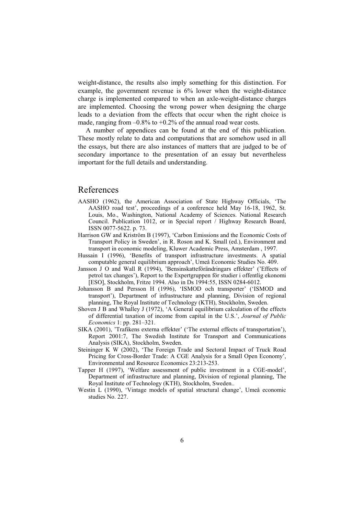weight-distance, the results also imply something for this distinction. For example, the government revenue is 6% lower when the weight-distance charge is implemented compared to when an axle-weight-distance charges are implemented. Choosing the wrong power when designing the charge leads to a deviation from the effects that occur when the right choice is made, ranging from  $-0.8\%$  to  $+0.2\%$  of the annual road wear costs.

A number of appendices can be found at the end of this publication. These mostly relate to data and computations that are somehow used in all the essays, but there are also instances of matters that are judged to be of secondary importance to the presentation of an essay but nevertheless important for the full details and understanding.

#### References

- AASHO (1962), the American Association of State Highway Officials, 'The AASHO road test', proceedings of a conference held May 16-18, 1962, St. Louis, Mo., Washington, National Academy of Sciences. National Research Council. Publication 1012, or in Special report / Highway Research Board, ISSN 0077-5622. p. 73.
- Harrison GW and Kriström B (1997), 'Carbon Emissions and the Economic Costs of Transport Policy in Sweden', in R. Roson and K. Small (ed.), Environment and transport in economic modeling, Kluwer Academic Press, Amsterdam , 1997.
- Hussain I (1996), 'Benefits of transport infrastructure investments. A spatial computable general equilibrium approach', Umeå Economic Studies No. 409.
- Jansson J O and Wall R (1994), 'Bensinskatteförändringars effekter' ('Effects of petrol tax changes'), Report to the Expertgruppen för studier i offentlig ekonomi [ESO], Stockholm, Fritze 1994. Also in Ds 1994:55, ISSN 0284-6012.
- Johansson B and Persson H (1996), 'ISMOD och transporter' ('ISMOD and transport'), Department of infrastructure and planning, Division of regional planning, The Royal Institute of Technology (KTH), Stockholm, Sweden.
- Shoven J B and Whalley J (1972), 'A General equilibrium calculation of the effects of differential taxation of income from capital in the U.S.', *Journal of Public Economics* 1: pp. 281–321.
- SIKA (2001), 'Trafikens externa effekter' ('The external effects of transportation'), Report 2001:7, The Swedish Institute for Transport and Communications Analysis (SIKA), Stockholm, Sweden.
- Steininger K W (2002), 'The Foreign Trade and Sectoral Impact of Truck Road Pricing for Cross-Border Trade: A CGE Analysis for a Small Open Economy', Environmental and Resource Economics 23:213-253.
- Tapper H (1997), 'Welfare assessment of public investment in a CGE-model', Department of infrastructure and planning, Division of regional planning, The Royal Institute of Technology (KTH), Stockholm, Sweden..
- Westin L (1990), 'Vintage models of spatial structural change', Umeå economic studies No. 227.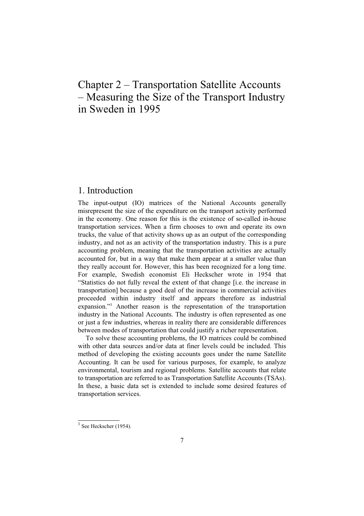# Chapter 2 – Transportation Satellite Accounts – Measuring the Size of the Transport Industry in Sweden in 1995

#### 1. Introduction

The input-output (IO) matrices of the National Accounts generally misrepresent the size of the expenditure on the transport activity performed in the economy. One reason for this is the existence of so-called in-house transportation services. When a firm chooses to own and operate its own trucks, the value of that activity shows up as an output of the corresponding industry, and not as an activity of the transportation industry. This is a pure accounting problem, meaning that the transportation activities are actually accounted for, but in a way that make them appear at a smaller value than they really account for. However, this has been recognized for a long time. For example, Swedish economist Eli Heckscher wrote in 1954 that "Statistics do not fully reveal the extent of that change [i.e. the increase in transportation] because a good deal of the increase in commercial activities proceeded within industry itself and appears therefore as industrial expansion."3 Another reason is the representation of the transportation industry in the National Accounts. The industry is often represented as one or just a few industries, whereas in reality there are considerable differences between modes of transportation that could justify a richer representation.

To solve these accounting problems, the IO matrices could be combined with other data sources and/or data at finer levels could be included. This method of developing the existing accounts goes under the name Satellite Accounting. It can be used for various purposes, for example, to analyze environmental, tourism and regional problems. Satellite accounts that relate to transportation are referred to as Transportation Satellite Accounts (TSAs). In these, a basic data set is extended to include some desired features of transportation services.

 $3$  See Heckscher (1954).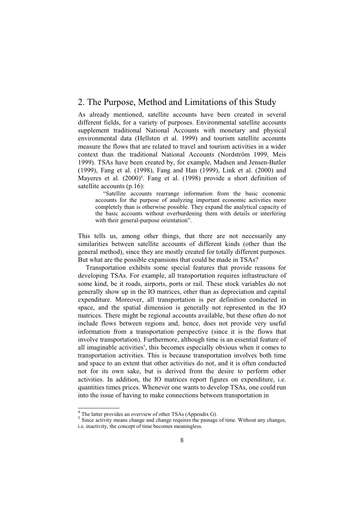#### 2. The Purpose, Method and Limitations of this Study

As already mentioned, satellite accounts have been created in several different fields, for a variety of purposes. Environmental satellite accounts supplement traditional National Accounts with monetary and physical environmental data (Hellsten et al. 1999) and tourism satellite accounts measure the flows that are related to travel and tourism activities in a wider context than the traditional National Accounts (Nordström 1999, Meis 1999). TSAs have been created by, for example, Madsen and Jensen-Butler (1999), Fang et al. (1998), Fang and Han (1999), Link et al. (2000) and Mayeres et al. (2000)<sup>4</sup>. Fang et al. (1998) provide a short definition of satellite accounts (p.16):

"Satellite accounts rearrange information from the basic economic accounts for the purpose of analyzing important economic activities more completely than is otherwise possible. They expand the analytical capacity of the basic accounts without overburdening them with details or interfering with their general-purpose orientation".

This tells us, among other things, that there are not necessarily any similarities between satellite accounts of different kinds (other than the general method), since they are mostly created for totally different purposes. But what are the possible expansions that could be made in TSAs?

Transportation exhibits some special features that provide reasons for developing TSAs. For example, all transportation requires infrastructure of some kind, be it roads, airports, ports or rail. These stock variables do not generally show up in the IO matrices, other than as depreciation and capital expenditure. Moreover, all transportation is per definition conducted in space, and the spatial dimension is generally not represented in the IO matrices. There might be regional accounts available, but these often do not include flows between regions and, hence, does not provide very useful information from a transportation perspective (since it is the flows that involve transportation). Furthermore, although time is an essential feature of all imaginable activities<sup>5</sup>, this becomes especially obvious when it comes to transportation activities. This is because transportation involves both time and space to an extent that other activities do not, and it is often conducted not for its own sake, but is derived from the desire to perform other activities. In addition, the IO matrices report figures on expenditure, i.e. quantities times prices. Whenever one wants to develop TSAs, one could run into the issue of having to make connections between transportation in

 $^{4}_{2}$  The latter provides an overview of other TSAs (Appendix G).

<sup>&</sup>lt;sup>5</sup> Since activity means change and change requires the passage of time. Without any changes, i.e. inactivity, the concept of time becomes meaningless.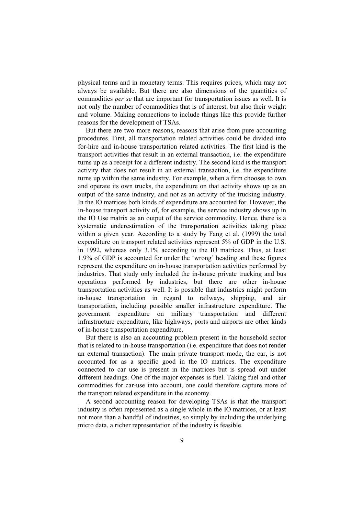physical terms and in monetary terms. This requires prices, which may not always be available. But there are also dimensions of the quantities of commodities *per se* that are important for transportation issues as well. It is not only the number of commodities that is of interest, but also their weight and volume. Making connections to include things like this provide further reasons for the development of TSAs.

But there are two more reasons, reasons that arise from pure accounting procedures. First, all transportation related activities could be divided into for-hire and in-house transportation related activities. The first kind is the transport activities that result in an external transaction, i.e. the expenditure turns up as a receipt for a different industry. The second kind is the transport activity that does not result in an external transaction, i.e. the expenditure turns up within the same industry. For example, when a firm chooses to own and operate its own trucks, the expenditure on that activity shows up as an output of the same industry, and not as an activity of the trucking industry. In the IO matrices both kinds of expenditure are accounted for. However, the in-house transport activity of, for example, the service industry shows up in the IO Use matrix as an output of the service commodity. Hence, there is a systematic underestimation of the transportation activities taking place within a given year. According to a study by Fang et al. (1999) the total expenditure on transport related activities represent 5% of GDP in the U.S. in 1992, whereas only 3.1% according to the IO matrices. Thus, at least 1.9% of GDP is accounted for under the 'wrong' heading and these figures represent the expenditure on in-house transportation activities performed by industries. That study only included the in-house private trucking and bus operations performed by industries, but there are other in-house transportation activities as well. It is possible that industries might perform in-house transportation in regard to railways, shipping, and air transportation, including possible smaller infrastructure expenditure. The government expenditure on military transportation and different infrastructure expenditure, like highways, ports and airports are other kinds of in-house transportation expenditure.

But there is also an accounting problem present in the household sector that is related to in-house transportation (i.e. expenditure that does not render an external transaction). The main private transport mode, the car, is not accounted for as a specific good in the IO matrices. The expenditure connected to car use is present in the matrices but is spread out under different headings. One of the major expenses is fuel. Taking fuel and other commodities for car-use into account, one could therefore capture more of the transport related expenditure in the economy.

A second accounting reason for developing TSAs is that the transport industry is often represented as a single whole in the IO matrices, or at least not more than a handful of industries, so simply by including the underlying micro data, a richer representation of the industry is feasible.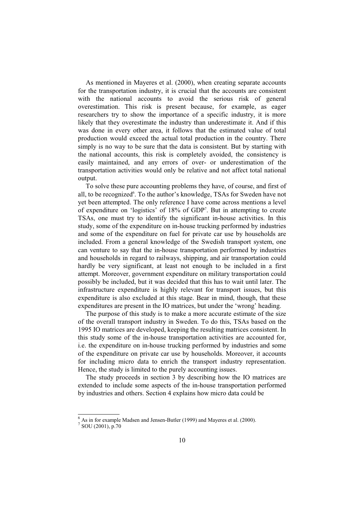As mentioned in Mayeres et al. (2000), when creating separate accounts for the transportation industry, it is crucial that the accounts are consistent with the national accounts to avoid the serious risk of general overestimation. This risk is present because, for example, as eager researchers try to show the importance of a specific industry, it is more likely that they overestimate the industry than underestimate it. And if this was done in every other area, it follows that the estimated value of total production would exceed the actual total production in the country. There simply is no way to be sure that the data is consistent. But by starting with the national accounts, this risk is completely avoided, the consistency is easily maintained, and any errors of over- or underestimation of the transportation activities would only be relative and not affect total national output.

To solve these pure accounting problems they have, of course, and first of all, to be recognized<sup>6</sup>. To the author's knowledge, TSAs for Sweden have not yet been attempted. The only reference I have come across mentions a level of expenditure on 'logistics' of 18% of GDP7 . But in attempting to create TSAs, one must try to identify the significant in-house activities. In this study, some of the expenditure on in-house trucking performed by industries and some of the expenditure on fuel for private car use by households are included. From a general knowledge of the Swedish transport system, one can venture to say that the in-house transportation performed by industries and households in regard to railways, shipping, and air transportation could hardly be very significant, at least not enough to be included in a first attempt. Moreover, government expenditure on military transportation could possibly be included, but it was decided that this has to wait until later. The infrastructure expenditure is highly relevant for transport issues, but this expenditure is also excluded at this stage. Bear in mind, though, that these expenditures are present in the IO matrices, but under the 'wrong' heading.

The purpose of this study is to make a more accurate estimate of the size of the overall transport industry in Sweden. To do this, TSAs based on the 1995 IO matrices are developed, keeping the resulting matrices consistent. In this study some of the in-house transportation activities are accounted for, i.e. the expenditure on in-house trucking performed by industries and some of the expenditure on private car use by households. Moreover, it accounts for including micro data to enrich the transport industry representation. Hence, the study is limited to the purely accounting issues.

The study proceeds in section 3 by describing how the IO matrices are extended to include some aspects of the in-house transportation performed by industries and others. Section 4 explains how micro data could be

 $\frac{6}{7}$  As in for example Madsen and Jensen-Butler (1999) and Mayeres et al. (2000).  $^7$  SOU (2001), p.70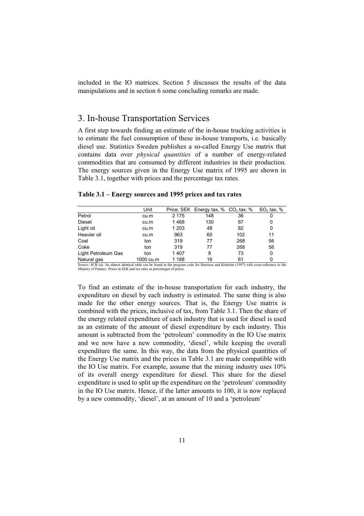included in the IO matrices. Section 5 discusses the results of the data manipulations and in section 6 some concluding remarks are made.

### 3. In-house Transportation Services

A first step towards finding an estimate of the in-house trucking activities is to estimate the fuel consumption of these in-house transports, i.e. basically diesel use. Statistics Sweden publishes a so-called Energy Use matrix that contains data over *physical quantities* of a number of energy-related commodities that are consumed by different industries in their production. The energy sources given in the Energy Use matrix of 1995 are shown in Table 3.1, together with prices and the percentage tax rates.

**Table 3.1 – Energy sources and 1995 prices and tax rates** 

|                     | Unit      |         | Price, SEK Energy tax, $%$ CO <sub>2</sub> tax, $%$ |     | SO <sub>2</sub> tax, $%$ |
|---------------------|-----------|---------|-----------------------------------------------------|-----|--------------------------|
| Petrol              | cu.m      | 2 1 7 5 | 148                                                 | 36  |                          |
| <b>Diesel</b>       | cu.m      | 1468    | 130                                                 | 67  | 0                        |
| Light oil           | cu.m      | 1 203   | 48                                                  | 82  | 0                        |
| Heavier oil         | cu.m      | 963     | 60                                                  | 102 | 11                       |
| Coal                | ton       | 319     | 77                                                  | 268 | 56                       |
| Coke                | ton       | 319     | 77                                                  | 268 | 56                       |
| Light Petroleum Gas | ton       | 1407    | 8                                                   | 73  | 0                        |
| Natural gas         | 1000 cu.m | 1 188   | 16                                                  | 61  |                          |

Source: SCB (a). An almost identical table can be found in the program code for Harrison and Kriström (1997) with cross-reference to the Ministry of Finance. Prices in SEK and tax rates as percentages of prices.

To find an estimate of the in-house transportation for each industry, the expenditure on diesel by each industry is estimated. The same thing is also made for the other energy sources. That is, the Energy Use matrix is combined with the prices, inclusive of tax, from Table 3.1. Then the share of the energy related expenditure of each industry that is used for diesel is used as an estimate of the amount of diesel expenditure by each industry. This amount is subtracted from the 'petroleum' commodity in the IO Use matrix and we now have a new commodity, 'diesel', while keeping the overall expenditure the same. In this way, the data from the physical quantities of the Energy Use matrix and the prices in Table 3.1 are made compatible with the IO Use matrix. For example, assume that the mining industry uses 10% of its overall energy expenditure for diesel. This share for the diesel expenditure is used to split up the expenditure on the 'petroleum' commodity in the IO Use matrix. Hence, if the latter amounts to 100, it is now replaced by a new commodity, 'diesel', at an amount of 10 and a 'petroleum'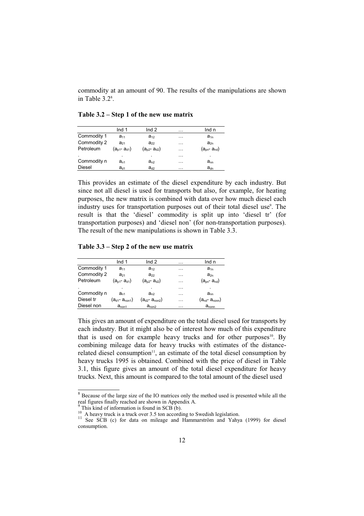commodity at an amount of 90. The results of the manipulations are shown in Table  $3.2^{\circ}$ .

**Table 3.2 – Step 1 of the new use matrix** 

|                | Ind $1$             | Ind $2$             | . | Ind n               |
|----------------|---------------------|---------------------|---|---------------------|
| Commodity 1    | $a_{11}$            | $a_{12}$            | . | $a_{1n}$            |
| Commodity 2    | $a_{21}$            | $a_{22}$            | . | $a_{2n}$            |
| Petroleum      | $(a_{p1} - a_{q1})$ | $(a_{p2} - a_{q2})$ | . | $(a_{pn} - a_{nd})$ |
| $\blacksquare$ | ٠                   | ٠                   | . | ٠                   |
| Commodity n    | $a_{n1}$            | $a_{n2}$            | . | $a_{nn}$            |
| <b>Diesel</b>  | $a_{d1}$            | $a_{d2}$            | . | $a_{dn}$            |

This provides an estimate of the diesel expenditure by each industry. But since not all diesel is used for transports but also, for example, for heating purposes, the new matrix is combined with data over how much diesel each industry uses for transportation purposes out of their total diesel use<sup>9</sup>. The result is that the 'diesel' commodity is split up into 'diesel tr' (for transportation purposes) and 'diesel non' (for non-transportation purposes). The result of the new manipulations is shown in Table 3.3.

**Table 3.3 – Step 2 of the new use matrix** 

|             | Ind 1                 | Ind $2$               | $\cdot$  | Ind n                               |
|-------------|-----------------------|-----------------------|----------|-------------------------------------|
| Commodity 1 | $a_{11}$              | $a_{12}$              | .        | $a_{1n}$                            |
| Commodity 2 | $a_{21}$              | $a_{22}$              | .        | $a_{2n}$                            |
| Petroleum   | $(a_{p1}$ - $a_{q1})$ | $(a_{p2} - a_{q2})$   | .        | $(a_{\text{on}}$ - $a_{\text{nd}})$ |
|             |                       |                       | .        |                                     |
| Commodity n | $a_{n1}$              | $a_{n2}$              | .        | $a_{nn}$                            |
| Diesel tr   | $(a_{d1} - a_{non1})$ | $(a_{d2} - a_{non2})$ | $\cdots$ | $(a_{nd}$ - $a_{nom}$               |
| Diesel non  | $a_{\text{non1}}$     | $a_{\text{non2}}$     | .        | $a_{\text{nonn}}$                   |
|             |                       |                       |          |                                     |

This gives an amount of expenditure on the total diesel used for transports by each industry. But it might also be of interest how much of this expenditure that is used on for example heavy trucks and for other purposes $10$ . By combining mileage data for heavy trucks with estimates of the distancerelated diesel consumption $11$ , an estimate of the total diesel consumption by heavy trucks 1995 is obtained. Combined with the price of diesel in Table 3.1, this figure gives an amount of the total diesel expenditure for heavy trucks. Next, this amount is compared to the total amount of the diesel used

 $8$  Because of the large size of the IO matrices only the method used is presented while all the real figures finally reached are shown in Appendix A.

This kind of information is found in SCB (b).

<sup>&</sup>lt;sup>10</sup> A heavy truck is a truck over 3.5 ton according to Swedish legislation.<br><sup>11</sup> See SCB (c) for data on mileage and Hammarström and Yahya (1999) for diesel consumption.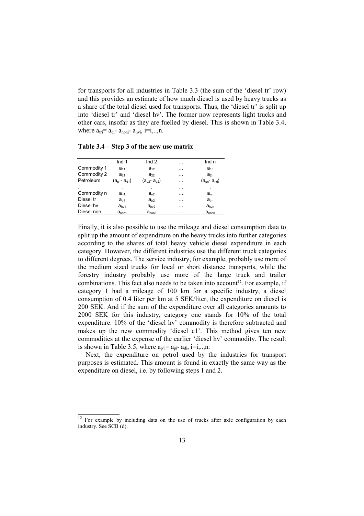for transports for all industries in Table 3.3 (the sum of the 'diesel tr' row) and this provides an estimate of how much diesel is used by heavy trucks as a share of the total diesel used for transports. Thus, the 'diesel tr' is split up into 'diesel tr' and 'diesel hv'. The former now represents light trucks and other cars, insofar as they are fuelled by diesel. This is shown in Table 3.4, where  $a_{\text{tri}} = a_{\text{di}} - a_{\text{noni}} - a_{\text{hvi}}$ , i=i,..,n.

**Table 3.4 – Step 3 of the new use matrix** 

|             | Ind $1$             | Ind <sub>2</sub>    | . | Ind n               |
|-------------|---------------------|---------------------|---|---------------------|
| Commodity 1 | $a_{11}$            | $a_{12}$            | . | $a_{1n}$            |
| Commodity 2 | $a_{21}$            | $a_{22}$            | . | $a_{2n}$            |
| Petroleum   | $(a_{p1} - a_{d1})$ | $(a_{p2} - a_{q2})$ | . | $(a_{pn} - a_{nd})$ |
|             |                     |                     | . |                     |
| Commodity n | $a_{n1}$            | $a_{n2}$            | . | $a_{nn}$            |
| Diesel tr   | $a_{\text{tr1}}$    | $a_{tr2}$           | . | $a_{\text{trn}}$    |
| Diesel hv   | $a_{hv1}$           | $a_{hv2}$           | . | $a_{\text{hvn}}$    |
| Diesel non  | $a_{\text{non1}}$   | $a_{\text{non2}}$   | . | $a_{\text{nonn}}$   |

Finally, it is also possible to use the mileage and diesel consumption data to split up the amount of expenditure on the heavy trucks into further categories according to the shares of total heavy vehicle diesel expenditure in each category. However, the different industries use the different truck categories to different degrees. The service industry, for example, probably use more of the medium sized trucks for local or short distance transports, while the forestry industry probably use more of the large truck and trailer combinations. This fact also needs to be taken into account<sup>12</sup>. For example, if category 1 had a mileage of 100 km for a specific industry, a diesel consumption of 0.4 liter per km at 5 SEK/liter, the expenditure on diesel is 200 SEK. And if the sum of the expenditure over all categories amounts to 2000 SEK for this industry, category one stands for 10% of the total expenditure. 10% of the 'diesel hv' commodity is therefore subtracted and makes up the new commodity 'diesel c1'. This method gives ten new commodities at the expense of the earlier 'diesel hv' commodity. The result is shown in Table 3.5, where  $a_{n,i} = a_{ni} - a_{di}$ , i=i,..,n.

Next, the expenditure on petrol used by the industries for transport purposes is estimated. This amount is found in exactly the same way as the expenditure on diesel, i.e. by following steps 1 and 2.

 $\frac{12}{12}$  For example by including data on the use of trucks after axle configuration by each industry. See SCB (d).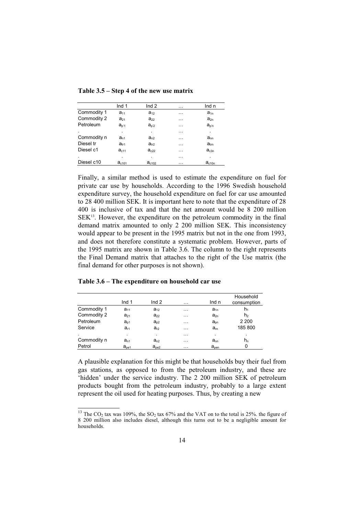| Table 3.5 – Step 4 of the new use matrix |  |  |  |  |  |
|------------------------------------------|--|--|--|--|--|
|------------------------------------------|--|--|--|--|--|

|                | Ind $1$           | Ind $2$           | .        | Ind n            |
|----------------|-------------------|-------------------|----------|------------------|
| Commodity 1    | $a_{11}$          | $a_{12}$          | $\cdots$ | $a_{1n}$         |
| Commodity 2    | $a_{21}$          | $a_{22}$          | .        | $a_{2n}$         |
| Petroleum      | $a_{p'1}$         | $a_{p2}$          | .        | $a_{p'n}$        |
| ٠              | ٠                 | ٠                 | .        |                  |
| Commodity n    | $a_{n1}$          | $a_{n2}$          | .        | $a_{nn}$         |
| Diesel tr      | $a_{tr1}$         | $a_{tr2}$         | .        | $a_{\text{trn}}$ |
| Diesel c1      | a <sub>c11</sub>  | $a_{c22}$         | .        | $a_{c3n}$        |
| $\blacksquare$ | ٠                 | ٠                 | .        | ٠                |
| Diesel c10     | a <sub>c101</sub> | a <sub>c102</sub> | .        | $a_{c10n}$       |

Finally, a similar method is used to estimate the expenditure on fuel for private car use by households. According to the 1996 Swedish household expenditure survey, the household expenditure on fuel for car use amounted to 28 400 million SEK. It is important here to note that the expenditure of 28 400 is inclusive of tax and that the net amount would be 8 200 million SEK13. However, the expenditure on the petroleum commodity in the final demand matrix amounted to only 2 200 million SEK. This inconsistency would appear to be present in the 1995 matrix but not in the one from 1993, and does not therefore constitute a systematic problem. However, parts of the 1995 matrix are shown in Table 3.6. The column to the right represents the Final Demand matrix that attaches to the right of the Use matrix (the final demand for other purposes is not shown).

|             | Ind $1$          | Ind $2$   | $\cdots$ | Ind n            | Household<br>consumption |
|-------------|------------------|-----------|----------|------------------|--------------------------|
| Commodity 1 | $a_{11}$         | $a_{12}$  | $\cdots$ | $a_{1n}$         | h <sub>1</sub>           |
| Commodity 2 | $a_{21}$         | $a_{22}$  | $\cdots$ | $a_{2n}$         | h <sub>2</sub>           |
| Petroleum   | $a_{p1}$         | $a_{p2}$  | $\cdots$ | $a_{\rm pn}$     | 2 2 0 0                  |
| Service     | $a_{r1}$         | $a_{r2}$  | $\cdots$ | $a_{m}$          | 185 800                  |
|             | ٠                | ٠         | $\cdots$ | ٠                |                          |
| Commodity n | $a_{n1}$         | $a_{n2}$  | .        | $a_{nn}$         | h <sub>n</sub>           |
| Petrol      | $a_{\text{pe1}}$ | $a_{pe2}$ | $\cdots$ | a <sub>pen</sub> | 0                        |

**Table 3.6 – The expenditure on household car use** 

A plausible explanation for this might be that households buy their fuel from gas stations, as opposed to from the petroleum industry, and these are 'hidden' under the service industry. The 2 200 million SEK of petroleum products bought from the petroleum industry, probably to a large extent represent the oil used for heating purposes. Thus, by creating a new

<sup>&</sup>lt;sup>13</sup> The CO<sub>2</sub> tax was 109%, the SO<sub>2</sub> tax 67% and the VAT on to the total is 25%. the figure of 8 200 million also includes diesel, although this turns out to be a negligible amount for households.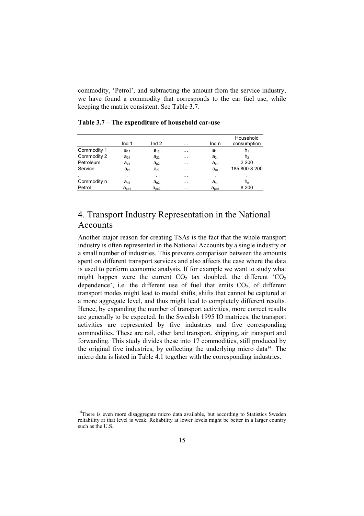commodity, 'Petrol', and subtracting the amount from the service industry, we have found a commodity that corresponds to the car fuel use, while keeping the matrix consistent. See Table 3.7.

|             | Ind $1$          | Ind $2$          | $\cdots$ | Ind n            | Household<br>consumption |
|-------------|------------------|------------------|----------|------------------|--------------------------|
| Commodity 1 | $a_{11}$         | $a_{12}$         | $\cdots$ | $a_{1n}$         | h,                       |
| Commodity 2 | $a_{21}$         | $a_{22}$         | $\cdots$ | $a_{2n}$         | h <sub>2</sub>           |
| Petroleum   | $a_{p1}$         | $a_{p2}$         | $\cdots$ | $a_{\text{on}}$  | 2 2 0 0                  |
| Service     | $a_{r1}$         | $a_{r2}$         | $\cdots$ | $a_{m}$          | 185 800-8 200            |
|             | ٠                |                  | $\cdots$ | ٠                | $\cdot$                  |
| Commodity n | $a_{n1}$         | $a_{n2}$         | $\cdots$ | $a_{nn}$         | $h_n$                    |
| Petrol      | $a_{\text{pe1}}$ | $a_{\text{pe2}}$ | $\cdots$ | a <sub>pen</sub> | 8 2 0 0                  |

**Table 3.7 – The expenditure of household car-use** 

## 4. Transport Industry Representation in the National Accounts

Another major reason for creating TSAs is the fact that the whole transport industry is often represented in the National Accounts by a single industry or a small number of industries. This prevents comparison between the amounts spent on different transport services and also affects the case where the data is used to perform economic analysis. If for example we want to study what might happen were the current  $CO<sub>2</sub>$  tax doubled, the different  $^{\circ}CO_{2}$ dependence', i.e. the different use of fuel that emits  $CO<sub>2</sub>$ , of different transport modes might lead to modal shifts, shifts that cannot be captured at a more aggregate level, and thus might lead to completely different results. Hence, by expanding the number of transport activities, more correct results are generally to be expected. In the Swedish 1995 IO matrices, the transport activities are represented by five industries and five corresponding commodities. These are rail, other land transport, shipping, air transport and forwarding. This study divides these into 17 commodities, still produced by the original five industries, by collecting the underlying micro data $14$ . The micro data is listed in Table 4.1 together with the corresponding industries.

<sup>&</sup>lt;sup>14</sup>There is even more disaggregate micro data available, but according to Statistics Sweden reliability at that level is weak. Reliability at lower levels might be better in a larger country such as the U.S..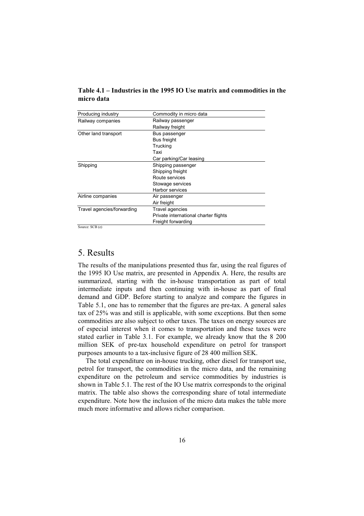| Producing industry         | Commodity in micro data               |
|----------------------------|---------------------------------------|
| Railway companies          | Railway passenger                     |
|                            | Railway freight                       |
| Other land transport       | Bus passenger                         |
|                            | Bus freight                           |
|                            | Trucking                              |
|                            | Taxi                                  |
|                            | Car parking/Car leasing               |
| Shipping                   | Shipping passenger                    |
|                            | Shipping freight                      |
|                            | Route services                        |
|                            | Stowage services                      |
|                            | Harbor services                       |
| Airline companies          | Air passenger                         |
|                            | Air freight                           |
| Travel agencies/forwarding | Travel agencies                       |
|                            | Private international charter flights |
|                            | Freight forwarding                    |
| SourceCPR(a)               |                                       |

**Table 4.1 – Industries in the 1995 IO Use matrix and commodities in the micro data** 

Source: SCB (e)

## 5. Results

The results of the manipulations presented thus far, using the real figures of the 1995 IO Use matrix, are presented in Appendix A. Here, the results are summarized, starting with the in-house transportation as part of total intermediate inputs and then continuing with in-house as part of final demand and GDP. Before starting to analyze and compare the figures in Table 5.1, one has to remember that the figures are pre-tax. A general sales tax of 25% was and still is applicable, with some exceptions. But then some commodities are also subject to other taxes. The taxes on energy sources are of especial interest when it comes to transportation and these taxes were stated earlier in Table 3.1. For example, we already know that the 8 200 million SEK of pre-tax household expenditure on petrol for transport purposes amounts to a tax-inclusive figure of 28 400 million SEK.

The total expenditure on in-house trucking, other diesel for transport use, petrol for transport, the commodities in the micro data, and the remaining expenditure on the petroleum and service commodities by industries is shown in Table 5.1. The rest of the IO Use matrix corresponds to the original matrix. The table also shows the corresponding share of total intermediate expenditure. Note how the inclusion of the micro data makes the table more much more informative and allows richer comparison.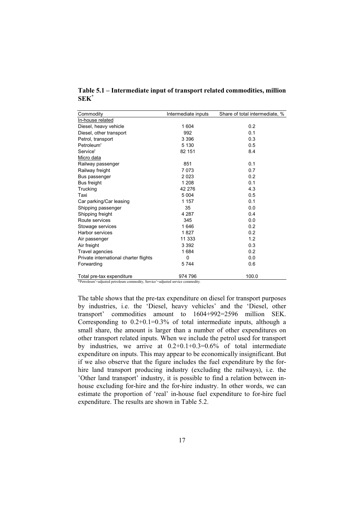| Commodity                                                                      | Intermediate inputs | Share of total intermediate, % |  |  |  |
|--------------------------------------------------------------------------------|---------------------|--------------------------------|--|--|--|
| In-house related                                                               |                     |                                |  |  |  |
| Diesel, heavy vehicle                                                          | 1 604               | 0.2                            |  |  |  |
| Diesel, other transport                                                        | 992                 | 0.1                            |  |  |  |
| Petrol, transport                                                              | 3 3 9 6             | 0.3                            |  |  |  |
| Petroleum'                                                                     | 5 1 3 0             | 0.5                            |  |  |  |
| Service'                                                                       | 82 151              | 8.4                            |  |  |  |
| Micro data                                                                     |                     |                                |  |  |  |
| Railway passenger                                                              | 851                 | 0.1                            |  |  |  |
| Railway freight                                                                | 7 0 7 3             | 0.7                            |  |  |  |
| Bus passenger                                                                  | 2 0 2 3             | 0.2                            |  |  |  |
| Bus freight                                                                    | 1 2 0 8             | 0.1                            |  |  |  |
| Trucking                                                                       | 42 276              | 4.3                            |  |  |  |
| Taxi                                                                           | 5 0 0 4             | 0.5                            |  |  |  |
| Car parking/Car leasing                                                        | 1 157               | 0.1                            |  |  |  |
| Shipping passenger                                                             | 35                  | 0.0                            |  |  |  |
| Shipping freight                                                               | 4 2 8 7             | 0.4                            |  |  |  |
| Route services                                                                 | 345                 | 0.0                            |  |  |  |
| Stowage services                                                               | 1646                | 0.2                            |  |  |  |
| <b>Harbor services</b>                                                         | 1827                | 0.2                            |  |  |  |
| Air passenger                                                                  | 11 333              | 1.2                            |  |  |  |
| Air freight                                                                    | 3 3 9 2             | 0.3                            |  |  |  |
| Travel agencies                                                                | 1684                | 0.2                            |  |  |  |
| Private international charter flights                                          | $\Omega$            | 0.0                            |  |  |  |
| Forwarding                                                                     | 5744                | 0.6                            |  |  |  |
| Total pre-tax expenditure                                                      | 974 796             | 100.0                          |  |  |  |
| *Petroleum'=adjusted petroleum commodity, Service'=adjusted service commodity. |                     |                                |  |  |  |

**Table 5.1 – Intermediate input of transport related commodities, million SEK\***

The table shows that the pre-tax expenditure on diesel for transport purposes by industries, i.e. the 'Diesel, heavy vehicles' and the 'Diesel, other transport' commodities amount to 1604+992=2596 million SEK. Corresponding to  $0.2+0.1=0.3\%$  of total intermediate inputs, although a small share, the amount is larger than a number of other expenditures on other transport related inputs. When we include the petrol used for transport by industries, we arrive at 0.2+0.1+0.3=0.6% of total intermediate expenditure on inputs. This may appear to be economically insignificant. But if we also observe that the figure includes the fuel expenditure by the forhire land transport producing industry (excluding the railways), i.e. the 'Other land transport' industry, it is possible to find a relation between inhouse excluding for-hire and the for-hire industry. In other words, we can estimate the proportion of 'real' in-house fuel expenditure to for-hire fuel expenditure. The results are shown in Table 5.2.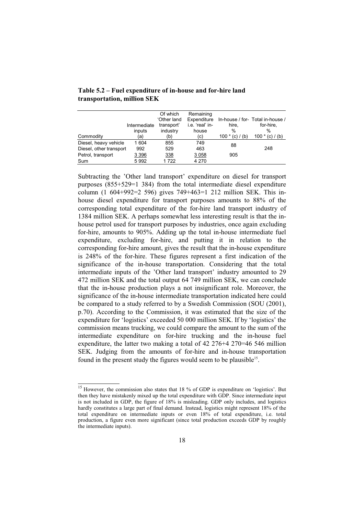|                         | Intermediate | Of which<br>'Other land<br>transport' | Remaining<br>Expenditure<br>i.e. 'real' in- | hire.           | In-house / for- Total in-house /<br>for-hire. |
|-------------------------|--------------|---------------------------------------|---------------------------------------------|-----------------|-----------------------------------------------|
|                         | inputs       | industry                              | house                                       | %               | $\%$                                          |
| Commodity               | (a)          | (b)                                   | (c)                                         | $100*(c) / (b)$ | $100*(c) / (b)$                               |
| Diesel, heavy vehicle   | 1 604        | 855                                   | 749                                         | 88              |                                               |
| Diesel, other transport | 992          | 529                                   | 463                                         |                 | 248                                           |
| Petrol, transport       | 3 3 9 6      | 338                                   | 3 0 5 8                                     | 905             |                                               |
| Sum                     | 5992         | 1722                                  | 4 2 7 0                                     |                 |                                               |

#### **Table 5.2 – Fuel expenditure of in-house and for-hire land transportation, million SEK**

Subtracting the 'Other land transport' expenditure on diesel for transport purposes (855+529=1 384) from the total intermediate diesel expenditure column (1 604+992=2 596) gives 749+463=1 212 million SEK. This inhouse diesel expenditure for transport purposes amounts to 88% of the corresponding total expenditure of the for-hire land transport industry of 1384 million SEK. A perhaps somewhat less interesting result is that the inhouse petrol used for transport purposes by industries, once again excluding for-hire, amounts to 905%. Adding up the total in-house intermediate fuel expenditure, excluding for-hire, and putting it in relation to the corresponding for-hire amount, gives the result that the in-house expenditure is 248% of the for-hire. These figures represent a first indication of the significance of the in-house transportation. Considering that the total intermediate inputs of the 'Other land transport' industry amounted to 29 472 million SEK and the total output 64 749 million SEK, we can conclude that the in-house production plays a not insignificant role. Moreover, the significance of the in-house intermediate transportation indicated here could be compared to a study referred to by a Swedish Commission (SOU (2001), p.70). According to the Commission, it was estimated that the size of the expenditure for 'logistics' exceeded 50 000 million SEK. If by 'logistics' the commission means trucking, we could compare the amount to the sum of the intermediate expenditure on for-hire trucking and the in-house fuel expenditure, the latter two making a total of 42 276+4 270=46 546 million SEK. Judging from the amounts of for-hire and in-house transportation found in the present study the figures would seem to be plausible<sup>15</sup>.

<sup>&</sup>lt;sup>15</sup> However, the commission also states that 18 % of GDP is expenditure on 'logistics'. But then they have mistakenly mixed up the total expenditure with GDP. Since intermediate input is not included in GDP, the figure of 18% is misleading. GDP only includes, and logistics hardly constitutes a large part of final demand. Instead, logistics might represent 18% of the total expenditure on intermediate inputs or even 18% of total expenditure, i.e. total production, a figure even more significant (since total production exceeds GDP by roughly the intermediate inputs).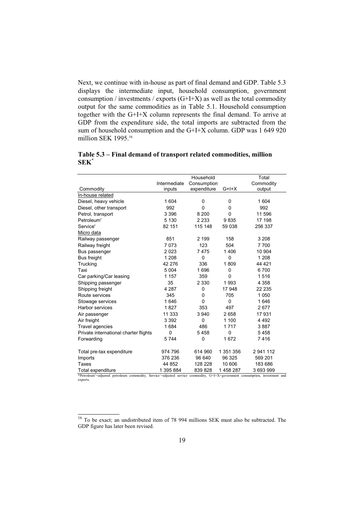Next, we continue with in-house as part of final demand and GDP. Table 5.3 displays the intermediate input, household consumption, government consumption / investments / exports  $(G+I+X)$  as well as the total commodity output for the same commodities as in Table 5.1. Household consumption together with the G+I+X column represents the final demand. To arrive at GDP from the expenditure side, the total imports are subtracted from the sum of household consumption and the G+I+X column. GDP was 1 649 920 million SEK 1995.<sup>16</sup>

|                                                                                                                             | Household    |             | Total     |           |
|-----------------------------------------------------------------------------------------------------------------------------|--------------|-------------|-----------|-----------|
|                                                                                                                             | Intermediate | Consumption |           | Commodity |
| Commodity                                                                                                                   | inputs       | expenditure | $G+I+X$   | output    |
| In-house related                                                                                                            |              |             |           |           |
| Diesel, heavy vehicle                                                                                                       | 1 604        | 0           | 0         | 1 604     |
| Diesel, other transport                                                                                                     | 992          | $\Omega$    | 0         | 992       |
| Petrol, transport                                                                                                           | 3 3 9 6      | 8 2 0 0     | 0         | 11 596    |
| Petroleum'                                                                                                                  | 5 1 3 0      | 2 2 3 3     | 9835      | 17 198    |
| Service'                                                                                                                    | 82 151       | 115 148     | 59 038    | 256 337   |
| Micro data                                                                                                                  |              |             |           |           |
| Railway passenger                                                                                                           | 851          | 2 1 9 9     | 158       | 3 2 0 8   |
| Railway freight                                                                                                             | 7073         | 123         | 504       | 7700      |
| Bus passenger                                                                                                               | 2023         | 7475        | 1406      | 10 904    |
| <b>Bus freight</b>                                                                                                          | 1 2 0 8      | 0           | 0         | 1 2 0 8   |
| Trucking                                                                                                                    | 42 276       | 336         | 1809      | 44 4 21   |
| Taxi                                                                                                                        | 5 0 0 4      | 1696        | 0         | 6700      |
| Car parking/Car leasing                                                                                                     | 1 1 5 7      | 359         | 0         | 1516      |
| Shipping passenger                                                                                                          | 35           | 2 3 3 0     | 1993      | 4 3 5 8   |
| Shipping freight                                                                                                            | 4 2 8 7      | 0           | 17 948    | 22 235    |
| Route services                                                                                                              | 345          | 0           | 705       | 1 0 5 0   |
| Stowage services                                                                                                            | 1646         | 0           | 0         | 1646      |
| Harbor services                                                                                                             | 1827         | 353         | 497       | 2677      |
| Air passenger                                                                                                               | 11 333       | 3 9 4 0     | 2658      | 17931     |
| Air freight                                                                                                                 | 3 3 9 2      | 0           | 1 100     | 4 4 9 2   |
| Travel agencies                                                                                                             | 1684         | 486         | 1717      | 3887      |
| Private international charter flights                                                                                       | $\Omega$     | 5458        | 0         | 5458      |
| Forwarding                                                                                                                  | 5744         | 0           | 1672      | 7416      |
|                                                                                                                             |              |             |           |           |
| Total pre-tax expenditure                                                                                                   | 974 796      | 614 960     | 1 351 356 | 2 941 112 |
| Imports                                                                                                                     | 376 236      | 96 640      | 96 325    | 569 201   |
| <b>Taxes</b>                                                                                                                | 44 852       | 128 228     | 10 606    | 183 686   |
| Total expenditure                                                                                                           | 1 395 884    | 839 828     | 1458287   | 3 693 999 |
| *Petroleum'=adjusted petroleum commodity, Service'=adjusted service commodity, G+I+X=government consumption, investment and |              |             |           |           |

**Table 5.3 – Final demand of transport related commodities, million SEK\***

\*Petroleum'=adjusted petroleum commodity, Service'=adjusted service commodity, G+I+X=government consumption, investment and exports.

<sup>16</sup> To be exact; an undistributed item of 78 994 millions SEK must also be subtracted. The GDP figure has later been revised.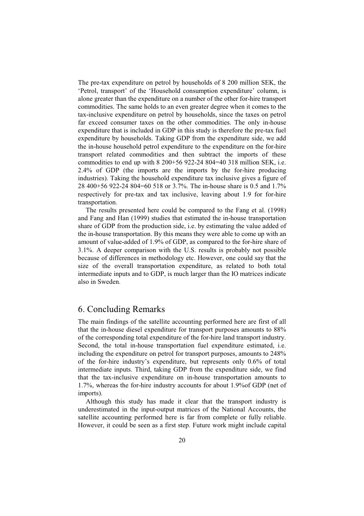The pre-tax expenditure on petrol by households of 8 200 million SEK, the 'Petrol, transport' of the 'Household consumption expenditure' column, is alone greater than the expenditure on a number of the other for-hire transport commodities. The same holds to an even greater degree when it comes to the tax-inclusive expenditure on petrol by households, since the taxes on petrol far exceed consumer taxes on the other commodities. The only in-house expenditure that is included in GDP in this study is therefore the pre-tax fuel expenditure by households. Taking GDP from the expenditure side, we add the in-house household petrol expenditure to the expenditure on the for-hire transport related commodities and then subtract the imports of these commodities to end up with 8 200+56 922-24 804=40 318 million SEK, i.e. 2.4% of GDP (the imports are the imports by the for-hire producing industries). Taking the household expenditure tax inclusive gives a figure of 28 400+56 922-24 804=60 518 or 3.7%. The in-house share is 0.5 and 1.7% respectively for pre-tax and tax inclusive, leaving about 1.9 for for-hire transportation.

The results presented here could be compared to the Fang et al. (1998) and Fang and Han (1999) studies that estimated the in-house transportation share of GDP from the production side, i.e. by estimating the value added of the in-house transportation. By this means they were able to come up with an amount of value-added of 1.9% of GDP, as compared to the for-hire share of 3.1%. A deeper comparison with the U.S. results is probably not possible because of differences in methodology etc. However, one could say that the size of the overall transportation expenditure, as related to both total intermediate inputs and to GDP, is much larger than the IO matrices indicate also in Sweden.

#### 6. Concluding Remarks

The main findings of the satellite accounting performed here are first of all that the in-house diesel expenditure for transport purposes amounts to 88% of the corresponding total expenditure of the for-hire land transport industry. Second, the total in-house transportation fuel expenditure estimated, i.e. including the expenditure on petrol for transport purposes, amounts to 248% of the for-hire industry's expenditure, but represents only 0.6% of total intermediate inputs. Third, taking GDP from the expenditure side, we find that the tax-inclusive expenditure on in-house transportation amounts to 1.7%, whereas the for-hire industry accounts for about 1.9%of GDP (net of imports).

Although this study has made it clear that the transport industry is underestimated in the input-output matrices of the National Accounts, the satellite accounting performed here is far from complete or fully reliable. However, it could be seen as a first step. Future work might include capital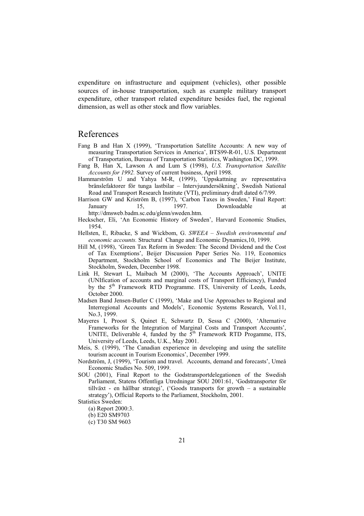expenditure on infrastructure and equipment (vehicles), other possible sources of in-house transportation, such as example military transport expenditure, other transport related expenditure besides fuel, the regional dimension, as well as other stock and flow variables.

## References

- Fang B and Han X (1999), 'Transportation Satellite Accounts: A new way of measuring Transportation Services in America', BTS99-R-01, U.S. Department of Transportation, Bureau of Transportation Statistics, Washington DC, 1999.
- Fang B, Han X, Lawson A and Lum S (1998), *U.S. Transportation Satellite Accounts for 1992.* Survey of current business, April 1998.
- Hammarström U and Yahya M-R, (1999), 'Uppskattning av representativa bränslefaktorer för tunga lastbilar – Intervjuundersökning', Swedish National Road and Transport Research Institute (VTI), preliminary draft dated 6/7/99.
- Harrison GW and Kriström B, (1997), 'Carbon Taxes in Sweden,' Final Report: January 15, 1997. Downloadable at http://dmsweb.badm.sc.edu/glenn/sweden.htm.
- Heckscher, Eli, 'An Economic History of Sweden', Harvard Economic Studies, 1954.
- Hellsten, E, Ribacke, S and Wickbom, G. *SWEEA Swedish environmental and economic accounts.* Structural Change and Economic Dynamics,10, 1999.
- Hill M, (1998), 'Green Tax Reform in Sweden: The Second Dividend and the Cost of Tax Exemptions', Beijer Discussion Paper Series No. 119, Economics Department, Stockholm School of Economics and The Beijer Institute, Stockholm, Sweden, December 1998.
- Link H, Stewart L, Maibach M (2000), 'The Accounts Approach', UNITE (UNIfication of accounts and marginal costs of Transport Efficiency), Funded by the  $5<sup>th</sup>$  Framework RTD Programme. ITS, University of Leeds, Leeds, October 2000.
- Madsen Band Jensen-Butler C (1999), 'Make and Use Approaches to Regional and Interregional Accounts and Models', Economic Systems Research, Vol.11, No.3, 1999.
- Mayeres I, Proost S, Quinet E, Schwartz D, Sessa C (2000), 'Alternative Frameworks for the Integration of Marginal Costs and Transport Accounts', UNITE, Deliverable 4, funded by the  $5<sup>th</sup>$  Framework RTD Progamme, ITS, University of Leeds, Leeds, U.K., May 2001.
- Meis, S. (1999), 'The Canadian experience in developing and using the satellite tourism account in Tourism Economics', December 1999.
- Nordström, J, (1999), 'Tourism and travel. Accounts, demand and forecasts', Umeå Economic Studies No. 509, 1999.
- SOU (2001), Final Report to the Godstransportdelegationen of the Swedish Parliament, Statens Offentliga Utredningar SOU 2001:61, 'Godstransporter för tillväxt - en hållbar strategi', ('Goods transports for growth – a sustainable strategy'), Official Reports to the Parliament, Stockholm, 2001.

- (a) Report 2000:3.
- (b) E20 SM9703
- (c) T30 SM 9603

Statistics Sweden: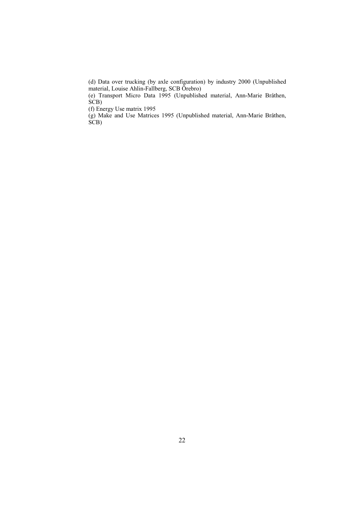(d) Data over trucking (by axle configuration) by industry 2000 (Unpublished material, Louise Ahlin-Fallberg, SCB Örebro)

 (e) Transport Micro Data 1995 (Unpublished material, Ann-Marie Bråthen,  $\hat{SCB}$ 

(f) Energy Use matrix 1995

 (g) Make and Use Matrices 1995 (Unpublished material, Ann-Marie Bråthen, SCB)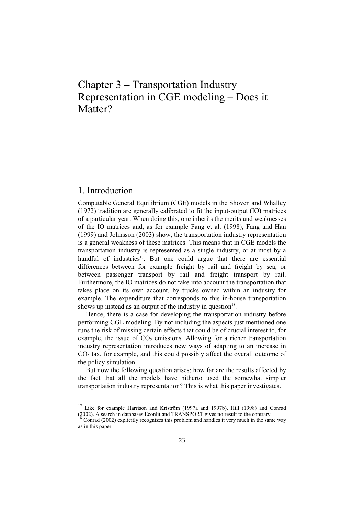# Chapter 3 **–** Transportation Industry Representation in CGE modeling **–** Does it Matter?

#### 1. Introduction

Computable General Equilibrium (CGE) models in the Shoven and Whalley (1972) tradition are generally calibrated to fit the input-output (IO) matrices of a particular year. When doing this, one inherits the merits and weaknesses of the IO matrices and, as for example Fang et al. (1998), Fang and Han (1999) and Johnsson (2003) show, the transportation industry representation is a general weakness of these matrices. This means that in CGE models the transportation industry is represented as a single industry, or at most by a handful of industries<sup>17</sup>. But one could argue that there are essential differences between for example freight by rail and freight by sea, or between passenger transport by rail and freight transport by rail. Furthermore, the IO matrices do not take into account the transportation that takes place on its own account, by trucks owned within an industry for example. The expenditure that corresponds to this in-house transportation shows up instead as an output of the industry in question $18$ .

Hence, there is a case for developing the transportation industry before performing CGE modeling. By not including the aspects just mentioned one runs the risk of missing certain effects that could be of crucial interest to, for example, the issue of  $CO<sub>2</sub>$  emissions. Allowing for a richer transportation industry representation introduces new ways of adapting to an increase in  $CO<sub>2</sub>$  tax, for example, and this could possibly affect the overall outcome of the policy simulation.

But now the following question arises; how far are the results affected by the fact that all the models have hitherto used the somewhat simpler transportation industry representation? This is what this paper investigates.

<sup>17</sup> Like for example Harrison and Kriström (1997a and 1997b), Hill (1998) and Conrad (2002). A search in databases Econlit and TRANSPORT gives no result to the contrary.

Conrad (2002) explicitly recognizes this problem and handles it very much in the same way as in this paper.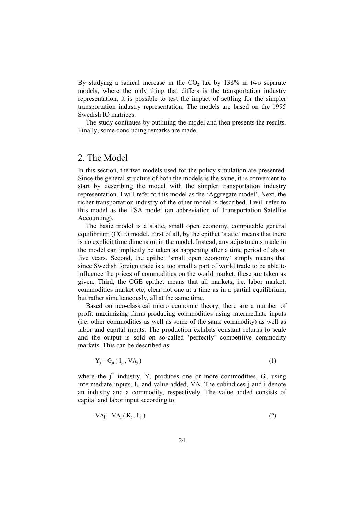By studying a radical increase in the  $CO<sub>2</sub>$  tax by 138% in two separate models, where the only thing that differs is the transportation industry representation, it is possible to test the impact of settling for the simpler transportation industry representation. The models are based on the 1995 Swedish IO matrices.

The study continues by outlining the model and then presents the results. Finally, some concluding remarks are made.

### 2. The Model

In this section, the two models used for the policy simulation are presented. Since the general structure of both the models is the same, it is convenient to start by describing the model with the simpler transportation industry representation. I will refer to this model as the 'Aggregate model'. Next, the richer transportation industry of the other model is described. I will refer to this model as the TSA model (an abbreviation of Transportation Satellite Accounting).

The basic model is a static, small open economy, computable general equilibrium (CGE) model. First of all, by the epithet 'static' means that there is no explicit time dimension in the model. Instead, any adjustments made in the model can implicitly be taken as happening after a time period of about five years. Second, the epithet 'small open economy' simply means that since Swedish foreign trade is a too small a part of world trade to be able to influence the prices of commodities on the world market, these are taken as given. Third, the CGE epithet means that all markets, i.e. labor market, commodities market etc, clear not one at a time as in a partial equilibrium, but rather simultaneously, all at the same time.

Based on neo-classical micro economic theory, there are a number of profit maximizing firms producing commodities using intermediate inputs (i.e. other commodities as well as some of the same commodity) as well as labor and capital inputs. The production exhibits constant returns to scale and the output is sold on so-called 'perfectly' competitive commodity markets. This can be described as:

$$
Y_j = G_{ji} (I_{ji}, V A_j) \tag{1}
$$

where the  $j<sup>th</sup>$  industry, Y, produces one or more commodities,  $G<sub>i</sub>$ , using intermediate inputs, I<sub>i</sub>, and value added, VA. The subindices j and i denote an industry and a commodity, respectively. The value added consists of capital and labor input according to:

$$
VAj = VAj (Kj, Lj)
$$
 (2)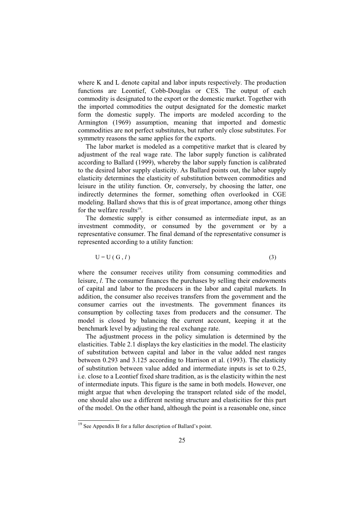where K and L denote capital and labor inputs respectively. The production functions are Leontief, Cobb-Douglas or CES. The output of each commodity is designated to the export or the domestic market. Together with the imported commodities the output designated for the domestic market form the domestic supply. The imports are modeled according to the Armington (1969) assumption, meaning that imported and domestic commodities are not perfect substitutes, but rather only close substitutes. For symmetry reasons the same applies for the exports.

The labor market is modeled as a competitive market that is cleared by adjustment of the real wage rate. The labor supply function is calibrated according to Ballard (1999), whereby the labor supply function is calibrated to the desired labor supply elasticity. As Ballard points out, the labor supply elasticity determines the elasticity of substitution between commodities and leisure in the utility function. Or, conversely, by choosing the latter, one indirectly determines the former, something often overlooked in CGE modeling. Ballard shows that this is of great importance, among other things for the welfare results<sup>19</sup>.

The domestic supply is either consumed as intermediate input, as an investment commodity, or consumed by the government or by a representative consumer. The final demand of the representative consumer is represented according to a utility function:

$$
U = U(G, l) \tag{3}
$$

where the consumer receives utility from consuming commodities and leisure, *l*. The consumer finances the purchases by selling their endowments of capital and labor to the producers in the labor and capital markets. In addition, the consumer also receives transfers from the government and the consumer carries out the investments. The government finances its consumption by collecting taxes from producers and the consumer. The model is closed by balancing the current account, keeping it at the benchmark level by adjusting the real exchange rate.

The adjustment process in the policy simulation is determined by the elasticities. Table 2.1 displays the key elasticities in the model. The elasticity of substitution between capital and labor in the value added nest ranges between 0.293 and 3.125 according to Harrison et al. (1993). The elasticity of substitution between value added and intermediate inputs is set to 0.25, i.e. close to a Leontief fixed share tradition, as is the elasticity within the nest of intermediate inputs. This figure is the same in both models. However, one might argue that when developing the transport related side of the model, one should also use a different nesting structure and elasticities for this part of the model. On the other hand, although the point is a reasonable one, since

<sup>&</sup>lt;sup>19</sup> See Appendix B for a fuller description of Ballard's point.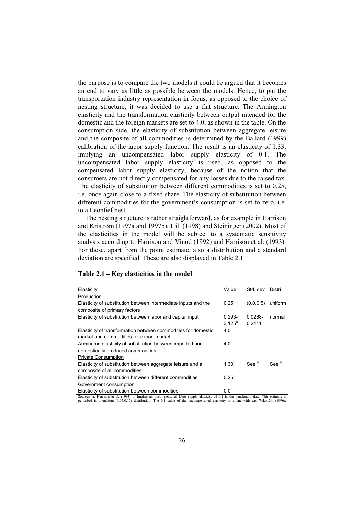the purpose is to compare the two models it could be argued that it becomes an end to vary as little as possible between the models. Hence, to put the transportation industry representation in focus, as opposed to the choice of nesting structure, it was decided to use a flat structure. The Armington elasticity and the transformation elasticity between output intended for the domestic and the foreign markets are set to 4.0, as shown in the table. On the consumption side, the elasticity of substitution between aggregate leisure and the composite of all commodities is determined by the Ballard (1999) calibration of the labor supply function. The result is an elasticity of 1.33, implying an uncompensated labor supply elasticity of 0.1. The uncompensated labor supply elasticity is used, as opposed to the compensated labor supply elasticity, because of the notion that the consumers are not directly compensated for any losses due to the raised tax. The elasticity of substitution between different commodities is set to 0.25, i.e. once again close to a fixed share. The elasticity of substitution between different commodities for the government's consumption is set to zero, i.e. to a Leontief nest.

The nesting structure is rather straightforward, as for example in Harrison and Kriström (1997a and 1997b), Hill (1998) and Steininger (2002). Most of the elasticities in the model will be subject to a systematic sensitivity analysis according to Harrison and Vinod (1992) and Harrison et al. (1993). For these, apart from the point estimate, also a distribution and a standard deviation are specified. These are also displayed in Table 2.1.

| Elasticity                                                     | Value           | Std. dev         | Distri           |
|----------------------------------------------------------------|-----------------|------------------|------------------|
| Production                                                     |                 |                  |                  |
| Elasticity of substitution between intermediate inputs and the | 0.25            | (0.0.0.5)        | uniform          |
| composite of primary factors                                   |                 |                  |                  |
| Elasticity of substitution between labor and capital input     | $0.293 -$       | $0.0268 -$       | normal           |
|                                                                | $3.125^{\circ}$ | 0.2411           |                  |
| Elasticity of transformation between commodities for domestic  | 4.0             |                  |                  |
| market and commodities for export market                       |                 |                  |                  |
| Armington elasticity of substitution between imported and      | 4.0             |                  |                  |
| domestically produced commodities                              |                 |                  |                  |
| <b>Private Consumption</b>                                     |                 |                  |                  |
| Elasticity of substitution between aggregate leisure and a     | $1.33^{b}$      | See <sup>b</sup> | See <sup>b</sup> |
| composite of all commodities                                   |                 |                  |                  |
| Elasticity of substitution between different commodities       | 0.25            |                  |                  |
| Government consumption                                         |                 |                  |                  |
| Elasticity of substitution between commodities                 | 0.0             |                  |                  |

#### **Table 2.1 – Key elasticities in the model**

Sources: a. Harrison et al. (1993) b. Implies an uncompensated labor supply elasticity of 0.1 in the benchmark data. This estimate is<br>perturbed in a uniform (0.05,0.15) distribution. The 0.1 value of the uncompensated elas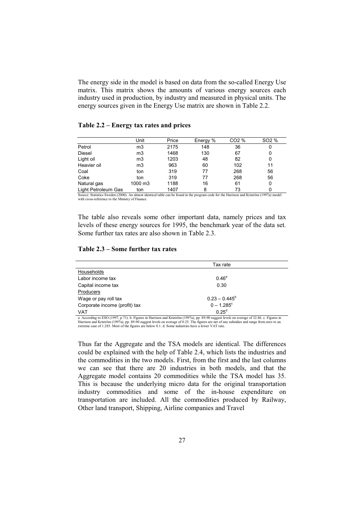The energy side in the model is based on data from the so-called Energy Use matrix. This matrix shows the amounts of various energy sources each industry used in production, by industry and measured in physical units. The energy sources given in the Energy Use matrix are shown in Table 2.2.

#### **Table 2.2 – Energy tax rates and prices**

|                     | Unit           | Price | Energy % | CO2 % | SO <sub>2</sub> % |
|---------------------|----------------|-------|----------|-------|-------------------|
| Petrol              | m <sub>3</sub> | 2175  | 148      | 36    | 0                 |
| <b>Diesel</b>       | m <sub>3</sub> | 1468  | 130      | 67    | 0                 |
| Light oil           | m <sub>3</sub> | 1203  | 48       | 82    | 0                 |
| Heavier oil         | m3             | 963   | 60       | 102   | 11                |
| Coal                | ton            | 319   | 77       | 268   | 56                |
| Coke                | ton            | 319   | 77       | 268   | 56                |
| Natural gas         | 1000 m3        | 1188  | 16       | 61    | 0                 |
| Light Petroleum Gas | ton            | 1407  | 8        | 73    |                   |

Source: Statistics Sweden (2000). An almost identical table can be found in the program code for the Harrison and Kriström (1997a) model with cross-reference to the Ministry of Finance.

The table also reveals some other important data, namely prices and tax levels of these energy sources for 1995, the benchmark year of the data set. Some further tax rates are also shown in Table 2.3.

#### **Table 2.3 – Some further tax rates**

|                               | Tax rate                 |  |
|-------------------------------|--------------------------|--|
| Households                    |                          |  |
| Labor income tax              | $0.46^{\circ}$           |  |
| Capital income tax            | 0.30                     |  |
| Producers                     |                          |  |
| Wage or pay roll tax          | $0.23 - 0.445^b$         |  |
| Corporate income (profit) tax | $0 - 1.285$ <sup>c</sup> |  |
| VAT                           | 0.25 <sup>d</sup>        |  |

a. According to ESO (1997, p.71). b. Figures in Harrison and Kriström (1997a), pp. 89-90 suggest levels on average of 32.86. c. Figures in<br>Harrison and Kriström (1997a), pp. 89-90 suggest levels on average of 0.25. The fig extreme case of 1.285. Most of the figures are below 0.1. d. Some industries have a lower VAT rate.

Thus far the Aggregate and the TSA models are identical. The differences could be explained with the help of Table 2.4, which lists the industries and the commodities in the two models. First, from the first and the last columns we can see that there are 20 industries in both models, and that the Aggregate model contains 20 commodities while the TSA model has 35. This is because the underlying micro data for the original transportation industry commodities and some of the in-house expenditure on transportation are included. All the commodities produced by Railway, Other land transport, Shipping, Airline companies and Travel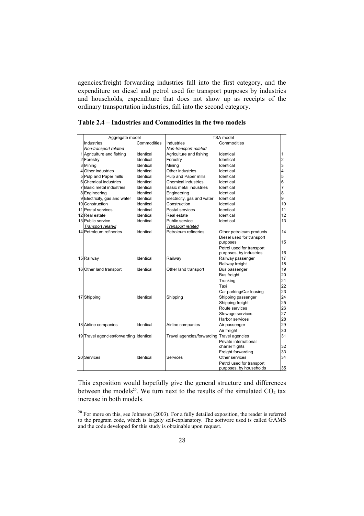agencies/freight forwarding industries fall into the first category, and the expenditure on diesel and petrol used for transport purposes by industries and households, expenditure that does not show up as receipts of the ordinary transportation industries, fall into the second category.

| Aggregate model                         |             | TSA model                                  |                           |    |
|-----------------------------------------|-------------|--------------------------------------------|---------------------------|----|
| Industries                              | Commodities | Industries                                 | Commodities               |    |
| Non-transport related                   |             | Non-transport related                      |                           |    |
| 1 Agriculture and fishing               | Identical   | Agriculture and fishing                    | Identical                 | 1  |
| 2 Forestry                              | Identical   | Forestry                                   | Identical                 | 2  |
| 3 Mining                                | Identical   | Mining                                     | Identical                 | 3  |
| 4 Other industries                      | Identical   | Other industries                           | Identical                 | 4  |
| 5 Pulp and Paper mills                  | Identical   | Pulp and Paper mills                       | Identical                 | 5  |
| 6 Chemical industries                   | Identical   | <b>Chemical industries</b>                 | Identical                 | 6  |
| 7 Basic metal industries                | Identical   | Basic metal industries                     | Identical                 | 7  |
| 8 Engineering                           | Identical   | Engineering                                | Identical                 | 8  |
| 9 Electricity, gas and water            | Identical   | Electricity, gas and water                 | Identical                 | 9  |
| 10 Construction                         | Identical   | Construction                               | Identical                 | 10 |
| 11 Postal services                      | Identical   | Postal services                            | Identical                 | 11 |
| 12 Real estate                          | Identical   | Real estate                                | Identical                 | 12 |
| 13 Public service                       | Identical   | Public service                             | Identical                 | 13 |
| Transport related                       |             | Transport related                          |                           |    |
| 14 Petroleum refineries                 | Identical   | Petroleum refineries                       | Other petroleum products  | 14 |
|                                         |             |                                            | Diesel used for transport |    |
|                                         |             |                                            | purposes                  | 15 |
|                                         |             |                                            | Petrol used for transport |    |
|                                         |             |                                            | purposes, by industries   | 16 |
| 15 Railway                              | Identical   | Railway                                    | Railway passenger         | 17 |
|                                         |             |                                            | Railway freight           | 18 |
| 16 Other land transport                 | Identical   | Other land transport                       | Bus passenger             | 19 |
|                                         |             |                                            | Bus freight               | 20 |
|                                         |             |                                            | Trucking                  | 21 |
|                                         |             |                                            | Taxi                      | 22 |
|                                         |             |                                            | Car parking/Car leasing   | 23 |
| 17 Shipping                             | Identical   | Shipping                                   | Shipping passenger        | 24 |
|                                         |             |                                            | Shipping freight          | 25 |
|                                         |             |                                            | Route services            | 26 |
|                                         |             |                                            | Stowage services          | 27 |
|                                         |             |                                            | Harbor services           | 28 |
| 18 Airline companies                    | Identical   | Airline companies                          | Air passenger             | 29 |
|                                         |             |                                            | Air freight               | 30 |
| 19 Travel agencies/forwarding Identical |             | Travel agencies/forwarding Travel agencies |                           | 31 |
|                                         |             |                                            | Private international     |    |
|                                         |             |                                            | charter flights           | 32 |
|                                         |             |                                            | Freight forwarding        | 33 |
| 20 Services                             | Identical   | Services                                   | Other services            | 34 |
|                                         |             |                                            | Petrol used for transport |    |
|                                         |             |                                            | purposes, by households   | 35 |

**Table 2.4 – Industries and Commodities in the two models** 

This exposition would hopefully give the general structure and differences between the models<sup>20</sup>. We turn next to the results of the simulated  $CO<sub>2</sub>$  tax increase in both models.

 $\frac{20}{20}$  For more on this, see Johnsson (2003). For a fully detailed exposition, the reader is referred to the program code, which is largely self-explanatory. The software used is called GAMS and the code developed for this study is obtainable upon request.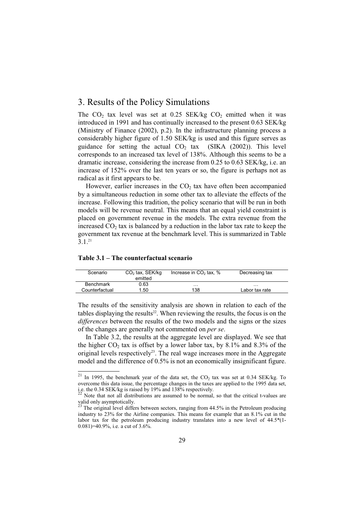#### 3. Results of the Policy Simulations

The  $CO<sub>2</sub>$  tax level was set at 0.25 SEK/kg  $CO<sub>2</sub>$  emitted when it was introduced in 1991 and has continually increased to the present 0.63 SEK/kg (Ministry of Finance (2002), p.2). In the infrastructure planning process a considerably higher figure of 1.50 SEK/kg is used and this figure serves as guidance for setting the actual  $CO<sub>2</sub>$  tax (SIKA (2002)). This level corresponds to an increased tax level of 138%. Although this seems to be a dramatic increase, considering the increase from 0.25 to 0.63 SEK/kg, i.e. an increase of 152% over the last ten years or so, the figure is perhaps not as radical as it first appears to be.

However, earlier increases in the  $CO<sub>2</sub>$  tax have often been accompanied by a simultaneous reduction in some other tax to alleviate the effects of the increase. Following this tradition, the policy scenario that will be run in both models will be revenue neutral. This means that an equal yield constraint is placed on government revenue in the models. The extra revenue from the increased  $CO<sub>2</sub>$  tax is balanced by a reduction in the labor tax rate to keep the government tax revenue at the benchmark level. This is summarized in Table 3.1.21

#### **Table 3.1 – The counterfactual scenario**

| Scenario         | $CO2$ tax, SEK/kg | Increase in $CO2$ tax, % | Decreasing tax |
|------------------|-------------------|--------------------------|----------------|
|                  | emitted           |                          |                |
| <b>Benchmark</b> | 0.63              | .                        | .              |
| Counterfactual   | 1.50              | 138                      | Labor tax rate |
|                  |                   |                          |                |

The results of the sensitivity analysis are shown in relation to each of the tables displaying the results<sup>22</sup>. When reviewing the results, the focus is on the *differences* between the results of the two models and the signs or the sizes of the changes are generally not commented on *per se*.

In Table 3.2, the results at the aggregate level are displayed. We see that the higher  $CO<sub>2</sub>$  tax is offset by a lower labor tax, by 8.1% and 8.3% of the original levels respectively<sup>23</sup>. The real wage increases more in the Aggregate model and the difference of 0.5% is not an economically insignificant figure.

 $\frac{21}{21}$  In 1995, the benchmark year of the data set, the CO<sub>2</sub> tax was set at 0.34 SEK/kg. To overcome this data issue, the percentage changes in the taxes are applied to the 1995 data set, i.e. the 0.34 SEK/kg is raised by 19% and 138% respectively.

Note that not all distributions are assumed to be normal, so that the critical t-values are valid only asymptotically.

The original level differs between sectors, ranging from 44.5% in the Petroleum producing industry to 23% for the Airline companies. This means for example that an 8.1% cut in the labor tax for the petroleum producing industry translates into a new level of 44.5\*(1- 0.081)=40.9%, i.e. a cut of 3.6%.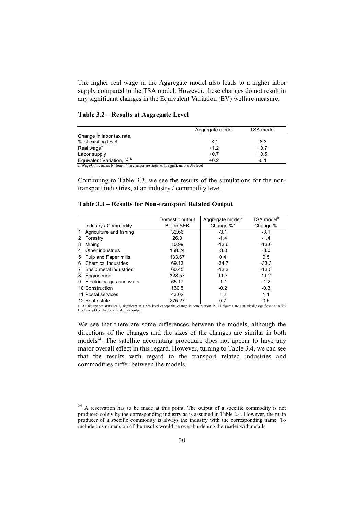The higher real wage in the Aggregate model also leads to a higher labor supply compared to the TSA model. However, these changes do not result in any significant changes in the Equivalent Variation (EV) welfare measure.

| Table 3.2 – Results at Aggregate Level |  |  |  |
|----------------------------------------|--|--|--|
|----------------------------------------|--|--|--|

|                                                                                            | Aggregate model | TSA model |
|--------------------------------------------------------------------------------------------|-----------------|-----------|
| Change in labor tax rate,                                                                  |                 |           |
| % of existing level                                                                        | $-8.1$          | $-8.3$    |
| Real wage <sup>a</sup>                                                                     | $+1.2$          | $+0.7$    |
| Labor supply                                                                               | $+0.7$          | $+0.5$    |
| Equivalent Variation, % b                                                                  | $+0.2$          | $-0.1$    |
| a. Wage/Utility index. b. None of the changes are statistically significant at a 5% level. |                 |           |

Continuing to Table 3.3, we see the results of the simulations for the nontransport industries, at an industry / commodity level.

|                                                                                                                                                    |                              | Domestic output    | Aggregate model <sup>a</sup> | TSA model <sup>b</sup> |
|----------------------------------------------------------------------------------------------------------------------------------------------------|------------------------------|--------------------|------------------------------|------------------------|
|                                                                                                                                                    | Industry / Commodity         | <b>Billion SEK</b> | Change %*                    | Change %               |
|                                                                                                                                                    | 1 Agriculture and fishing    | 32.66              | $-3.1$                       | $-3.1$                 |
| 2                                                                                                                                                  | Forestry                     | 26.3               | $-1.4$                       | $-1.4$                 |
| 3                                                                                                                                                  | Mining                       | 10.99              | $-13.6$                      | $-13.6$                |
| 4                                                                                                                                                  | Other industries             | 158.24             | $-3.0$                       | $-3.0$                 |
| 5                                                                                                                                                  | Pulp and Paper mills         | 133.67             | 0.4                          | 0.5                    |
| 6                                                                                                                                                  | Chemical industries          | 69.13              | $-34.7$                      | $-33.3$                |
|                                                                                                                                                    | Basic metal industries       | 60.45              | $-13.3$                      | $-13.5$                |
| 8                                                                                                                                                  | Engineering                  | 328.57             | 11.7                         | 11.2                   |
|                                                                                                                                                    | 9 Electricity, gas and water | 65.17              | $-1.1$                       | $-1.2$                 |
| 10 Construction                                                                                                                                    |                              | 130.5              | $-0.2$                       | $-0.3$                 |
| 11 Postal services                                                                                                                                 |                              | 43.02              | 1.2                          | 1.1                    |
| 12 Real estate                                                                                                                                     |                              | 275.27             | 0.7                          | 0.5                    |
| a. All figures are statistically significant at a 5% level except the change in construction. b. All figures are statistically significant at a 5% |                              |                    |                              |                        |

level except the change in real estate output.

We see that there are some differences between the models, although the directions of the changes and the sizes of the changes are similar in both  $models<sup>24</sup>$ . The satellite accounting procedure does not appear to have any major overall effect in this regard. However, turning to Table 3.4, we can see that the results with regard to the transport related industries and commodities differ between the models.

<sup>&</sup>lt;sup>24</sup> A reservation has to be made at this point. The output of a specific commodity is not produced solely by the corresponding industry as is assumed in Table 2.4. However, the main producer of a specific commodity is always the industry with the corresponding name. To include this dimension of the results would be over-burdening the reader with details.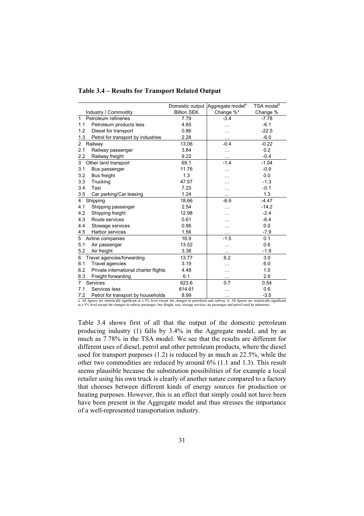|                |                                       | Domestic output    | Aggregate model <sup>a</sup> | TSA model <sup>b</sup> |
|----------------|---------------------------------------|--------------------|------------------------------|------------------------|
|                | Industry / Commodity                  | <b>Billion SEK</b> | Change %*                    | Change %               |
| $\mathbf{1}$   | Petroleum refineries                  | 7.79               | $-3.4$                       | $-7.78$                |
| 1.1            | Petroleum products less               | 4.65               |                              | $-6.1$                 |
| 1.2            | Diesel for transport                  | 0.86               |                              | $-22.5$                |
| 1.3            | Petrol for transport by industries    | 2.28               | .                            | $-6.0$                 |
| 2              | Railway                               | 13.06              | $-0.4$                       | $-0.22$                |
| 2.1            | Railway passenger                     | 3.84               | .                            | 0.2                    |
| 2.2            | Railway freight                       | 9.22               | $\ddotsc$                    | $-0.4$                 |
| 3              | Other land transport                  | 69.1               | $-1.4$                       | $-1.04$                |
| 3.1            | Bus passenger                         | 11.76              | .                            | $-0.9$                 |
| 3.2            | <b>Bus freight</b>                    | 1.3                |                              | 0.0                    |
| 3.3            | Trucking                              | 47.57              |                              | $-1.3$                 |
| 3.4            | Taxi                                  | 7.23               | .                            | $-0.1$                 |
| 3.5            | Car parking/Car leasing               | 1.24               |                              | 1.3                    |
| $\overline{4}$ | Shipping                              | 18.66              | $-6.9$                       | $-4.47$                |
| 4.1            | Shipping passenger                    | 2.54               | .                            | $-14.2$                |
| 4.2            | Shipping freight                      | 12.98              | .                            | $-2.4$                 |
| 4.3            | Route services                        | 0.61               |                              | $-6.4$                 |
| 4.4            | Stowage services                      | 0.96               | .                            | 0.0                    |
| 4.5            | Harbor services                       | 1.56               | $\sim$                       | $-7.9$                 |
| 5              | Airline companies                     | 16.9               | $-1.5$                       | 0.1                    |
| 5.1            | Air passenger                         | 13.52              | $\cdots$                     | 0.6                    |
| 5.2            | Air freight                           | 3.38               | $\cdots$                     | $-1.9$                 |
| 6              | Travel agencies/forwarding            | 13.77              | 6.2                          | 3.0                    |
| 6.1            | Travel agencies                       | 3.19               | .                            | 6.0                    |
| 6.2            | Private international charter flights | 4.48               | .                            | 1.0                    |
| 6.3            | Freight forwarding                    | 6.1                |                              | 2.9                    |
| $\overline{7}$ | Services                              | 623.6              | 0.7                          | 0.54                   |
| 7.1            | Services less                         | 614.61             | .                            | 0.6                    |
| 72             | Petrol for transport by bouseholds    | 8.99               |                              | $-35$                  |

## **Table 3.4 – Results for Transport Related Output**

7.2 Petrol for transport by households 8.99 … -3.5 a. All figures are statistically significant at a 5% level except the changes in petroleum and railway. b. All figures are statistically significant at a 5% level except the changes in railway passenger, bus freight, taxi, storage services, air passenger and petrol used by industries.

Table 3.4 shows first of all that the output of the domestic petroleum producing industry (1) falls by 3.4% in the Aggregate model, and by as much as 7.78% in the TSA model. We see that the results are different for different uses of diesel, petrol and other petroleum products, where the diesel used for transport purposes (1.2) is reduced by as much as 22.5%, while the other two commodities are reduced by around 6% (1.1 and 1.3). This result seems plausible because the substitution possibilities of for example a local retailer using his own truck is clearly of another nature compared to a factory that chooses between different kinds of energy sources for production or heating purposes. However, this is an effect that simply could not have been have been present in the Aggregate model and thus stresses the importance of a well-represented transportation industry.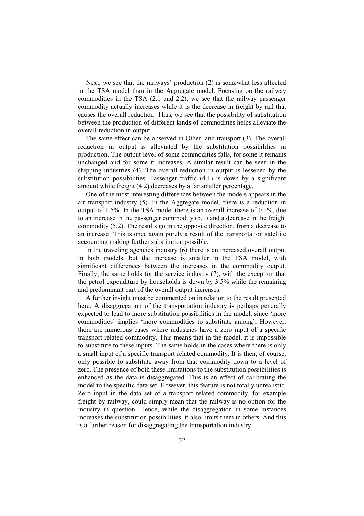Next, we see that the railways' production (2) is somewhat less affected in the TSA model than in the Aggregate model. Focusing on the railway commodities in the TSA (2.1 and 2.2), we see that the railway passenger commodity actually increases while it is the decrease in freight by rail that causes the overall reduction. Thus, we see that the possibility of substitution between the production of different kinds of commodities helps alleviate the overall reduction in output.

The same effect can be observed in Other land transport (3). The overall reduction in output is alleviated by the substitution possibilities in production. The output level of some commodities falls, for some it remains unchanged and for some it increases. A similar result can be seen in the shipping industries (4). The overall reduction in output is lessened by the substitution possibilities. Passenger traffic (4.1) is down by a significant amount while freight (4.2) decreases by a far smaller percentage.

One of the most interesting differences between the models appears in the air transport industry (5). In the Aggregate model, there is a reduction in output of 1.5%. In the TSA model there is an overall increase of 0.1%, due to an increase in the passenger commodity (5.1) and a decrease in the freight commodity (5.2). The results go in the opposite direction, from a decrease to an increase! This is once again purely a result of the transportation satellite accounting making further substitution possible.

In the traveling agencies industry (6) there is an increased overall output in both models, but the increase is smaller in the TSA model, with significant differences between the increases in the commodity output. Finally, the same holds for the service industry (7), with the exception that the petrol expenditure by households is down by 3.5% while the remaining and predominant part of the overall output increases.

A further insight must be commented on in relation to the result presented here. A disaggregation of the transportation industry is perhaps generally expected to lead to more substitution possibilities in the model, since 'more commodities' implies 'more commodities to substitute among'. However, there are numerous cases where industries have a zero input of a specific transport related commodity. This means that in the model, it is impossible to substitute to these inputs. The same holds in the cases where there is only a small input of a specific transport related commodity. It is then, of course, only possible to substitute away from that commodity down to a level of zero. The presence of both these limitations to the substitution possibilities is enhanced as the data is disaggregated. This is an effect of calibrating the model to the specific data set. However, this feature is not totally unrealistic. Zero input in the data set of a transport related commodity, for example freight by railway, could simply mean that the railway is no option for the industry in question. Hence, while the disaggregation in some instances increases the substitution possibilities, it also limits them in others. And this is a further reason for disaggregating the transportation industry.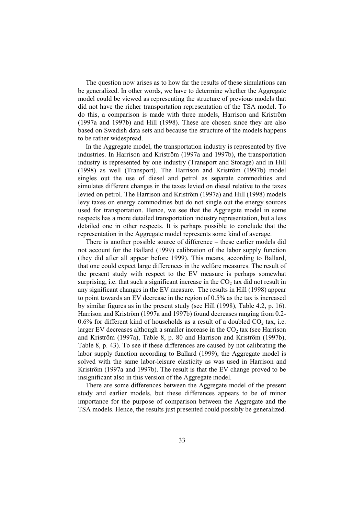The question now arises as to how far the results of these simulations can be generalized. In other words, we have to determine whether the Aggregate model could be viewed as representing the structure of previous models that did not have the richer transportation representation of the TSA model. To do this, a comparison is made with three models, Harrison and Kriström (1997a and 1997b) and Hill (1998). These are chosen since they are also based on Swedish data sets and because the structure of the models happens to be rather widespread.

In the Aggregate model, the transportation industry is represented by five industries. In Harrison and Kriström (1997a and 1997b), the transportation industry is represented by one industry (Transport and Storage) and in Hill (1998) as well (Transport). The Harrison and Kriström (1997b) model singles out the use of diesel and petrol as separate commodities and simulates different changes in the taxes levied on diesel relative to the taxes levied on petrol. The Harrison and Kriström (1997a) and Hill (1998) models levy taxes on energy commodities but do not single out the energy sources used for transportation. Hence, we see that the Aggregate model in some respects has a more detailed transportation industry representation, but a less detailed one in other respects. It is perhaps possible to conclude that the representation in the Aggregate model represents some kind of average.

There is another possible source of difference – these earlier models did not account for the Ballard (1999) calibration of the labor supply function (they did after all appear before 1999). This means, according to Ballard, that one could expect large differences in the welfare measures. The result of the present study with respect to the EV measure is perhaps somewhat surprising, i.e. that such a significant increase in the  $CO<sub>2</sub>$  tax did not result in any significant changes in the EV measure. The results in Hill (1998) appear to point towards an EV decrease in the region of 0.5% as the tax is increased by similar figures as in the present study (see Hill (1998), Table 4.2, p. 16). Harrison and Kriström (1997a and 1997b) found decreases ranging from 0.2-  $0.6\%$  for different kind of households as a result of a doubled CO<sub>2</sub> tax, i.e. larger EV decreases although a smaller increase in the  $CO<sub>2</sub>$  tax (see Harrison and Kriström (1997a), Table 8, p. 80 and Harrison and Kriström (1997b), Table 8, p. 43). To see if these differences are caused by not calibrating the labor supply function according to Ballard (1999), the Aggregate model is solved with the same labor-leisure elasticity as was used in Harrison and Kriström (1997a and 1997b). The result is that the EV change proved to be insignificant also in this version of the Aggregate model.

There are some differences between the Aggregate model of the present study and earlier models, but these differences appears to be of minor importance for the purpose of comparison between the Aggregate and the TSA models. Hence, the results just presented could possibly be generalized.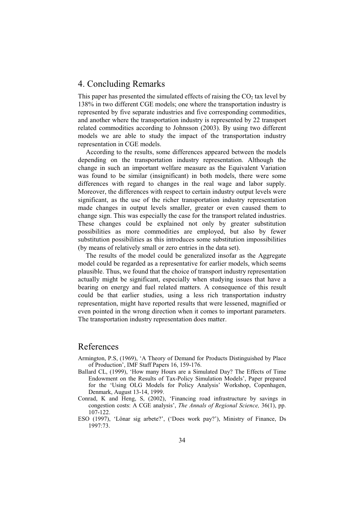# 4. Concluding Remarks

This paper has presented the simulated effects of raising the  $CO<sub>2</sub>$  tax level by 138% in two different CGE models; one where the transportation industry is represented by five separate industries and five corresponding commodities, and another where the transportation industry is represented by 22 transport related commodities according to Johnsson (2003). By using two different models we are able to study the impact of the transportation industry representation in CGE models.

According to the results, some differences appeared between the models depending on the transportation industry representation. Although the change in such an important welfare measure as the Equivalent Variation was found to be similar (insignificant) in both models, there were some differences with regard to changes in the real wage and labor supply. Moreover, the differences with respect to certain industry output levels were significant, as the use of the richer transportation industry representation made changes in output levels smaller, greater or even caused them to change sign. This was especially the case for the transport related industries. These changes could be explained not only by greater substitution possibilities as more commodities are employed, but also by fewer substitution possibilities as this introduces some substitution impossibilities (by means of relatively small or zero entries in the data set).

The results of the model could be generalized insofar as the Aggregate model could be regarded as a representative for earlier models, which seems plausible. Thus, we found that the choice of transport industry representation actually might be significant, especially when studying issues that have a bearing on energy and fuel related matters. A consequence of this result could be that earlier studies, using a less rich transportation industry representation, might have reported results that were lessened, magnified or even pointed in the wrong direction when it comes to important parameters. The transportation industry representation does matter.

## References

- Armington, P.S, (1969), 'A Theory of Demand for Products Distinguished by Place of Production', IMF Staff Papers 16, 159-176.
- Ballard CL, (1999), 'How many Hours are a Simulated Day? The Effects of Time Endowment on the Results of Tax-Policy Simulation Models', Paper prepared for the 'Using OLG Models for Policy Analysis' Workshop, Copenhagen, Denmark, August 13-14, 1999.
- Conrad, K and Heng, S, (2002), 'Financing road infrastructure by savings in congestion costs: A CGE analysis', *The Annals of Regional Science,* 36(1), pp. 107-122.
- ESO (1997), 'Lönar sig arbete?', ('Does work pay?'), Ministry of Finance, Ds 1997:73.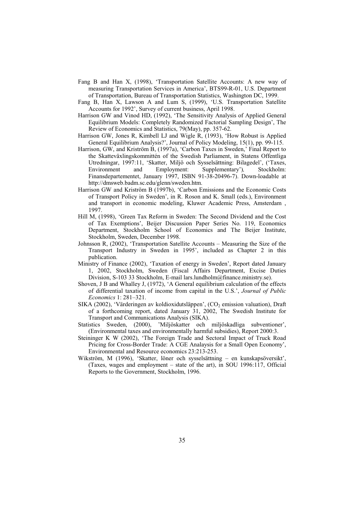- Fang B and Han X, (1998), 'Transportation Satellite Accounts: A new way of measuring Transportation Services in America', BTS99-R-01, U.S. Department of Transportation, Bureau of Transportation Statistics, Washington DC, 1999.
- Fang B, Han X, Lawson A and Lum S, (1999), 'U.S. Transportation Satellite Accounts for 1992', Survey of current business, April 1998.
- Harrison GW and Vinod HD, (1992), 'The Sensitivity Analysis of Applied General Equilibrium Models: Completely Randomized Factorial Sampling Design', The Review of Economics and Statistics, 79(May), pp. 357-62.
- Harrison GW, Jones R, Kimbell LJ and Wigle R, (1993), 'How Robust is Applied General Equilibrium Analysis?', Journal of Policy Modeling, 15(1), pp. 99-115.
- Harrison, GW, and Kriström B, (1997a), 'Carbon Taxes in Sweden,' Final Report to the Skatteväxlingskommittén of the Swedish Parliament, in Statens Offentliga Utredningar, 1997:11, 'Skatter, Miljö och Sysselsättning: Bilagedel', ('Taxes, Environment and Employment: Supplementary')*,* Stockholm: Finansdepartementet, January 1997, ISBN 91-38-20496-7). Down-loadable at http://dmsweb.badm.sc.edu/glenn/sweden.htm.
- Harrison GW and Kriström B (1997b), 'Carbon Emissions and the Economic Costs of Transport Policy in Sweden', in R. Roson and K. Small (eds.), Environment and transport in economic modeling, Kluwer Academic Press, Amsterdam , 1997.
- Hill M, (1998), 'Green Tax Reform in Sweden: The Second Dividend and the Cost of Tax Exemptions', Beijer Discussion Paper Series No. 119, Economics Department, Stockholm School of Economics and The Beijer Institute, Stockholm, Sweden, December 1998.
- Johnsson R, (2002), 'Transportation Satellite Accounts Measuring the Size of the Transport Industry in Sweden in 1995', included as Chapter 2 in this publication.
- Ministry of Finance (2002), 'Taxation of energy in Sweden', Report dated January 1, 2002, Stockholm, Sweden (Fiscal Affairs Department, Excise Duties Division, S-103 33 Stockholm, E-mail lars.lundholm@finance.ministry.se).
- Shoven, J B and Whalley J, (1972), 'A General equilibrium calculation of the effects of differential taxation of income from capital in the U.S.', *Journal of Public Economics* 1: 281–321.
- SIKA (2002), 'Värderingen av koldioxidutsläppen', (CO<sub>2</sub> emission valuation), Draft of a forthcoming report, dated January 31, 2002, The Swedish Institute for Transport and Communications Analysis (SIKA).
- Statistics Sweden, (2000), 'Miljöskatter och miljöskadliga subventioner', (Environmental taxes and environmentally harmful subsidies), Report 2000:3.
- Steininger K W (2002), 'The Foreign Trade and Sectoral Impact of Truck Road Pricing for Cross-Border Trade: A CGE Analaysis for a Small Open Economy', Environmental and Resource economics 23:213-253.
- Wikström, M (1996), 'Skatter, löner och sysselsättning en kunskapsöversikt', (Taxes, wages and employment – state of the art), in SOU 1996:117, Official Reports to the Government, Stockholm, 1996.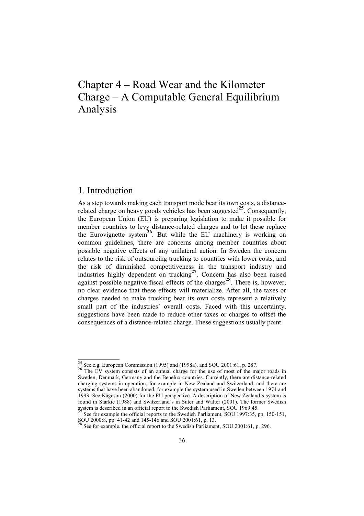# Chapter 4 – Road Wear and the Kilometer Charge – A Computable General Equilibrium Analysis

# 1. Introduction

As a step towards making each transport mode bear its own costs, a distancerelated charge on heavy goods vehicles has been suggested**25**. Consequently, the European Union (EU) is preparing legislation to make it possible for member countries to levy distance-related charges and to let these replace the Eurovignette system**26**. But while the EU machinery is working on common guidelines, there are concerns among member countries about possible negative effects of any unilateral action. In Sweden the concern relates to the risk of outsourcing trucking to countries with lower costs, and the risk of diminished competitiveness in the transport industry and industries highly dependent on trucking**27**. Concern has also been raised against possible negative fiscal effects of the charges**28**. There is, however, no clear evidence that these effects will materialize. After all, the taxes or charges needed to make trucking bear its own costs represent a relatively small part of the industries' overall costs. Faced with this uncertainty, suggestions have been made to reduce other taxes or charges to offset the consequences of a distance-related charge. These suggestions usually point

 $\frac{25}{26}$  See e.g. European Commission (1995) and (1998a), and SOU 2001:61, p. 287. The EV system consists of an annual charge for the use of most of the major roads in Sweden, Denmark, Germany and the Benelux countries. Currently, there are distance-related charging systems in operation, for example in New Zealand and Switzerland, and there are systems that have been abandoned, for example the system used in Sweden between 1974 and 1993. See Kågeson (2000) for the EU perspective. A description of New Zealand's system is found in Starkie (1988) and Switzerland's in Suter and Walter (2001). The former Swedish system is described in an official report to the Swedish Parliament, SOU 1969:45.

<sup>27</sup> See for example the official reports to the Swedish Parliament, SOU 1997:35, pp. 150-151, SOU 2000:8, pp. 41-42 and 145-146 and SOU 2001:61, p. 13.

See for example. the official report to the Swedish Parliament, SOU 2001:61, p. 296.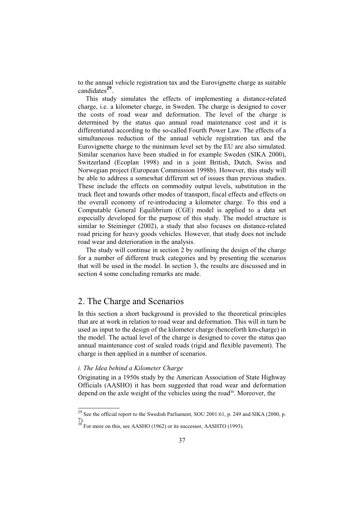to the annual vehicle registration tax and the Eurovignette charge as suitable candidates**29**.

This study simulates the effects of implementing a distance-related charge, i.e. a kilometer charge, in Sweden. The charge is designed to cover the costs of road wear and deformation. The level of the charge is determined by the status quo annual road maintenance cost and it is differentiated according to the so-called Fourth Power Law. The effects of a simultaneous reduction of the annual vehicle registration tax and the Eurovignette charge to the minimum level set by the EU are also simulated. Similar scenarios have been studied in for example Sweden (SIKA 2000), Switzerland (Ecoplan 1998) and in a joint British, Dutch, Swiss and Norwegian project (European Commission 1998b). However, this study will be able to address a somewhat different set of issues than previous studies. These include the effects on commodity output levels, substitution in the truck fleet and towards other modes of transport, fiscal effects and effects on the overall economy of re-introducing a kilometer charge. To this end a Computable General Equilibrium (CGE) model is applied to a data set especially developed for the purpose of this study. The model structure is similar to Steininger (2002), a study that also focuses on distance-related road pricing for heavy goods vehicles. However, that study does not include road wear and deterioration in the analysis.

The study will continue in section 2 by outlining the design of the charge for a number of different truck categories and by presenting the scenarios that will be used in the model. In section 3, the results are discussed and in section 4 some concluding remarks are made.

# 2. The Charge and Scenarios

In this section a short background is provided to the theoretical principles that are at work in relation to road wear and deformation. This will in turn be used as input to the design of the kilometer charge (henceforth km-charge) in the model. The actual level of the charge is designed to cover the status quo annual maintenance cost of sealed roads (rigid and flexible pavement). The charge is then applied in a number of scenarios.

## *i. The Idea behind a Kilometer Charge*

Originating in a 1950s study by the American Association of State Highway Officials (AASHO) it has been suggested that road wear and deformation depend on the axle weight of the vehicles using the road<sup>30</sup>. Moreover, the

 $\frac{29}{29}$  See the official report to the Swedish Parliament, SOU 2001:61, p. 249 and SIKA (2000, p. 7). 30 For more on this, see AASHO (1962) or its successor, AASHTO (1993).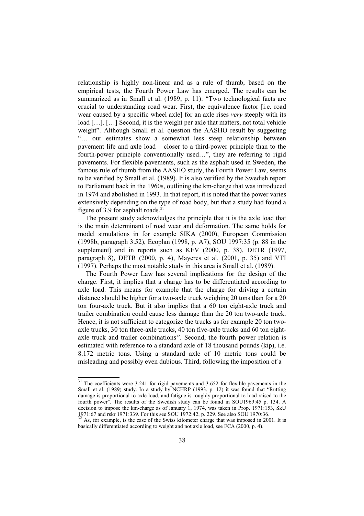relationship is highly non-linear and as a rule of thumb, based on the empirical tests, the Fourth Power Law has emerged. The results can be summarized as in Small et al. (1989, p. 11): "Two technological facts are crucial to understanding road wear. First, the equivalence factor [i.e. road wear caused by a specific wheel axle] for an axle rises *very* steeply with its load […]. […] Second, it is the weight per axle that matters, not total vehicle weight". Although Small et al. question the AASHO result by suggesting "… our estimates show a somewhat less steep relationship between pavement life and axle load – closer to a third-power principle than to the fourth-power principle conventionally used…", they are referring to rigid pavements. For flexible pavements, such as the asphalt used in Sweden, the famous rule of thumb from the AASHO study, the Fourth Power Law, seems to be verified by Small et al. (1989). It is also verified by the Swedish report to Parliament back in the 1960s, outlining the km-charge that was introduced in 1974 and abolished in 1993. In that report, it is noted that the power varies extensively depending on the type of road body, but that a study had found a figure of 3.9 for asphalt roads. $31$ 

The present study acknowledges the principle that it is the axle load that is the main determinant of road wear and deformation. The same holds for model simulations in for example SIKA (2000), European Commission (1998b, paragraph 3.52), Ecoplan (1998, p. A7), SOU 1997:35 (p. 88 in the supplement) and in reports such as KFV (2000, p. 38), DETR (1997, paragraph 8), DETR (2000, p. 4), Mayeres et al. (2001, p. 35) and VTI (1997). Perhaps the most notable study in this area is Small et al. (1989).

The Fourth Power Law has several implications for the design of the charge. First, it implies that a charge has to be differentiated according to axle load. This means for example that the charge for driving a certain distance should be higher for a two-axle truck weighing 20 tons than for a 20 ton four-axle truck. But it also implies that a 60 ton eight-axle truck and trailer combination could cause less damage than the 20 ton two-axle truck. Hence, it is not sufficient to categorize the trucks as for example 20 ton twoaxle trucks, 30 ton three-axle trucks, 40 ton five-axle trucks and 60 ton eightaxle truck and trailer combinations<sup>32</sup>. Second, the fourth power relation is estimated with reference to a standard axle of 18 thousand pounds (kip), i.e. 8.172 metric tons. Using a standard axle of 10 metric tons could be misleading and possibly even dubious. Third, following the imposition of a

 $\frac{31}{10}$  The coefficients were 3.241 for rigid pavements and 3.652 for flexible pavements in the Small et al. (1989) study. In a study by NCHRP (1993, p. 12) it was found that "Rutting damage is proportional to axle load, and fatigue is roughly proportional to load raised to the fourth power". The results of the Swedish study can be found in SOU1969:45 p. 134. A decision to impose the km-charge as of January 1, 1974, was taken in Prop. 1971:153, SkU 1971:67 and rskr 1971:339. For this see SOU 1972:42, p. 229. See also SOU 1970:36.

<sup>32</sup> As, for example, is the case of the Swiss kilometer charge that was imposed in 2001. It is basically differentiated according to weight and not axle load, see FCA (2000, p. 4).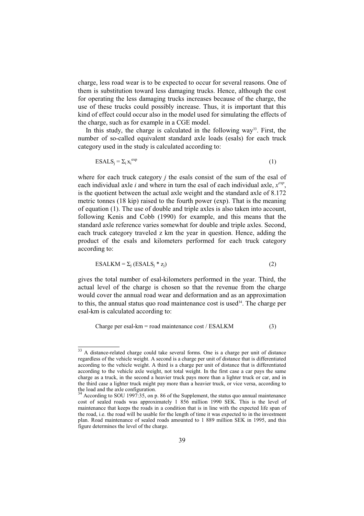charge, less road wear is to be expected to occur for several reasons. One of them is substitution toward less damaging trucks. Hence, although the cost for operating the less damaging trucks increases because of the charge, the use of these trucks could possibly increase. Thus, it is important that this kind of effect could occur also in the model used for simulating the effects of the charge, such as for example in a CGE model.

In this study, the charge is calculated in the following way<sup>33</sup>. First, the number of so-called equivalent standard axle loads (esals) for each truck category used in the study is calculated according to:

$$
ESALS_j = \sum_i x_i^{exp}
$$
 (1)

where for each truck category *j* the esals consist of the sum of the esal of each individual axle *i* and where in turn the esal of each individual axle, *x exp*, is the quotient between the actual axle weight and the standard axle of 8.172 metric tonnes (18 kip) raised to the fourth power (exp). That is the meaning of equation (1). The use of double and triple axles is also taken into account, following Kenis and Cobb (1990) for example, and this means that the standard axle reference varies somewhat for double and triple axles. Second, each truck category traveled z km the year in question. Hence, adding the product of the esals and kilometers performed for each truck category according to:

$$
ESALKM = \sum_{j} (ESALS_j * z_j)
$$
 (2)

gives the total number of esal-kilometers performed in the year. Third, the actual level of the charge is chosen so that the revenue from the charge would cover the annual road wear and deformation and as an approximation to this, the annual status quo road maintenance cost is used $34$ . The charge per esal-km is calculated according to:

Charge per esal-km = road maintenance cost / ESALKM  $(3)$ 

<sup>&</sup>lt;sup>33</sup> A distance-related charge could take several forms. One is a charge per unit of distance regardless of the vehicle weight. A second is a charge per unit of distance that is differentiated according to the vehicle weight. A third is a charge per unit of distance that is differentiated according to the vehicle axle weight, not total weight. In the first case a car pays the same charge as a truck, in the second a heavier truck pays more than a lighter truck or car, and in the third case a lighter truck might pay more than a heavier truck, or vice versa, according to the load and the axle configuration.

<sup>34</sup> According to SOU 1997:35, on p. 86 of the Supplement, the status quo annual maintenance cost of sealed roads was approximately 1 856 million 1990 SEK. This is the level of maintenance that keeps the roads in a condition that is in line with the expected life span of the road, i.e. the road will be usable for the length of time it was expected to in the investment plan. Road maintenance of sealed roads amounted to 1 889 million SEK in 1995, and this figure determines the level of the charge.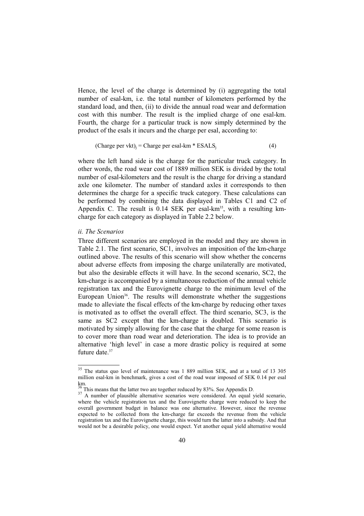Hence, the level of the charge is determined by (i) aggregating the total number of esal-km, i.e. the total number of kilometers performed by the standard load, and then, (ii) to divide the annual road wear and deformation cost with this number. The result is the implied charge of one esal-km. Fourth, the charge for a particular truck is now simply determined by the product of the esals it incurs and the charge per esal, according to:

(Charge per vkt)j = Charge per esal-km \* ESALSj (4)

where the left hand side is the charge for the particular truck category. In other words, the road wear cost of 1889 million SEK is divided by the total number of esal-kilometers and the result is the charge for driving a standard axle one kilometer. The number of standard axles it corresponds to then determines the charge for a specific truck category. These calculations can be performed by combining the data displayed in Tables C1 and C2 of Appendix C. The result is  $0.14$  SEK per esal-km<sup>35</sup>, with a resulting kmcharge for each category as displayed in Table 2.2 below.

## *ii. The Scenarios*

Three different scenarios are employed in the model and they are shown in Table 2.1. The first scenario, SC1, involves an imposition of the km-charge outlined above. The results of this scenario will show whether the concerns about adverse effects from imposing the charge unilaterally are motivated, but also the desirable effects it will have. In the second scenario, SC2, the km-charge is accompanied by a simultaneous reduction of the annual vehicle registration tax and the Eurovignette charge to the minimum level of the European Union<sup>36</sup>. The results will demonstrate whether the suggestions made to alleviate the fiscal effects of the km-charge by reducing other taxes is motivated as to offset the overall effect. The third scenario, SC3, is the same as SC2 except that the km-charge is doubled. This scenario is motivated by simply allowing for the case that the charge for some reason is to cover more than road wear and deterioration. The idea is to provide an alternative 'high level' in case a more drastic policy is required at some future date.<sup>37</sup>

<sup>&</sup>lt;sup>35</sup> The status quo level of maintenance was 1 889 million SEK, and at a total of 13 305 million esal-km in benchmark, gives a cost of the road wear imposed of SEK 0.14 per esal  $\frac{\text{km}}{36}$ 

 $\frac{36}{37}$  This means that the latter two are together reduced by 83%. See Appendix D.<br><sup>37</sup> A number of plausible alternative scenarios were considered. An equal yield scenario, where the vehicle registration tax and the Eurovignette charge were reduced to keep the overall government budget in balance was one alternative. However, since the revenue expected to be collected from the km-charge far exceeds the revenue from the vehicle registration tax and the Eurovignette charge, this would turn the latter into a subsidy. And that would not be a desirable policy, one would expect. Yet another equal yield alternative would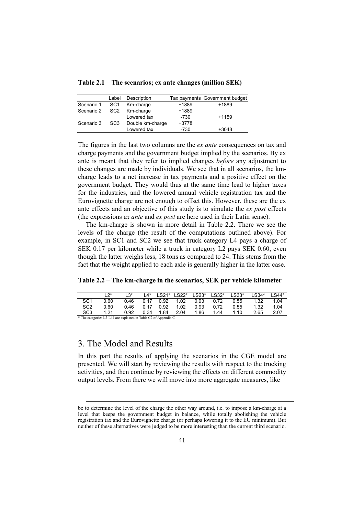**Table 2.1 – The scenarios; ex ante changes (million SEK)** 

|            | Label           | Description      |        | Tax payments Government budget |
|------------|-----------------|------------------|--------|--------------------------------|
| Scenario 1 | SC1             | Km-charge        | +1889  | +1889                          |
| Scenario 2 | SC2             | Km-charge        | +1889  |                                |
|            |                 | Lowered tax      | $-730$ | $+1159$                        |
| Scenario 3 | SC <sub>3</sub> | Double km-charge | +3778  |                                |
|            |                 | Lowered tax      | $-730$ | $+3048$                        |

The figures in the last two columns are the *ex ante* consequences on tax and charge payments and the government budget implied by the scenarios. By ex ante is meant that they refer to implied changes *before* any adjustment to these changes are made by individuals. We see that in all scenarios, the kmcharge leads to a net increase in tax payments and a positive effect on the government budget. They would thus at the same time lead to higher taxes for the industries, and the lowered annual vehicle registration tax and the Eurovignette charge are not enough to offset this. However, these are the ex ante effects and an objective of this study is to simulate the *ex post* effects (the expressions *ex ante* and *ex post* are here used in their Latin sense).

The km-charge is shown in more detail in Table 2.2. There we see the levels of the charge (the result of the computations outlined above). For example, in SC1 and SC2 we see that truck category L4 pays a charge of SEK 0.17 per kilometer while a truck in category L2 pays SEK 0.60, even though the latter weighs less, 18 tons as compared to 24. This stems from the fact that the weight applied to each axle is generally higher in the latter case.

**Table 2.2 – The km-charge in the scenarios, SEK per vehicle kilometer** 

|                                                                                                                                                           |      | $1.3*$ |      |           |      |                                    | L4* LS21* LS22* LS23* LS32* LS33* |      | LS34* | $LS44*$ |
|-----------------------------------------------------------------------------------------------------------------------------------------------------------|------|--------|------|-----------|------|------------------------------------|-----------------------------------|------|-------|---------|
| SC <sub>1</sub>                                                                                                                                           | 0.60 |        |      |           |      | 0.46  0.17  0.92  1.02  0.93  0.72 |                                   | 0.55 | 1.32  | 1.04    |
| SC <sub>2</sub>                                                                                                                                           | 0.60 | 0.46   |      | 0.17 0.92 | 1.02 | 0.93                               | 0.72                              | 0.55 | 1.32  | 1.04    |
| SC <sub>3</sub>                                                                                                                                           | 1 21 | 0.92   | 0.34 | 1.84      | 2.04 | 1.86                               | 1.44                              | 1.10 | 2.65  | 2.07    |
| $\mathbf{A}$ and the contract of $\mathbf{A}$ and $\mathbf{A}$ are contracted in the smaller $\mathbf{C}$ and $\mathbf{A}$ are contracted in $\mathbf{C}$ |      |        |      |           |      |                                    |                                   |      |       |         |

\* The categories L2-L44 are explained in Table C2 of Appendix C

# 3. The Model and Results

In this part the results of applying the scenarios in the CGE model are presented. We will start by reviewing the results with respect to the trucking activities, and then continue by reviewing the effects on different commodity output levels. From there we will move into more aggregate measures, like

be to determine the level of the charge the other way around, i.e. to impose a km-charge at a level that keeps the government budget in balance, while totally abolishing the vehicle registration tax and the Eurovignette charge (or perhaps lowering it to the EU minimum). But neither of these alternatives were judged to be more interesting than the current third scenario.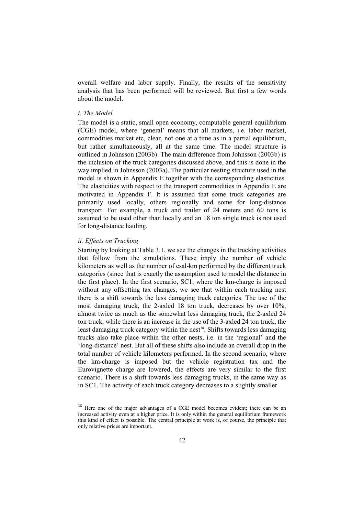overall welfare and labor supply. Finally, the results of the sensitivity analysis that has been performed will be reviewed. But first a few words about the model.

## *i. The Model*

The model is a static, small open economy, computable general equilibrium (CGE) model, where 'general' means that all markets, i.e. labor market, commodities market etc, clear, not one at a time as in a partial equilibrium, but rather simultaneously, all at the same time. The model structure is outlined in Johnsson (2003b). The main difference from Johnsson (2003b) is the inclusion of the truck categories discussed above, and this is done in the way implied in Johnsson (2003a). The particular nesting structure used in the model is shown in Appendix E together with the corresponding elasticities. The elasticities with respect to the transport commodities in Appendix E are motivated in Appendix F. It is assumed that some truck categories are primarily used locally, others regionally and some for long-distance transport. For example, a truck and trailer of 24 meters and 60 tons is assumed to be used other than locally and an 18 ton single truck is not used for long-distance hauling.

## *ii. Effects on Trucking*

Starting by looking at Table 3.1, we see the changes in the trucking activities that follow from the simulations. These imply the number of vehicle kilometers as well as the number of esal-km performed by the different truck categories (since that is exactly the assumption used to model the distance in the first place). In the first scenario, SC1, where the km-charge is imposed without any offsetting tax changes, we see that within each trucking nest there is a shift towards the less damaging truck categories. The use of the most damaging truck, the 2-axled 18 ton truck, decreases by over 10%, almost twice as much as the somewhat less damaging truck, the 2-axled 24 ton truck, while there is an increase in the use of the 3-axled 24 ton truck, the least damaging truck category within the nest<sup>38</sup>. Shifts towards less damaging trucks also take place within the other nests, i.e. in the 'regional' and the 'long-distance' nest. But all of these shifts also include an overall drop in the total number of vehicle kilometers performed. In the second scenario, where the km-charge is imposed but the vehicle registration tax and the Eurovignette charge are lowered, the effects are very similar to the first scenario. There is a shift towards less damaging trucks, in the same way as in SC1. The activity of each truck category decreases to a slightly smaller

<sup>38</sup> Here one of the major advantages of a CGE model becomes evident; there can be an increased activity even at a higher price. It is only within the general equilibrium framework this kind of effect is possible. The central principle at work is, of course, the principle that only relative prices are important.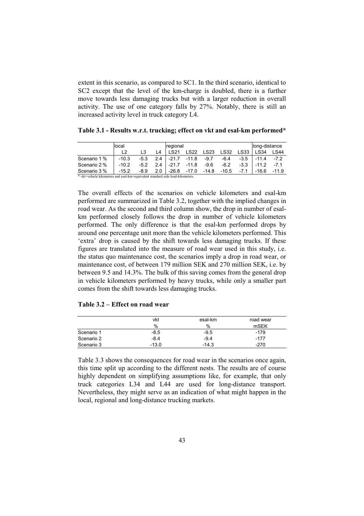extent in this scenario, as compared to SC1. In the third scenario, identical to SC2 except that the level of the km-charge is doubled, there is a further move towards less damaging trucks but with a larger reduction in overall activity. The use of one category falls by 27%. Notably, there is still an increased activity level in truck category L4.

|                                                                                | local   |        |     |                   | regional          |             |             |        |             | long-distance |
|--------------------------------------------------------------------------------|---------|--------|-----|-------------------|-------------------|-------------|-------------|--------|-------------|---------------|
|                                                                                | 12      |        | I 4 | I S <sub>21</sub> | <b>LS22</b>       | <b>LS23</b> | <b>LS32</b> | LS33   | <b>LS34</b> | LS44          |
| Scenario 1 %                                                                   | $-10.3$ | $-5.3$ | 2.4 |                   | $-21.7 -11.8$     | $-9.7$      | $-6.4$      | $-3.5$ | $-11.4$     | $-7.2$        |
| Scenario 2 %                                                                   | $-10.2$ | $-5.2$ | 2.4 | $-21.7$           | -11.8             | $-9.6$      | $-6.2$      | $-3.3$ | $-11.2$     | $-7.1$        |
| Scenario 3 %                                                                   | $-15.2$ | $-8.9$ | 2.0 |                   | -26.8 -17.0 -14.8 |             | -10.5       | $-7.1$ | $-16.6$     | $-11.9$       |
| * vkt=vehicle kilometers and esal-km=equivalent standard axle load-kilometers. |         |        |     |                   |                   |             |             |        |             |               |

**Table 3.1 - Results w.r.t. trucking; effect on vkt and esal-km performed\*** 

The overall effects of the scenarios on vehicle kilometers and esal-km performed are summarized in Table 3.2, together with the implied changes in road wear. As the second and third column show, the drop in number of esalkm performed closely follows the drop in number of vehicle kilometers performed. The only difference is that the esal-km performed drops by around one percentage unit more than the vehicle kilometers performed. This 'extra' drop is caused by the shift towards less damaging trucks. If these figures are translated into the measure of road wear used in this study, i.e. the status quo maintenance cost, the scenarios imply a drop in road wear, or maintenance cost, of between 179 million SEK and 270 million SEK, i.e. by between 9.5 and 14.3%. The bulk of this saving comes from the general drop in vehicle kilometers performed by heavy trucks, while only a smaller part comes from the shift towards less damaging trucks.

## **Table 3.2 – Effect on road wear**

|            | vkt     | esal-km | road wear |
|------------|---------|---------|-----------|
|            | %       | $\%$    | mSEK      |
| Scenario 1 | $-8.5$  | $-9.5$  | $-179$    |
| Scenario 2 | $-8.4$  | $-9.4$  | $-177$    |
| Scenario 3 | $-13.0$ | $-14.3$ | $-270$    |

Table 3.3 shows the consequences for road wear in the scenarios once again, this time split up according to the different nests. The results are of course highly dependent on simplifying assumptions like, for example, that only truck categories L34 and L44 are used for long-distance transport. Nevertheless, they might serve as an indication of what might happen in the local, regional and long-distance trucking markets.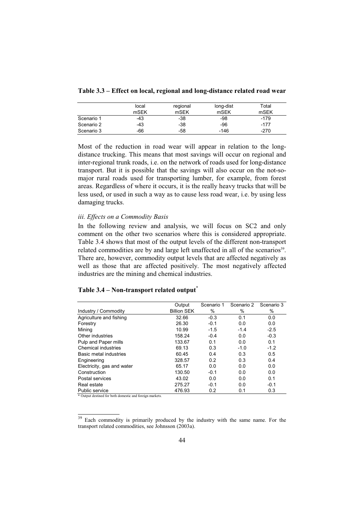|  |  | Table 3.3 – Effect on local, regional and long-distance related road wear |  |
|--|--|---------------------------------------------------------------------------|--|
|--|--|---------------------------------------------------------------------------|--|

|            | local | regional | long-dist | Total  |
|------------|-------|----------|-----------|--------|
|            | mSEK  | mSEK     | mSEK      | mSEK   |
| Scenario 1 | $-43$ | $-38$    | -98       | $-179$ |
| Scenario 2 | $-43$ | $-38$    | -96       | $-177$ |
| Scenario 3 | -66   | -58      | $-146$    | $-270$ |

Most of the reduction in road wear will appear in relation to the longdistance trucking. This means that most savings will occur on regional and inter-regional trunk roads, i.e. on the network of roads used for long-distance transport. But it is possible that the savings will also occur on the not-somajor rural roads used for transporting lumber, for example, from forest areas. Regardless of where it occurs, it is the really heavy trucks that will be less used, or used in such a way as to cause less road wear, i.e. by using less damaging trucks.

## *iii. Effects on a Commodity Basis*

In the following review and analysis, we will focus on SC2 and only comment on the other two scenarios where this is considered appropriate. Table 3.4 shows that most of the output levels of the different non-transport related commodities are by and large left unaffected in all of the scenarios<sup>39</sup>. There are, however, commodity output levels that are affected negatively as well as those that are affected positively. The most negatively affected industries are the mining and chemical industries.

## **Table 3.4 – Non-transport related output\***

|                            | Output             | Scenario 1 | Scenario 2 | Scenario 3 |
|----------------------------|--------------------|------------|------------|------------|
| Industry / Commodity       | <b>Billion SEK</b> | %          | %          | %          |
| Agriculture and fishing    | 32.66              | $-0.3$     | 0.1        | 0.0        |
| Forestry                   | 26.30              | $-0.1$     | 0.0        | 0.0        |
| Mining                     | 10.99              | $-1.5$     | $-1.4$     | $-2.5$     |
| Other industries           | 158.24             | $-0.4$     | 0.0        | $-0.3$     |
| Pulp and Paper mills       | 133.67             | 0.1        | 0.0        | 0.1        |
| Chemical industries        | 69.13              | 0.3        | $-1.0$     | $-1.2$     |
| Basic metal industries     | 60.45              | 0.4        | 0.3        | 0.5        |
| Engineering                | 328.57             | 0.2        | 0.3        | 0.4        |
| Electricity, gas and water | 65.17              | 0.0        | 0.0        | 0.0        |
| Construction               | 130.50             | $-0.1$     | 0.0        | 0.0        |
| Postal services            | 43.02              | 0.0        | 0.0        | 0.1        |
| Real estate                | 275.27             | $-0.1$     | 0.0        | $-0.1$     |
| Public service             | 476.93             | 0.2        | 0.1        | 0.3        |

\* Output destined for both domestic and foreign markets.

<sup>&</sup>lt;sup>39</sup> Each commodity is primarily produced by the industry with the same name. For the transport related commodities, see Johnsson (2003a).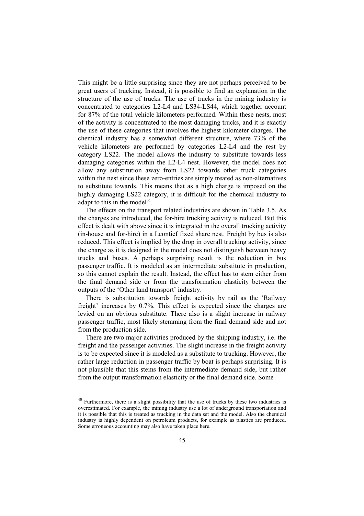This might be a little surprising since they are not perhaps perceived to be great users of trucking. Instead, it is possible to find an explanation in the structure of the use of trucks. The use of trucks in the mining industry is concentrated to categories L2-L4 and LS34-LS44, which together account for 87% of the total vehicle kilometers performed. Within these nests, most of the activity is concentrated to the most damaging trucks, and it is exactly the use of these categories that involves the highest kilometer charges. The chemical industry has a somewhat different structure, where 73% of the vehicle kilometers are performed by categories L2-L4 and the rest by category LS22. The model allows the industry to substitute towards less damaging categories within the L2-L4 nest. However, the model does not allow any substitution away from LS22 towards other truck categories within the nest since these zero-entries are simply treated as non-alternatives to substitute towards. This means that as a high charge is imposed on the highly damaging LS22 category, it is difficult for the chemical industry to adapt to this in the model $40$ .

The effects on the transport related industries are shown in Table 3.5. As the charges are introduced, the for-hire trucking activity is reduced. But this effect is dealt with above since it is integrated in the overall trucking activity (in-house and for-hire) in a Leontief fixed share nest. Freight by bus is also reduced. This effect is implied by the drop in overall trucking activity, since the charge as it is designed in the model does not distinguish between heavy trucks and buses. A perhaps surprising result is the reduction in bus passenger traffic. It is modeled as an intermediate substitute in production, so this cannot explain the result. Instead, the effect has to stem either from the final demand side or from the transformation elasticity between the outputs of the 'Other land transport' industry.

There is substitution towards freight activity by rail as the 'Railway freight' increases by 0.7%. This effect is expected since the charges are levied on an obvious substitute. There also is a slight increase in railway passenger traffic, most likely stemming from the final demand side and not from the production side.

There are two major activities produced by the shipping industry, i.e. the freight and the passenger activities. The slight increase in the freight activity is to be expected since it is modeled as a substitute to trucking. However, the rather large reduction in passenger traffic by boat is perhaps surprising. It is not plausible that this stems from the intermediate demand side, but rather from the output transformation elasticity or the final demand side. Some

 $\frac{40}{40}$  Furthermore, there is a slight possibility that the use of trucks by these two industries is overestimated. For example, the mining industry use a lot of underground transportation and it is possible that this is treated as trucking in the data set and the model. Also the chemical industry is highly dependent on petroleum products, for example as plastics are produced. Some erroneous accounting may also have taken place here.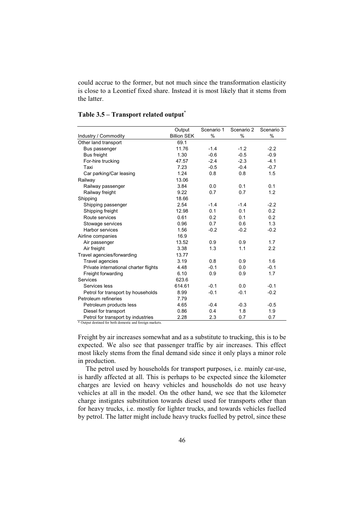could accrue to the former, but not much since the transformation elasticity is close to a Leontief fixed share. Instead it is most likely that it stems from the latter.

|                                       | Output             | Scenario 1 | Scenario 2 | Scenario 3 |
|---------------------------------------|--------------------|------------|------------|------------|
| Industry / Commodity                  | <b>Billion SEK</b> | %          | $\%$       | %          |
| Other land transport                  | 69.1               |            |            |            |
| Bus passenger                         | 11.76              | $-1.4$     | $-1.2$     | $-2.2$     |
| Bus freight                           | 1.30               | $-0.6$     | $-0.5$     | $-0.9$     |
| For-hire trucking                     | 47.57              | $-2.4$     | $-2.3$     | $-4.1$     |
| Taxi                                  | 7.23               | $-0.5$     | $-0.4$     | $-0.7$     |
| Car parking/Car leasing               | 1.24               | 0.8        | 0.8        | 1.5        |
| Railway                               | 13.06              |            |            |            |
| Railway passenger                     | 3.84               | 0.0        | 0.1        | 0.1        |
| Railway freight                       | 9.22               | 0.7        | 0.7        | 1.2        |
| Shipping                              | 18.66              |            |            |            |
| Shipping passenger                    | 2.54               | $-1.4$     | $-1.4$     | $-2.2$     |
| Shipping freight                      | 12.98              | 0.1        | 0.1        | 0.2        |
| Route services                        | 0.61               | 0.2        | 0.1        | 0.2        |
| Stowage services                      | 0.96               | 0.7        | 0.6        | 1.3        |
| Harbor services                       | 1.56               | $-0.2$     | $-0.2$     | $-0.2$     |
| Airline companies                     | 16.9               |            |            |            |
| Air passenger                         | 13.52              | 0.9        | 0.9        | 1.7        |
| Air freight                           | 3.38               | 1.3        | 1.1        | 2.2        |
| Travel agencies/forwarding            | 13.77              |            |            |            |
| Travel agencies                       | 3.19               | 0.8        | 0.9        | 1.6        |
| Private international charter flights | 4.48               | $-0.1$     | 0.0        | $-0.1$     |
| Freight forwarding                    | 6.10               | 0.9        | 0.9        | 1.7        |
| Services                              | 623.6              |            |            |            |
| Services less                         | 614.61             | $-0.1$     | 0.0        | $-0.1$     |
| Petrol for transport by households    | 8.99               | $-0.1$     | $-0.1$     | $-0.2$     |
| Petroleum refineries                  | 7.79               |            |            |            |
| Petroleum products less               | 4.65               | $-0.4$     | $-0.3$     | $-0.5$     |
| Diesel for transport                  | 0.86               | 0.4        | 1.8        | 1.9        |
| Petrol for transport by industries    | 2.28               | 2.3        | 0.7        | 0.7        |

## **Table 3.5 – Transport related output\***

\* Output destined for both domestic and foreign markets.

Freight by air increases somewhat and as a substitute to trucking, this is to be expected. We also see that passenger traffic by air increases. This effect most likely stems from the final demand side since it only plays a minor role in production.

The petrol used by households for transport purposes, i.e. mainly car-use, is hardly affected at all. This is perhaps to be expected since the kilometer charges are levied on heavy vehicles and households do not use heavy vehicles at all in the model. On the other hand, we see that the kilometer charge instigates substitution towards diesel used for transports other than for heavy trucks, i.e. mostly for lighter trucks, and towards vehicles fuelled by petrol. The latter might include heavy trucks fuelled by petrol, since these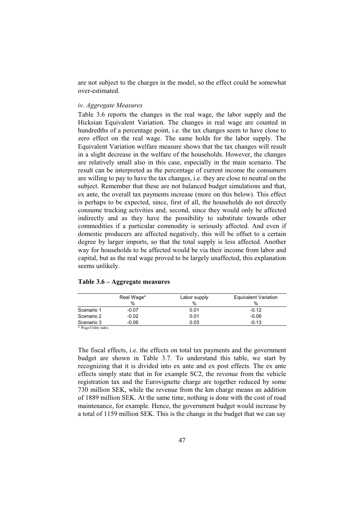are not subject to the charges in the model, so the effect could be somewhat over-estimated.

## *iv. Aggregate Measures*

Table 3.6 reports the changes in the real wage, the labor supply and the Hicksian Equivalent Variation. The changes in real wage are counted in hundredths of a percentage point, i.e. the tax changes seem to have close to zero effect on the real wage. The same holds for the labor supply. The Equivalent Variation welfare measure shows that the tax changes will result in a slight decrease in the welfare of the households. However, the changes are relatively small also in this case, especially in the main scenario. The result can be interpreted as the percentage of current income the consumers are willing to pay to have the tax changes, i.e. they are close to neutral on the subject. Remember that these are not balanced budget simulations and that, ex ante, the overall tax payments increase (more on this below). This effect is perhaps to be expected, since, first of all, the households do not directly consume trucking activities and, second, since they would only be affected indirectly and as they have the possibility to substitute towards other commodities if a particular commodity is seriously affected. And even if domestic producers are affected negatively, this will be offset to a certain degree by larger imports, so that the total supply is less affected. Another way for households to be affected would be via their income from labor and capital, but as the real wage proved to be largely unaffected, this explanation seems unlikely.

|                       | Real Wage* | Labor supply | Equivalent Variation |
|-----------------------|------------|--------------|----------------------|
|                       | $\%$       | %            | %                    |
| Scenario 1            | $-0.07$    | 0.01         | $-0.12$              |
| Scenario 2            | $-0.02$    | 0.01         | $-0.06$              |
| Scenario 3            | $-0.06$    | 0.03         | $-0.13$              |
| * Wage/Utility index. |            |              |                      |

**Table 3.6 – Aggregate measures** 

The fiscal effects, i.e. the effects on total tax payments and the government budget are shown in Table 3.7. To understand this table, we start by recognizing that it is divided into ex ante and ex post effects. The ex ante effects simply state that in for example SC2, the revenue from the vehicle registration tax and the Eurovignette charge are together reduced by some 730 million SEK, while the revenue from the km charge means an addition of 1889 million SEK. At the same time, nothing is done with the cost of road maintenance, for example. Hence, the government budget would increase by a total of 1159 million SEK. This is the change in the budget that we can say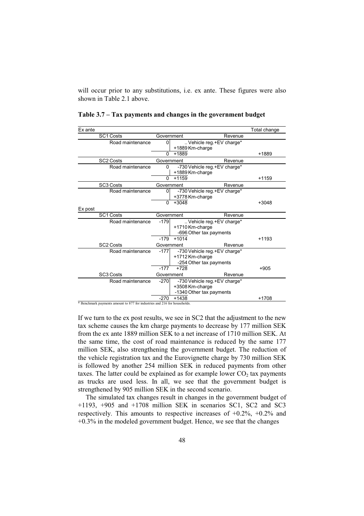will occur prior to any substitutions, i.e. ex ante. These figures were also shown in Table 2.1 above.

| Ex ante |                                                                           |                |                                |         | Total change |
|---------|---------------------------------------------------------------------------|----------------|--------------------------------|---------|--------------|
|         | <b>SC1 Costs</b>                                                          | Government     |                                | Revenue |              |
|         | Road maintenance                                                          | 0              | Vehicle reg. +EV charge*       |         |              |
|         |                                                                           |                | +1889 Km-charge                |         |              |
|         |                                                                           | $\Omega$       | +1889                          |         | +1889        |
|         | SC2 Costs                                                                 | Government     |                                | Revenue |              |
|         | Road maintenance                                                          | $\mathbf{0}$   | -730 Vehicle reg.+EV charge*   |         |              |
|         |                                                                           |                | +1889 Km-charge                |         |              |
|         |                                                                           | 0              | $+1159$                        |         | $+1159$      |
|         | SC3 Costs                                                                 | Government     |                                | Revenue |              |
|         | Road maintenance                                                          | $\overline{0}$ | -730 Vehicle reg. + EV charge* |         |              |
|         |                                                                           |                | +3778 Km-charge                |         |              |
|         |                                                                           | $\mathbf{0}$   | $+3048$                        |         | $+3048$      |
| Ex post |                                                                           |                |                                |         |              |
|         | <b>SC1 Costs</b>                                                          | Government     |                                | Revenue |              |
|         | Road maintenance                                                          | $-179$         | Vehicle reg. +EV charge*       |         |              |
|         |                                                                           |                | +1710 Km-charge                |         |              |
|         |                                                                           |                | -696 Other tax payments        |         |              |
|         |                                                                           | $-179$         | $+1014$                        |         | $+1193$      |
|         | SC <sub>2</sub> Costs                                                     | Government     |                                | Revenue |              |
|         | Road maintenance                                                          | $-177$         | -730 Vehicle reg. + EV charge* |         |              |
|         |                                                                           |                | +1712 Km-charge                |         |              |
|         |                                                                           |                | -254 Other tax payments        |         |              |
|         |                                                                           | $-177$         | $+728$                         |         | $+905$       |
|         | SC <sub>3</sub> Costs                                                     | Government     |                                | Revenue |              |
|         | Road maintenance                                                          | $-270$         | -730 Vehicle reg.+EV charge*   |         |              |
|         |                                                                           |                | +3508 Km-charge                |         |              |
|         |                                                                           |                | -1340 Other tax payments       |         |              |
|         |                                                                           | $-270$         | $+1438$                        |         | $+1708$      |
|         | * Benchmark payments amount to 877 for industries and 216 for households. |                |                                |         |              |

**Table 3.7 – Tax payments and changes in the government budget** 

If we turn to the ex post results, we see in SC2 that the adjustment to the new tax scheme causes the km charge payments to decrease by 177 million SEK from the ex ante 1889 million SEK to a net increase of 1710 million SEK. At the same time, the cost of road maintenance is reduced by the same 177 million SEK, also strengthening the government budget. The reduction of the vehicle registration tax and the Eurovignette charge by 730 million SEK is followed by another 254 million SEK in reduced payments from other taxes. The latter could be explained as for example lower  $CO<sub>2</sub>$  tax payments as trucks are used less. In all, we see that the government budget is strengthened by 905 million SEK in the second scenario.

The simulated tax changes result in changes in the government budget of +1193, +905 and +1708 million SEK in scenarios SC1, SC2 and SC3 respectively. This amounts to respective increases of  $+0.2\%$ ,  $+0.2\%$  and +0.3% in the modeled government budget. Hence, we see that the changes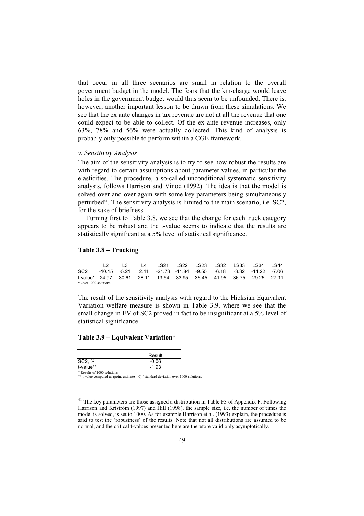that occur in all three scenarios are small in relation to the overall government budget in the model. The fears that the km-charge would leave holes in the government budget would thus seem to be unfounded. There is, however, another important lesson to be drawn from these simulations. We see that the ex ante changes in tax revenue are not at all the revenue that one could expect to be able to collect. Of the ex ante revenue increases, only 63%, 78% and 56% were actually collected. This kind of analysis is probably only possible to perform within a CGE framework.

#### *v. Sensitivity Analysis*

The aim of the sensitivity analysis is to try to see how robust the results are with regard to certain assumptions about parameter values, in particular the elasticities. The procedure, a so-called unconditional systematic sensitivity analysis, follows Harrison and Vinod (1992). The idea is that the model is solved over and over again with some key parameters being simultaneously perturbed41. The sensitivity analysis is limited to the main scenario, i.e. SC2, for the sake of briefness.

Turning first to Table 3.8, we see that the change for each truck category appears to be robust and the t-value seems to indicate that the results are statistically significant at a 5% level of statistical significance.

## **Table 3.8 – Trucking**

|                                                                      | $\Box$ 1.3 |  |  |  | L4 LS21 LS22 LS23 LS32 LS33 LS34 LS44 |  |
|----------------------------------------------------------------------|------------|--|--|--|---------------------------------------|--|
| SC2 -10.15 -5.21 2.41 -21.73 -11.84 -9.55 -6.18 -3.32 -11.22 -7.06   |            |  |  |  |                                       |  |
| t-value* 24.97 30.61 28.11 13.54 33.95 36.45 41.95 36.75 29.25 27.11 |            |  |  |  |                                       |  |
| * Over 1000 solutions.                                               |            |  |  |  |                                       |  |

The result of the sensitivity analysis with regard to the Hicksian Equivalent Variation welfare measure is shown in Table 3.9, where we see that the small change in EV of SC2 proved in fact to be insignificant at a 5% level of statistical significance.

#### **Table 3.9 – Equivalent Variation\***

|                               | Result  |
|-------------------------------|---------|
| SC2, %                        | $-0.06$ |
| t-value**                     | $-1.93$ |
| $*$ Results of 1000 solutions |         |

\* Results of 1000 solutions. \*\* t-value computed as (point estimate – 0) / standard deviation over 1000 solutions.

<sup>&</sup>lt;sup>41</sup> The key parameters are those assigned a distribution in Table F3 of Appendix F. Following Harrison and Kriström (1997) and Hill (1998), the sample size, i.e. the number of times the model is solved, is set to 1000. As for example Harrison et al. (1993) explain, the procedure is said to test the 'robustness' of the results. Note that not all distributions are assumed to be normal, and the critical t-values presented here are therefore valid only asymptotically.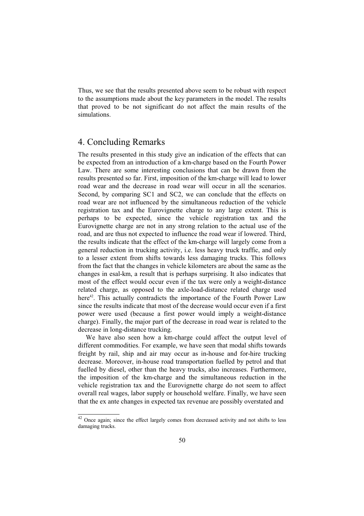Thus, we see that the results presented above seem to be robust with respect to the assumptions made about the key parameters in the model. The results that proved to be not significant do not affect the main results of the simulations.

# 4. Concluding Remarks

The results presented in this study give an indication of the effects that can be expected from an introduction of a km-charge based on the Fourth Power Law. There are some interesting conclusions that can be drawn from the results presented so far. First, imposition of the km-charge will lead to lower road wear and the decrease in road wear will occur in all the scenarios. Second, by comparing SC1 and SC2, we can conclude that the effects on road wear are not influenced by the simultaneous reduction of the vehicle registration tax and the Eurovignette charge to any large extent. This is perhaps to be expected, since the vehicle registration tax and the Eurovignette charge are not in any strong relation to the actual use of the road, and are thus not expected to influence the road wear if lowered. Third, the results indicate that the effect of the km-charge will largely come from a general reduction in trucking activity, i.e. less heavy truck traffic, and only to a lesser extent from shifts towards less damaging trucks. This follows from the fact that the changes in vehicle kilometers are about the same as the changes in esal-km, a result that is perhaps surprising. It also indicates that most of the effect would occur even if the tax were only a weight-distance related charge, as opposed to the axle-load-distance related charge used here<sup>42</sup>. This actually contradicts the importance of the Fourth Power Law since the results indicate that most of the decrease would occur even if a first power were used (because a first power would imply a weight-distance charge). Finally, the major part of the decrease in road wear is related to the decrease in long-distance trucking.

We have also seen how a km-charge could affect the output level of different commodities. For example, we have seen that modal shifts towards freight by rail, ship and air may occur as in-house and for-hire trucking decrease. Moreover, in-house road transportation fuelled by petrol and that fuelled by diesel, other than the heavy trucks, also increases. Furthermore, the imposition of the km-charge and the simultaneous reduction in the vehicle registration tax and the Eurovignette charge do not seem to affect overall real wages, labor supply or household welfare. Finally, we have seen that the ex ante changes in expected tax revenue are possibly overstated and

 $\frac{42}{42}$  Once again; since the effect largely comes from decreased activity and not shifts to less damaging trucks.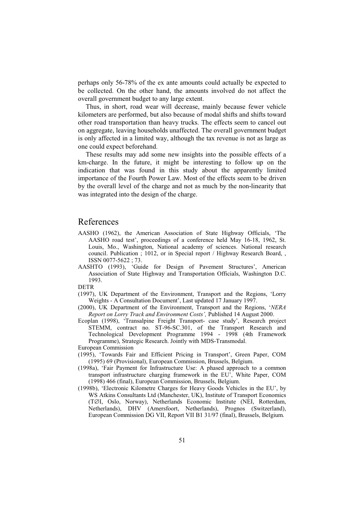perhaps only 56-78% of the ex ante amounts could actually be expected to be collected. On the other hand, the amounts involved do not affect the overall government budget to any large extent.

Thus, in short, road wear will decrease, mainly because fewer vehicle kilometers are performed, but also because of modal shifts and shifts toward other road transportation than heavy trucks. The effects seem to cancel out on aggregate, leaving households unaffected. The overall government budget is only affected in a limited way, although the tax revenue is not as large as one could expect beforehand.

These results may add some new insights into the possible effects of a km-charge. In the future, it might be interesting to follow up on the indication that was found in this study about the apparently limited importance of the Fourth Power Law. Most of the effects seem to be driven by the overall level of the charge and not as much by the non-linearity that was integrated into the design of the charge.

## References

- AASHO (1962), the American Association of State Highway Officials, 'The AASHO road test', proceedings of a conference held May 16-18, 1962, St. Louis, Mo., Washington, National academy of sciences. National research council. Publication ; 1012, or in Special report / Highway Research Board, , ISSN 0077-5622 ; 73.
- AASHTO (1993), 'Guide for Design of Pavement Structures', American Association of State Highway and Transportation Officials, Washington D.C. 1993.

DETR

- (1997), UK Department of the Environment, Transport and the Regions, 'Lorry Weights - A Consultation Document', Last updated 17 January 1997.
- (2000), UK Department of the Environment, Transport and the Regions, '*NERA Report on Lorry Track and Environment Costs',* Published 14 August 2000.
- Ecoplan (1998), 'Transalpine Freight Transport- case study', Research project STEMM, contract no. ST-96-SC.301, of the Transport Research and Technological Development Programme 1994 - 1998 (4th Framework Programme), Strategic Research. Jointly with MDS-Transmodal. European Commission
- (1995), 'Towards Fair and Efficient Pricing in Transport', Green Paper, COM (1995) 69 (Provisional), European Commission, Brussels, Belgium.
- (1998a), 'Fair Payment for Infrastructure Use: A phased approach to a common transport infrastructure charging framework in the EU', White Paper, COM (1998) 466 (final), European Commission, Brussels, Belgium.
- (1998b), 'Electronic Kilometre Charges for Heavy Goods Vehicles in the EU', by WS Atkins Consultants Ltd (Manchester, UK), Institute of Transport Economics (T∅I, Oslo, Norway), Netherlands Economic Institute (NEI, Rotterdam, Netherlands), DHV (Amersfoort, Netherlands), Prognos (Switzerland), European Commission DG VII, Report VII B1 31/97 (final), Brussels, Belgium.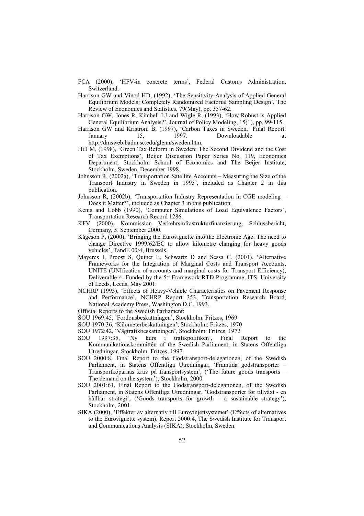- FCA (2000), 'HFV-in concrete terms', Federal Customs Administration, Switzerland.
- Harrison GW and Vinod HD, (1992), 'The Sensitivity Analysis of Applied General Equilibrium Models: Completely Randomized Factorial Sampling Design', The Review of Economics and Statistics, 79(May), pp. 357-62.
- Harrison GW, Jones R, Kimbell LJ and Wigle R, (1993), 'How Robust is Applied General Equilibrium Analysis?', Journal of Policy Modeling, 15(1), pp. 99-115.
- Harrison GW and Kriström B, (1997), 'Carbon Taxes in Sweden,' Final Report: January 15, 1997. Downloadable at http://dmsweb.badm.sc.edu/glenn/sweden.htm.
- Hill M, (1998), 'Green Tax Reform in Sweden: The Second Dividend and the Cost of Tax Exemptions', Beijer Discussion Paper Series No. 119, Economics Department, Stockholm School of Economics and The Beijer Institute, Stockholm, Sweden, December 1998.
- Johnsson R, (2002a), 'Transportation Satellite Accounts Measuring the Size of the Transport Industry in Sweden in 1995', included as Chapter 2 in this publication.
- Johnsson R, (2002b), 'Transportation Industry Representation in CGE modeling Does it Matter?', included as Chapter 3 in this publication.
- Kenis and Cobb (1990), 'Computer Simulations of Load Equivalence Factors', Transportation Research Record 1286.
- KFV (2000), Kommission Verkehrsinfrastrukturfinanzierung, Schlussbericht, Germany, 5. September 2000.
- Kågeson P, (2000), 'Bringing the Eurovignette into the Electronic Age: The need to change Directive 1999/62/EC to allow kilometre charging for heavy goods vehicles', TandE 00/4, Brussels.
- Mayeres I, Proost S, Quinet E, Schwartz D and Sessa C. (2001), 'Alternative Frameworks for the Integration of Marginal Costs and Transport Accounts, UNITE (UNIfication of accounts and marginal costs for Transport Efficiency), Deliverable 4, Funded by the  $5<sup>th</sup>$  Framework RTD Programme, ITS, University of Leeds, Leeds, May 2001.
- NCHRP (1993), 'Effects of Heavy-Vehicle Characteristics on Pavement Response and Performance', NCHRP Report 353, Transportation Research Board, National Academy Press, Washington D.C. 1993.
- Official Reports to the Swedish Parliament:
- SOU 1969:45, 'Fordonsbeskattningen', Stockholm: Fritzes, 1969
- SOU 1970:36, 'Kilometerbeskattningen', Stockholm: Fritzes, 1970
- SOU 1972:42, 'Vägtrafikbeskattningen', Stockholm: Fritzes, 1972
- SOU 1997:35, 'Ny kurs i trafikpolitiken', Final Report to the Kommunikationskommittén of the Swedish Parliament, in Statens Offentliga Utredningar, Stockholm: Fritzes, 1997.
- SOU 2000:8, Final Report to the Godstransport-delegationen, of the Swedish Parliament, in Statens Offentliga Utredningar, 'Framtida godstransporter – Transportköparnas krav på transportsystem', ('The future goods transports – The demand on the system'), Stockholm, 2000.
- SOU 2001:61, Final Report to the Godstransport-delegationen, of the Swedish Parliament, in Statens Offentliga Utredningar, 'Godstransporter för tillväxt - en hållbar strategi', ('Goods transports for growth – a sustainable strategy'), Stockholm, 2001.
- SIKA (2000), 'Effekter av alternativ till Eurovinjettsystemet' (Effects of alternatives to the Eurovignette system), Report 2000:4, The Swedish Institute for Transport and Communications Analysis (SIKA), Stockholm, Sweden.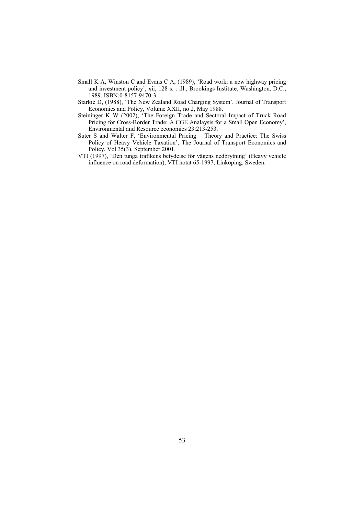- Small K A, Winston C and Evans C A, (1989), 'Road work: a new highway pricing and investment policy', xii, 128 s. : ill., Brookings Institute, Washington, D.C., 1989. ISBN:0-8157-9470-3.
- Starkie D, (1988), 'The New Zealand Road Charging System', Journal of Transport Economics and Policy, Volume XXII, no 2, May 1988.
- Steininger K W (2002), 'The Foreign Trade and Sectoral Impact of Truck Road Pricing for Cross-Border Trade: A CGE Analaysis for a Small Open Economy', Environmental and Resource economics 23:213-253.
- Suter S and Walter F, 'Environmental Pricing Theory and Practice: The Swiss Policy of Heavy Vehicle Taxation', The Journal of Transport Economics and Policy, Vol.35(3), September 2001.
- VTI (1997), 'Den tunga trafikens betydelse för vägens nedbrytning' (Heavy vehicle influence on road deformation), VTI notat 65-1997, Linköping, Sweden.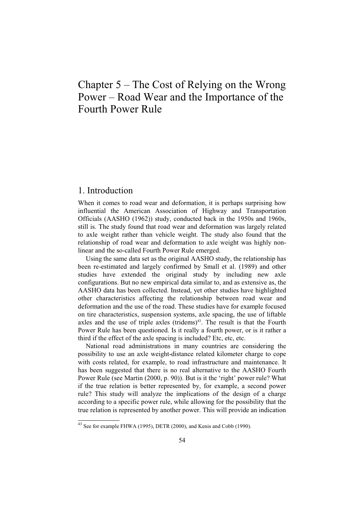# Chapter 5 – The Cost of Relying on the Wrong Power – Road Wear and the Importance of the Fourth Power Rule

# 1. Introduction

When it comes to road wear and deformation, it is perhaps surprising how influential the American Association of Highway and Transportation Officials (AASHO (1962)) study, conducted back in the 1950s and 1960s, still is. The study found that road wear and deformation was largely related to axle weight rather than vehicle weight. The study also found that the relationship of road wear and deformation to axle weight was highly nonlinear and the so-called Fourth Power Rule emerged.

Using the same data set as the original AASHO study, the relationship has been re-estimated and largely confirmed by Small et al. (1989) and other studies have extended the original study by including new axle configurations. But no new empirical data similar to, and as extensive as, the AASHO data has been collected. Instead, yet other studies have highlighted other characteristics affecting the relationship between road wear and deformation and the use of the road. These studies have for example focused on tire characteristics, suspension systems, axle spacing, the use of liftable axles and the use of triple axles (tridems)<sup>43</sup>. The result is that the Fourth Power Rule has been questioned. Is it really a fourth power, or is it rather a third if the effect of the axle spacing is included? Etc, etc, etc.

National road administrations in many countries are considering the possibility to use an axle weight-distance related kilometer charge to cope with costs related, for example, to road infrastructure and maintenance. It has been suggested that there is no real alternative to the AASHO Fourth Power Rule (see Martin (2000, p. 90)). But is it the 'right' power rule? What if the true relation is better represented by, for example, a second power rule? This study will analyze the implications of the design of a charge according to a specific power rule, while allowing for the possibility that the true relation is represented by another power. This will provide an indication

<sup>43</sup> See for example FHWA (1995), DETR (2000), and Kenis and Cobb (1990).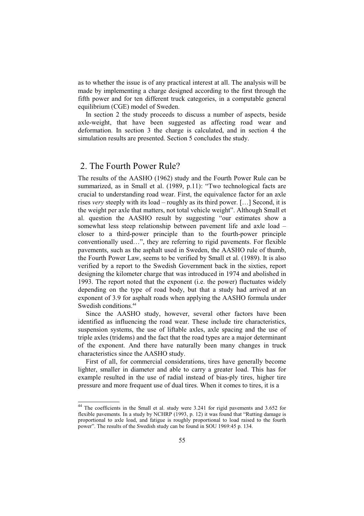as to whether the issue is of any practical interest at all. The analysis will be made by implementing a charge designed according to the first through the fifth power and for ten different truck categories, in a computable general equilibrium (CGE) model of Sweden.

In section 2 the study proceeds to discuss a number of aspects, beside axle-weight, that have been suggested as affecting road wear and deformation. In section 3 the charge is calculated, and in section 4 the simulation results are presented. Section 5 concludes the study.

# 2. The Fourth Power Rule?

The results of the AASHO (1962) study and the Fourth Power Rule can be summarized, as in Small et al. (1989, p.11): "Two technological facts are crucial to understanding road wear. First, the equivalence factor for an axle rises *very* steeply with its load – roughly as its third power. […] Second, it is the weight per axle that matters, not total vehicle weight". Although Small et al. question the AASHO result by suggesting "our estimates show a somewhat less steep relationship between pavement life and axle load – closer to a third-power principle than to the fourth-power principle conventionally used…", they are referring to rigid pavements. For flexible pavements, such as the asphalt used in Sweden, the AASHO rule of thumb, the Fourth Power Law, seems to be verified by Small et al. (1989). It is also verified by a report to the Swedish Government back in the sixties, report designing the kilometer charge that was introduced in 1974 and abolished in 1993. The report noted that the exponent (i.e. the power) fluctuates widely depending on the type of road body, but that a study had arrived at an exponent of 3.9 for asphalt roads when applying the AASHO formula under Swedish conditions.<sup>44</sup>

Since the AASHO study, however, several other factors have been identified as influencing the road wear. These include tire characteristics, suspension systems, the use of liftable axles, axle spacing and the use of triple axles (tridems) and the fact that the road types are a major determinant of the exponent. And there have naturally been many changes in truck characteristics since the AASHO study.

First of all, for commercial considerations, tires have generally become lighter, smaller in diameter and able to carry a greater load. This has for example resulted in the use of radial instead of bias-ply tires, higher tire pressure and more frequent use of dual tires. When it comes to tires, it is a

<sup>44</sup> The coefficients in the Small et al. study were 3.241 for rigid pavements and 3.652 for flexible pavements. In a study by NCHRP (1993, p. 12) it was found that "Rutting damage is proportional to axle load, and fatigue is roughly proportional to load raised to the fourth power". The results of the Swedish study can be found in SOU 1969:45 p. 134.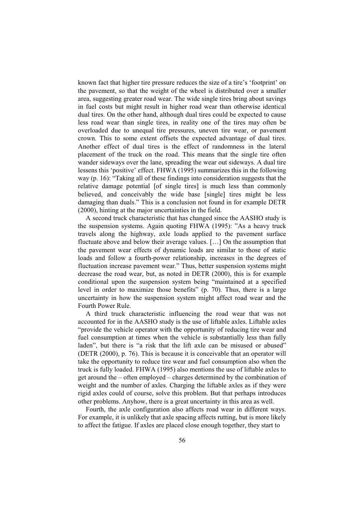known fact that higher tire pressure reduces the size of a tire's 'footprint' on the pavement, so that the weight of the wheel is distributed over a smaller area, suggesting greater road wear. The wide single tires bring about savings in fuel costs but might result in higher road wear than otherwise identical dual tires. On the other hand, although dual tires could be expected to cause less road wear than single tires, in reality one of the tires may often be overloaded due to unequal tire pressures, uneven tire wear, or pavement crown. This to some extent offsets the expected advantage of dual tires. Another effect of dual tires is the effect of randomness in the lateral placement of the truck on the road. This means that the single tire often wander sideways over the lane, spreading the wear out sideways. A dual tire lessens this 'positive' effect. FHWA (1995) summarizes this in the following way (p. 16): "Taking all of these findings into consideration suggests that the relative damage potential [of single tires] is much less than commonly believed, and conceivably the wide base [single] tires might be less damaging than duals." This is a conclusion not found in for example DETR (2000), hinting at the major uncertainties in the field.

A second truck characteristic that has changed since the AASHO study is the suspension systems. Again quoting FHWA (1995): "As a heavy truck travels along the highway, axle loads applied to the pavement surface fluctuate above and below their average values. […] On the assumption that the pavement wear effects of dynamic loads are similar to those of static loads and follow a fourth-power relationship, increases in the degrees of fluctuation increase pavement wear." Thus, better suspension systems might decrease the road wear, but, as noted in DETR (2000), this is for example conditional upon the suspension system being "maintained at a specified level in order to maximize those benefits" (p. 70). Thus, there is a large uncertainty in how the suspension system might affect road wear and the Fourth Power Rule.

A third truck characteristic influencing the road wear that was not accounted for in the AASHO study is the use of liftable axles. Liftable axles "provide the vehicle operator with the opportunity of reducing tire wear and fuel consumption at times when the vehicle is substantially less than fully laden", but there is "a risk that the lift axle can be misused or abused" (DETR (2000), p. 76). This is because it is conceivable that an operator will take the opportunity to reduce tire wear and fuel consumption also when the truck is fully loaded. FHWA (1995) also mentions the use of liftable axles to get around the – often employed – charges determined by the combination of weight and the number of axles. Charging the liftable axles as if they were rigid axles could of course, solve this problem. But that perhaps introduces other problems. Anyhow, there is a great uncertainty in this area as well.

Fourth, the axle configuration also affects road wear in different ways. For example, it is unlikely that axle spacing affects rutting, but is more likely to affect the fatigue. If axles are placed close enough together, they start to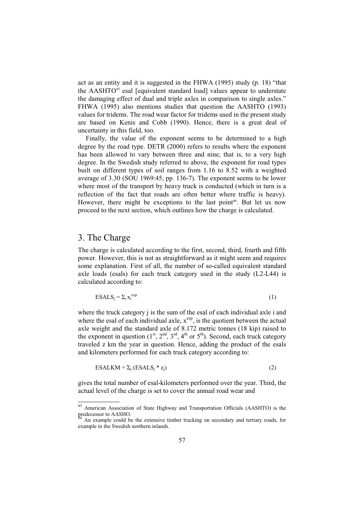act as an entity and it is suggested in the FHWA (1995) study (p. 18) "that the AASHTO<sup>45</sup> esal [equivalent standard load] values appear to understate the damaging effect of dual and triple axles in comparison to single axles." FHWA (1995) also mentions studies that question the AASHTO (1993) values for tridems. The road wear factor for tridems used in the present study are based on Kenis and Cobb (1990). Hence, there is a great deal of uncertainty in this field, too.

Finally, the value of the exponent seems to be determined to a high degree by the road type. DETR (2000) refers to results where the exponent has been allowed to vary between three and nine, that is, to a very high degree. In the Swedish study referred to above, the exponent for road types built on different types of soil ranges from 1.16 to 8.52 with a weighted average of 3.30 (SOU 1969:45, pp. 136-7). The exponent seems to be lower where most of the transport by heavy truck is conducted (which in turn is a reflection of the fact that roads are often better where traffic is heavy). However, there might be exceptions to the last point<sup>46</sup>. But let us now proceed to the next section, which outlines how the charge is calculated.

# 3. The Charge

The charge is calculated according to the first, second, third, fourth and fifth power. However, this is not as straightforward as it might seem and requires some explanation. First of all, the number of so-called equivalent standard axle loads (esals) for each truck category used in the study (L2-L44) is calculated according to:

$$
ESALS_j = \sum_i x_i^{exp}
$$
 (1)

where the truck category *i* is the sum of the esal of each individual axle *i* and where the esal of each individual axle,  $x^{\exp}$ , is the quotient between the actual axle weight and the standard axle of 8.172 metric tonnes (18 kip) raised to the exponent in question  $(1^{st}, 2^{nd}, 3^{rd}, 4^{th} \text{ or } 5^{th})$ . Second, each truck category traveled z km the year in question. Hence, adding the product of the esals and kilometers performed for each truck category according to:

$$
ESALKM = \sum_{j} (ESALS_j * z_j)
$$
 (2)

gives the total number of esal-kilometers performed over the year. Third, the actual level of the charge is set to cover the annual road wear and

<sup>45</sup> American Association of State Highway and Transportation Officials (AASHTO) is the predecessor to AASHO.

<sup>46</sup> An example could be the extensive timber trucking on secondary and tertiary roads, for example in the Swedish northern inlands.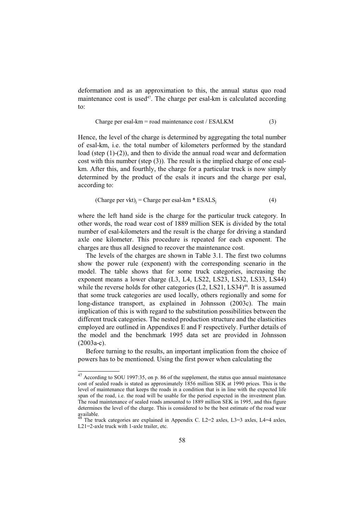deformation and as an approximation to this, the annual status quo road maintenance cost is used<sup>47</sup>. The charge per esal-km is calculated according to:

$$
Change per esal-km = road maintenance cost / ESALKM
$$
\n(3)

Hence, the level of the charge is determined by aggregating the total number of esal-km, i.e. the total number of kilometers performed by the standard load (step (1)-(2)), and then to divide the annual road wear and deformation cost with this number (step (3)). The result is the implied charge of one esalkm. After this, and fourthly, the charge for a particular truck is now simply determined by the product of the esals it incurs and the charge per esal, according to:

(Change per vkt)<sub>j</sub> = Charge per esal-km \* ESALS<sub>j</sub> 
$$
(4)
$$

where the left hand side is the charge for the particular truck category. In other words, the road wear cost of 1889 million SEK is divided by the total number of esal-kilometers and the result is the charge for driving a standard axle one kilometer. This procedure is repeated for each exponent. The charges are thus all designed to recover the maintenance cost.

The levels of the charges are shown in Table 3.1. The first two columns show the power rule (exponent) with the corresponding scenario in the model. The table shows that for some truck categories, increasing the exponent means a lower charge (L3, L4, LS22, LS23, LS32, LS33, LS44) while the reverse holds for other categories  $(L2, LS21, LS34)^{48}$ . It is assumed that some truck categories are used locally, others regionally and some for long-distance transport, as explained in Johnsson (2003c). The main implication of this is with regard to the substitution possibilities between the different truck categories. The nested production structure and the elasticities employed are outlined in Appendixes E and F respectively. Further details of the model and the benchmark 1995 data set are provided in Johnsson (2003a-c).

Before turning to the results, an important implication from the choice of powers has to be mentioned. Using the first power when calculating the

<sup>&</sup>lt;sup>47</sup> According to SOU 1997:35, on p. 86 of the supplement, the status quo annual maintenance cost of sealed roads is stated as approximately 1856 million SEK at 1990 prices. This is the level of maintenance that keeps the roads in a condition that is in line with the expected life span of the road, i.e. the road will be usable for the period expected in the investment plan. The road maintenance of sealed roads amounted to 1889 million SEK in 1995, and this figure determines the level of the charge. This is considered to be the best estimate of the road wear available.

The truck categories are explained in Appendix C. L2=2 axles, L3=3 axles, L4=4 axles, L21=2-axle truck with 1-axle trailer, etc.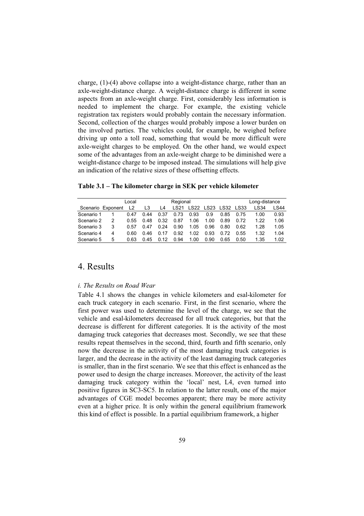charge, (1)-(4) above collapse into a weight-distance charge, rather than an axle-weight-distance charge. A weight-distance charge is different in some aspects from an axle-weight charge. First, considerably less information is needed to implement the charge. For example, the existing vehicle registration tax registers would probably contain the necessary information. Second, collection of the charges would probably impose a lower burden on the involved parties. The vehicles could, for example, be weighed before driving up onto a toll road, something that would be more difficult were axle-weight charges to be employed. On the other hand, we would expect some of the advantages from an axle-weight charge to be diminished were a weight-distance charge to be imposed instead. The simulations will help give an indication of the relative sizes of these offsetting effects.

**Table 3.1 – The kilometer charge in SEK per vehicle kilometer** 

| Local      |                   |                |      |                | Regional |      |           |           |      | Long-distance |      |
|------------|-------------------|----------------|------|----------------|----------|------|-----------|-----------|------|---------------|------|
|            | Scenario Exponent | $\overline{2}$ | L3   | L <sub>4</sub> | LS21     |      | LS22 LS23 | LS32 LS33 |      | LS34          | LS44 |
| Scenario 1 |                   | 0.47           | 0.44 | 0.37           | 0.73     | 0.93 | 0.9       | 0.85      | 0.75 | 1.00          | 0.93 |
| Scenario 2 |                   | 0.55           | 0.48 | 0.32           | 0.87     | 1.06 | 1.00      | 0.89      | 0.72 | 1.22          | 1.06 |
| Scenario 3 | 3                 | 0.57           | 0.47 | 0.24           | 0.90     | 1.05 | 0.96      | 0.80      | 0.62 | 1.28          | 1.05 |
| Scenario 4 | 4                 | 0.60           | 0.46 | 0.17           | 0.92     | 1.02 | 0.93      | 0.72      | 0.55 | 1.32          | 1.04 |
| Scenario 5 | 5                 | 0.63           | 0.45 | 0.12           | 0.94     | 1.00 | 0.90      | 0.65      | 0.50 | 1.35          | 1.02 |

# 4. Results

#### *i. The Results on Road Wear*

Table 4.1 shows the changes in vehicle kilometers and esal-kilometer for each truck category in each scenario. First, in the first scenario, where the first power was used to determine the level of the charge, we see that the vehicle and esal-kilometers decreased for all truck categories, but that the decrease is different for different categories. It is the activity of the most damaging truck categories that decreases most. Secondly, we see that these results repeat themselves in the second, third, fourth and fifth scenario, only now the decrease in the activity of the most damaging truck categories is larger, and the decrease in the activity of the least damaging truck categories is smaller, than in the first scenario. We see that this effect is enhanced as the power used to design the charge increases. Moreover, the activity of the least damaging truck category within the 'local' nest, L4, even turned into positive figures in SC3-SC5. In relation to the latter result, one of the major advantages of CGE model becomes apparent; there may be more activity even at a higher price. It is only within the general equilibrium framework this kind of effect is possible. In a partial equilibrium framework, a higher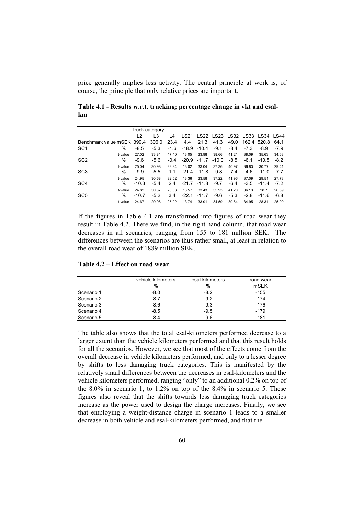price generally implies less activity. The central principle at work is, of course, the principle that only relative prices are important.

**Table 4.1 - Results w.r.t. trucking; percentage change in vkt and esalkm** 

| Truck category             |              |                  |                 |                 |                  |                  |                  |                 |                 |                  |                 |
|----------------------------|--------------|------------------|-----------------|-----------------|------------------|------------------|------------------|-----------------|-----------------|------------------|-----------------|
|                            |              | L <sub>2</sub>   | L3              | L4              | LS21             | <b>LS22</b>      | LS23             | <b>LS32</b>     | LS33            | LS34             | LS44            |
| Benchmark value mSEK 399.4 |              |                  | 306.0           | 23.4            | 4.4              | 21.3             | 41.3             | 49.0            | 162.4           | 520.8            | 64.1            |
| SC <sub>1</sub>            | %            | $-8.5$           | $-5.3$          | $-1.6$          | $-18.9$          | $-10.4$          | $-9.1$           | $-8.4$          | $-7.3$          | $-8.9$           | $-7.9$          |
| SC <sub>2</sub>            | t-value<br>% | 27.02<br>$-9.6$  | 33.81<br>$-5.6$ | 47.40<br>$-0.4$ | 13.05<br>$-20.9$ | 33.98<br>$-11.7$ | 38.66<br>$-10.0$ | 41.21<br>$-8.5$ | 38.09<br>-6.1   | 35.63<br>$-10.5$ | 34.63<br>$-8.2$ |
| SC <sub>3</sub>            | t-value<br>% | 25.04<br>$-9.9$  | 30.98<br>$-5.5$ | 38.24<br>1.1    | 13.02<br>$-21.4$ | 33.04<br>$-11.8$ | 37.36<br>$-9.8$  | 40.97<br>$-7.4$ | 36.83<br>$-4.6$ | 30.77<br>$-11.0$ | 29.41<br>$-7.7$ |
| SC <sub>4</sub>            | t-value<br>℅ | 24.95<br>$-10.3$ | 30.68<br>$-5.4$ | 32.52<br>2.4    | 13.36<br>$-21.7$ | 33.58<br>$-11.8$ | 37.22<br>$-9.7$  | 41.96<br>$-6.4$ | 37.09<br>$-3.5$ | 29.51<br>$-11.4$ | 27.73<br>$-7.2$ |
| SC <sub>5</sub>            | t-value<br>% | 24.82<br>$-10.7$ | 30.37<br>$-5.2$ | 28.03<br>3.4    | 13.57<br>$-22.1$ | 33.43<br>$-11.7$ | 35.93<br>$-9.6$  | 41.20<br>$-5.3$ | 36.13<br>$-2.8$ | 28.7<br>$-11.6$  | 26.59<br>$-6.8$ |
|                            | t-value      | 24.67            | 29.98           | 25.02           | 13.74            | 33.01            | 34.59            | 39.84           | 34.95           | 28.31            | 25.99           |

If the figures in Table 4.1 are transformed into figures of road wear they result in Table 4.2. There we find, in the right hand column, that road wear decreases in all scenarios, ranging from 155 to 181 million SEK. The differences between the scenarios are thus rather small, at least in relation to the overall road wear of 1889 million SEK.

| Table 4.2 – Effect on road wear |  |
|---------------------------------|--|
|---------------------------------|--|

|            | vehicle kilometers<br>% | esal-kilometers<br>$\%$ | road wear<br>mSEK |
|------------|-------------------------|-------------------------|-------------------|
| Scenario 1 | $-8.0$                  | $-8.2$                  | $-155$            |
| Scenario 2 | $-8.7$                  | $-9.2$                  | $-174$            |
| Scenario 3 | $-8.6$                  | $-9.3$                  | $-176$            |
| Scenario 4 | $-8.5$                  | $-9.5$                  | $-179$            |
| Scenario 5 | $-8.4$                  | $-9.6$                  | $-181$            |

The table also shows that the total esal-kilometers performed decrease to a larger extent than the vehicle kilometers performed and that this result holds for all the scenarios. However, we see that most of the effects come from the overall decrease in vehicle kilometers performed, and only to a lesser degree by shifts to less damaging truck categories. This is manifested by the relatively small differences between the decreases in esal-kilometers and the vehicle kilometers performed, ranging "only" to an additional 0.2% on top of the 8.0% in scenario 1, to 1.2% on top of the 8.4% in scenario 5. These figures also reveal that the shifts towards less damaging truck categories increase as the power used to design the charge increases. Finally, we see that employing a weight-distance charge in scenario 1 leads to a smaller decrease in both vehicle and esal-kilometers performed, and that the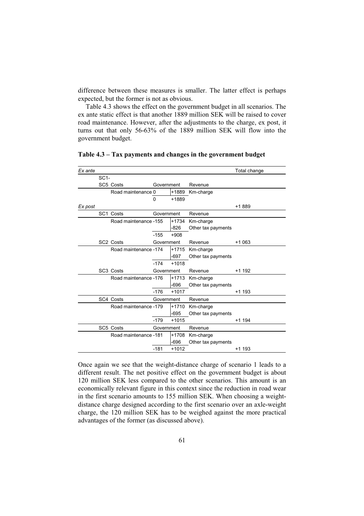difference between these measures is smaller. The latter effect is perhaps expected, but the former is not as obvious.

Table 4.3 shows the effect on the government budget in all scenarios. The ex ante static effect is that another 1889 million SEK will be raised to cover road maintenance. However, after the adjustments to the charge, ex post, it turns out that only 56-63% of the 1889 million SEK will flow into the government budget.

| Ex ante |        |                       |              |         |                    | Total change |
|---------|--------|-----------------------|--------------|---------|--------------------|--------------|
|         | $SC1-$ |                       |              |         |                    |              |
|         |        | SC5 Costs             | Government   |         | Revenue            |              |
|         |        | Road maintenance 0    |              | +1889   | Km-charge          |              |
|         |        |                       | $\mathbf{0}$ | +1889   |                    |              |
| Ex post |        |                       |              |         |                    | +1889        |
|         |        | SC <sub>1</sub> Costs | Government   |         | Revenue            |              |
|         |        | Road maintenance -155 |              | $+1734$ | Km-charge          |              |
|         |        |                       |              | $-826$  | Other tax payments |              |
|         |        |                       | $-155$       | $+908$  |                    |              |
|         |        | SC <sub>2</sub> Costs | Government   |         | Revenue            | +1 063       |
|         |        | Road maintenance -174 |              | $+1715$ | Km-charge          |              |
|         |        |                       |              | -697    | Other tax payments |              |
|         |        |                       | $-174$       | $+1018$ |                    |              |
|         |        | SC <sub>3</sub> Costs | Government   |         | Revenue            | $+1$ 192     |
|         |        | Road maintenance -176 |              | $+1713$ | Km-charge          |              |
|         |        |                       |              | -696    | Other tax payments |              |
|         |        |                       | $-176$       | $+1017$ |                    | +1 193       |
|         |        | SC4 Costs             | Government   |         | Revenue            |              |
|         |        | Road maintenance -179 |              | $+1710$ | Km-charge          |              |
|         |        |                       |              | -695    | Other tax payments |              |
|         |        |                       | $-179$       | $+1015$ |                    | +1 194       |
|         |        | SC5 Costs             | Government   |         | Revenue            |              |
|         |        | Road maintenance -181 |              | +1708   | Km-charge          |              |
|         |        |                       |              | -696    | Other tax payments |              |
|         |        |                       | $-181$       | $+1012$ |                    | +1 193       |

**Table 4.3 – Tax payments and changes in the government budget** 

Once again we see that the weight-distance charge of scenario 1 leads to a different result. The net positive effect on the government budget is about 120 million SEK less compared to the other scenarios. This amount is an economically relevant figure in this context since the reduction in road wear in the first scenario amounts to 155 million SEK. When choosing a weightdistance charge designed according to the first scenario over an axle-weight charge, the 120 million SEK has to be weighed against the more practical advantages of the former (as discussed above).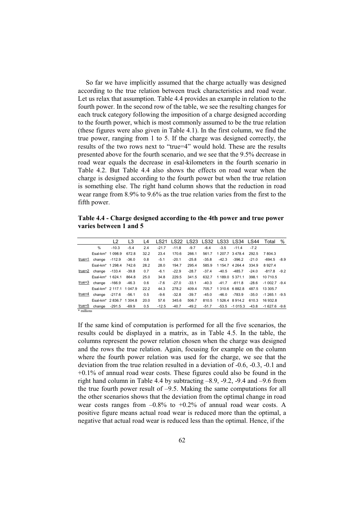So far we have implicitly assumed that the charge actually was designed according to the true relation between truck characteristics and road wear. Let us relax that assumption. Table 4.4 provides an example in relation to the fourth power. In the second row of the table, we see the resulting changes for each truck category following the imposition of a charge designed according to the fourth power, which is most commonly assumed to be the true relation (these figures were also given in Table 4.1). In the first column, we find the true power, ranging from 1 to 5. If the charge was designed correctly, the results of the two rows next to "true=4" would hold. These are the results presented above for the fourth scenario, and we see that the 9.5% decrease in road wear equals the decrease in esal-kilometers in the fourth scenario in Table 4.2. But Table 4.4 also shows the effects on road wear when the charge is designed according to the fourth power but when the true relation is something else. The right hand column shows that the reduction in road wear range from 8.9% to 9.6% as the true relation varies from the first to the fifth power.

**Table 4.4 - Charge designed according to the 4th power and true power varies between 1 and 5** 

|            |                                      | L <sub>2</sub> | L3      | L4   | LS21    |         |         |         |         | LS22 LS23 LS32 LS33 LS34 LS44 |         | Total              | % |
|------------|--------------------------------------|----------------|---------|------|---------|---------|---------|---------|---------|-------------------------------|---------|--------------------|---|
|            | $\frac{0}{0}$                        | $-10.3$        | $-5.4$  | 2.4  | $-21.7$ | $-11.8$ | $-9.7$  | $-6.4$  | $-3.5$  | $-11.4$                       | $-7.2$  |                    |   |
|            | Esal-km <sup>*</sup> 1 098.9         |                | 672.8   | 32.2 | 23.4    | 170.6   | 266.1   | 561.7   |         | 1 207.7 3 478.4               | 292.5   | 7 804.3            |   |
| true=1     | change                               | $-112.9$       | $-36.0$ | 0.8  | $-5.1$  | $-20.1$ | $-25.8$ | $-35.8$ | $-42.3$ | $-396.2$                      | $-21.0$ | $-694.5 - 8.9$     |   |
|            | Esal-km <sup>*</sup> 1 298.4         |                | 742.6   | 28.2 | 28.0    | 194.7   | 295.4   | 585.9   |         | 1 1 54.7 4 2 64.4             | 334.9   | 8927.4             |   |
| true=2     | change                               | $-133.4$       | $-39.8$ | 0.7  | $-6.1$  | $-22.9$ | $-28.7$ | $-37.4$ | $-40.5$ | $-485.7$                      | $-24.0$ | $-817.8 - 9.2$     |   |
|            | Esal-km <sup>*</sup> 1624.1          |                | 864.8   | 25.0 | 34.8    | 229.5   | 341.5   | 632.7   |         | 1 189.0 5 371.1               | 398.1   | 10 710.5           |   |
| true=3     | change                               | $-166.9$       | $-46.3$ | 0.6  | $-7.6$  | $-27.0$ | $-33.1$ | $-40.3$ | $-41.7$ | $-611.8$                      | $-28.6$ | $-1002.7 - 9.4$    |   |
|            | Esal-km <sup>*</sup> 2 117.1 1 047.9 |                |         | 22.2 | 44.3    | 278.2   | 409.4   | 705.7   |         | 1310.6 6882.8                 | 487.5   | 13 305.7           |   |
| true=4     | change                               | $-217.6$       | $-56.1$ | 0.5  | $-9.6$  | $-32.8$ | $-39.7$ | $-45.0$ | $-46.0$ | $-783.9$                      | $-35.0$ | $-1, 265.1$ $-9.5$ |   |
|            | Esal-km <sup>*</sup> 2836.7 1304.8   |                |         | 20.0 | 57.6    | 345.6   | 506.7   | 810.5   |         | 1526.4 8914.2                 | 610.3   | 16 932.8           |   |
| true=5     | change                               | $-291.5$       | $-69.9$ | 0.5  | $-12.5$ | $-40.7$ | $-49.2$ | $-51.7$ | -53.5   | $-1015.3$                     | $-43.8$ | $-1627.6 - 9.6$    |   |
| * millions |                                      |                |         |      |         |         |         |         |         |                               |         |                    |   |

If the same kind of computation is performed for all the five scenarios, the results could be displayed in a matrix, as in Table 4.5. In the table, the columns represent the power relation chosen when the charge was designed and the rows the true relation. Again, focusing for example on the column where the fourth power relation was used for the charge, we see that the deviation from the true relation resulted in a deviation of -0.6, -0.3, -0.1 and  $+0.1\%$  of annual road wear costs. These figures could also be found in the right hand column in Table 4.4 by subtracting –8.9, -9.2, -9.4 and –9.6 from the true fourth power result of –9.5. Making the same computations for all the other scenarios shows that the deviation from the optimal change in road wear costs ranges from  $-0.8\%$  to  $+0.2\%$  of annual road wear costs. A positive figure means actual road wear is reduced more than the optimal, a negative that actual road wear is reduced less than the optimal. Hence, if the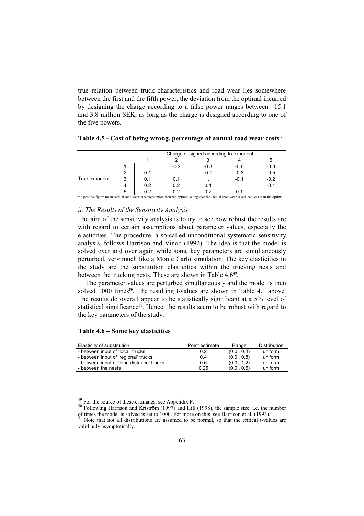true relation between truck characteristics and road wear lies somewhere between the first and the fifth power, the deviation from the optimal incurred by designing the charge according to a false power ranges between –15.1 and 3.8 million SEK, as long as the charge is designed according to one of the five powers.

|                |   |     | Charge designed according to exponent: |           |           |           |  |  |  |  |
|----------------|---|-----|----------------------------------------|-----------|-----------|-----------|--|--|--|--|
|                |   |     |                                        |           |           |           |  |  |  |  |
|                |   |     | $-0.2$                                 | $-0.3$    | $-0.6$    | $-0.8$    |  |  |  |  |
|                |   | 0.1 | $\sim$ $\sim$                          | $-0.1$    | $-0.3$    | $-0.5$    |  |  |  |  |
| True exponent: | 3 | 0.1 | 0.1                                    | $\cdot$ . | $-0.1$    | $-0.2$    |  |  |  |  |
|                | 4 | 0.2 | 0.2                                    | 0.1       | $\cdot$ . | $-0.1$    |  |  |  |  |
|                | 5 | 0.2 | 0.2                                    | በ 2       | 0.1       | $\cdot$ . |  |  |  |  |

| Table 4.5 - Cost of being wrong, percentage of annual road wear costs* |  |  |
|------------------------------------------------------------------------|--|--|
|------------------------------------------------------------------------|--|--|

\* a positive figure means actual road wear is reduced more than the optimal, a negative that actual road wear is reduced less than the optimal

#### *ii. The Results of the Sensitivity Analysis*

The aim of the sensitivity analysis is to try to see how robust the results are with regard to certain assumptions about parameter values, especially the elasticities. The procedure, a so-called unconditional systematic sensitivity analysis, follows Harrison and Vinod (1992). The idea is that the model is solved over and over again while some key parameters are simultaneously perturbed, very much like a Monte Carlo simulation. The key elasticities in the study are the substitution elasticities within the trucking nests and between the trucking nests. These are shown in Table 4.6<sup>49</sup>.

The parameter values are perturbed simultaneously and the model is then solved 1000 times**<sup>50</sup>**. The resulting t-values are shown in Table 4.1 above. The results do overall appear to be statistically significant at a 5% level of statistical significance**<sup>51</sup>**. Hence, the results seem to be robust with regard to the key parameters of the study.

## **Table 4.6 – Some key elasticities**

| Elasticity of substitution                | Point estimate | Range      | Distribution |
|-------------------------------------------|----------------|------------|--------------|
| - between input of 'local' trucks         | 0.2            | (0.0, 0.4) | uniform      |
| - between input of 'regional' trucks      | 0.4            | (0.0, 0.8) | uniform      |
| - between input of 'long-distance' trucks | 0.6            | (0.0, 1.2) | uniform      |
| - between the nests                       | 0.25           | (0.0, 0.5) | uniform      |

 $\frac{49}{50}$  For the source of these estimates, see Appendix F.<br>50 Following Harrison and Kriström (1997) and Hill (1998), the sample size, i.e. the number<br>1000 For more on this see Harrison et al. (1993). of times the model is solved is set to 1000. For more on this, see Harrison et al. (1993).

Note that not all distributions are assumed to be normal, so that the critical t-values are valid only asymptotically.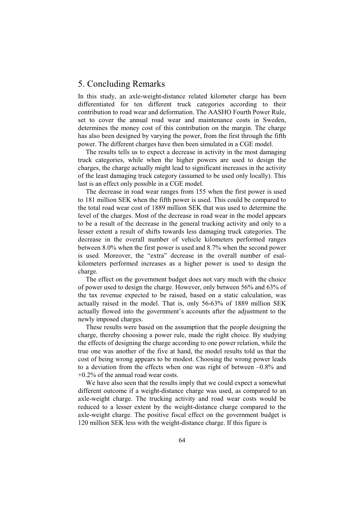# 5. Concluding Remarks

In this study, an axle-weight-distance related kilometer charge has been differentiated for ten different truck categories according to their contribution to road wear and deformation. The AASHO Fourth Power Rule, set to cover the annual road wear and maintenance costs in Sweden, determines the money cost of this contribution on the margin. The charge has also been designed by varying the power, from the first through the fifth power. The different charges have then been simulated in a CGE model.

The results tells us to expect a decrease in activity in the most damaging truck categories, while when the higher powers are used to design the charges, the charge actually might lead to significant increases in the activity of the least damaging truck category (assumed to be used only locally). This last is an effect only possible in a CGE model.

The decrease in road wear ranges from 155 when the first power is used to 181 million SEK when the fifth power is used. This could be compared to the total road wear cost of 1889 million SEK that was used to determine the level of the charges. Most of the decrease in road wear in the model appears to be a result of the decrease in the general trucking activity and only to a lesser extent a result of shifts towards less damaging truck categories. The decrease in the overall number of vehicle kilometers performed ranges between 8.0% when the first power is used and 8.7% when the second power is used. Moreover, the "extra" decrease in the overall number of esalkilometers performed increases as a higher power is used to design the charge.

The effect on the government budget does not vary much with the choice of power used to design the charge. However, only between 56% and 63% of the tax revenue expected to be raised, based on a static calculation, was actually raised in the model. That is, only 56-63% of 1889 million SEK actually flowed into the government's accounts after the adjustment to the newly imposed charges.

These results were based on the assumption that the people designing the charge, thereby choosing a power rule, made the right choice. By studying the effects of designing the charge according to one power relation, while the true one was another of the five at hand, the model results told us that the cost of being wrong appears to be modest. Choosing the wrong power leads to a deviation from the effects when one was right of between –0.8% and +0.2% of the annual road wear costs.

We have also seen that the results imply that we could expect a somewhat different outcome if a weight-distance charge was used, as compared to an axle-weight charge. The trucking activity and road wear costs would be reduced to a lesser extent by the weight-distance charge compared to the axle-weight charge. The positive fiscal effect on the government budget is 120 million SEK less with the weight-distance charge. If this figure is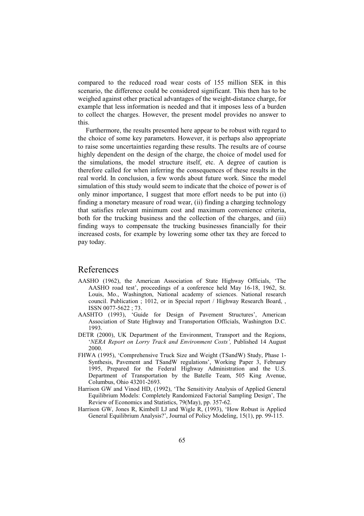compared to the reduced road wear costs of 155 million SEK in this scenario, the difference could be considered significant. This then has to be weighed against other practical advantages of the weight-distance charge, for example that less information is needed and that it imposes less of a burden to collect the charges. However, the present model provides no answer to this.

Furthermore, the results presented here appear to be robust with regard to the choice of some key parameters. However, it is perhaps also appropriate to raise some uncertainties regarding these results. The results are of course highly dependent on the design of the charge, the choice of model used for the simulations, the model structure itself, etc. A degree of caution is therefore called for when inferring the consequences of these results in the real world. In conclusion, a few words about future work. Since the model simulation of this study would seem to indicate that the choice of power is of only minor importance, I suggest that more effort needs to be put into (i) finding a monetary measure of road wear, (ii) finding a charging technology that satisfies relevant minimum cost and maximum convenience criteria, both for the trucking business and the collection of the charges, and (iii) finding ways to compensate the trucking businesses financially for their increased costs, for example by lowering some other tax they are forced to pay today.

# References

- AASHO (1962), the American Association of State Highway Officials, 'The AASHO road test', proceedings of a conference held May 16-18, 1962, St. Louis, Mo., Washington, National academy of sciences. National research council. Publication ; 1012, or in Special report / Highway Research Board, , ISSN 0077-5622 ; 73.
- AASHTO (1993), 'Guide for Design of Pavement Structures', American Association of State Highway and Transportation Officials, Washington D.C. 1993.
- DETR (2000), UK Department of the Environment, Transport and the Regions, '*NERA Report on Lorry Track and Environment Costs',* Published 14 August 2000.
- FHWA (1995), 'Comprehensive Truck Size and Weight (TSandW) Study, Phase 1- Synthesis, Pavement and TSandW regulations', Working Paper 3, February 1995, Prepared for the Federal Highway Administration and the U.S. Department of Transportation by the Batelle Team, 505 King Avenue, Columbus, Ohio 43201-2693.
- Harrison GW and Vinod HD, (1992), 'The Sensitivity Analysis of Applied General Equilibrium Models: Completely Randomized Factorial Sampling Design', The Review of Economics and Statistics, 79(May), pp. 357-62.
- Harrison GW, Jones R, Kimbell LJ and Wigle R, (1993), 'How Robust is Applied General Equilibrium Analysis?', Journal of Policy Modeling, 15(1), pp. 99-115.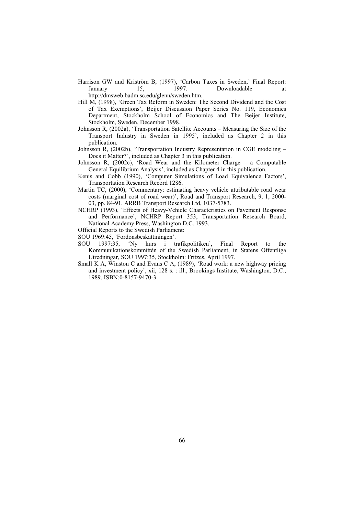Harrison GW and Kriström B, (1997), 'Carbon Taxes in Sweden,' Final Report: January 15, 1997. Downloadable at

http://dmsweb.badm.sc.edu/glenn/sweden.htm.

- Hill M, (1998), 'Green Tax Reform in Sweden: The Second Dividend and the Cost of Tax Exemptions', Beijer Discussion Paper Series No. 119, Economics Department, Stockholm School of Economics and The Beijer Institute, Stockholm, Sweden, December 1998.
- Johnsson R, (2002a), 'Transportation Satellite Accounts Measuring the Size of the Transport Industry in Sweden in 1995', included as Chapter 2 in this publication.
- Johnsson R, (2002b), 'Transportation Industry Representation in CGE modeling Does it Matter?', included as Chapter 3 in this publication.
- Johnsson R, (2002c), 'Road Wear and the Kilometer Charge a Computable General Equilibrium Analysis', included as Chapter 4 in this publication.
- Kenis and Cobb (1990), 'Computer Simulations of Load Equivalence Factors', Transportation Research Record 1286.
- Martin TC, (2000), 'Commentary: estimating heavy vehicle attributable road wear costs (marginal cost of road wear)', Road and Transport Research, 9, 1, 2000- 03, pp. 84-91, ARRB Transport Research Ltd, 1037-5783.
- NCHRP (1993), 'Effects of Heavy-Vehicle Characteristics on Pavement Response and Performance', NCHRP Report 353, Transportation Research Board, National Academy Press, Washington D.C. 1993.
- Official Reports to the Swedish Parliament:
- SOU 1969:45, 'Fordonsbeskattiningen'.
- SOU 1997:35, 'Ny kurs i trafikpolitiken', Final Report to the Kommunikationskommittén of the Swedish Parliament, in Statens Offentliga Utredningar, SOU 1997:35, Stockholm: Fritzes, April 1997.
- Small K A, Winston C and Evans C A, (1989), 'Road work: a new highway pricing and investment policy', xii, 128 s. : ill., Brookings Institute, Washington, D.C., 1989. ISBN:0-8157-9470-3.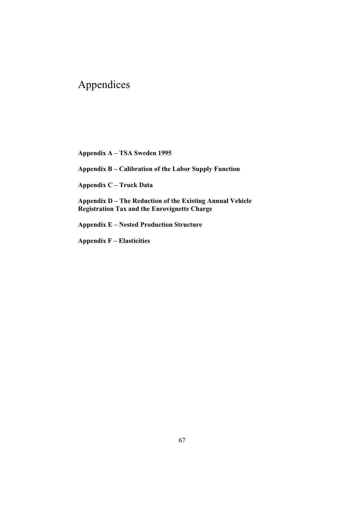### Appendices

**Appendix A – TSA Sweden 1995** 

**Appendix B – Calibration of the Labor Supply Function** 

**Appendix C – Truck Data** 

**Appendix D – The Reduction of the Existing Annual Vehicle Registration Tax and the Eurovignette Charge** 

**Appendix E – Nested Production Structure** 

**Appendix F – Elasticities**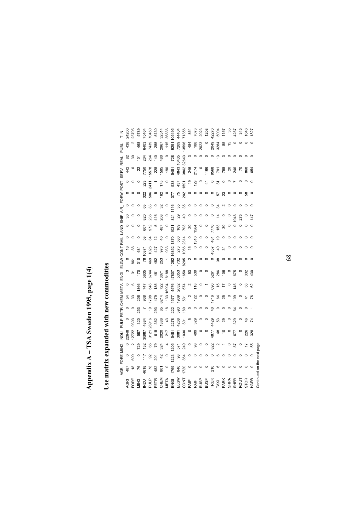## Appendix A - TSA Sweden 1995, page 1(4) **Appendix A – TSA Sweden 1995, page 1(4)**

## Use matrix expanded with new commodities **Use matrix expanded with new commodities**

|              | <b>AGRI</b>                                 | FORE MING           |                        | Daw             |                                                                     |                                                   | PULP PETR CHEM META   |                        | .<br>조                                                                         |                                                                                               | ELGW CONT RAIL LAND SHIP AIR                       |                               |                          |                |                                 | FORW POST       |                     | SERV                                                                                                                                                                 | <b>REAL</b>     | PUBL        | 三            |
|--------------|---------------------------------------------|---------------------|------------------------|-----------------|---------------------------------------------------------------------|---------------------------------------------------|-----------------------|------------------------|--------------------------------------------------------------------------------|-----------------------------------------------------------------------------------------------|----------------------------------------------------|-------------------------------|--------------------------|----------------|---------------------------------|-----------------|---------------------|----------------------------------------------------------------------------------------------------------------------------------------------------------------------|-----------------|-------------|--------------|
| ĄGRI         | 487                                         | $\circ$             | $\circ$                | 22648           |                                                                     | $\circ$                                           | 54                    |                        |                                                                                |                                                                                               | \$                                                 | $\circ$                       |                          | 80             |                                 | $\circ$         | $\circ$             | 442                                                                                                                                                                  | 8               | 438         | 24200        |
| FORE         | $\frac{8}{1}$                               | 699                 |                        | 12722           | 9303                                                                |                                                   | ౘ                     | $\circ$                | 5                                                                              | 861                                                                                           | 88                                                 |                               |                          |                |                                 |                 |                     |                                                                                                                                                                      | $\frac{5}{2}$   |             | 23795        |
| MING         | 76                                          | $\circ$             | 729                    | 587             | 320                                                                 | 253                                               | 206                   | 1866                   | 170                                                                            | 310                                                                                           | 681                                                |                               |                          |                |                                 |                 |                     | 22                                                                                                                                                                   |                 | 468         | 5789         |
|              | 4618                                        | 117                 | 132                    | 30987           | 4884                                                                |                                                   | 938                   | 747                    | 5635                                                                           | $\overline{78}$                                                                               | 0871                                               | 58                            | 607                      | 820            | 63                              | 322             | 223<br>2411         | 7750                                                                                                                                                                 | 204             | 6403        | 75464        |
| end<br>E     | 78                                          |                     |                        | 3121            | 28916                                                               | $\frac{6}{2}$                                     | 1798                  | 548                    | 6744                                                                           | 469                                                                                           | 1026                                               | $\overline{a}$                | 972                      | 236            | 83                              | 506             |                     | 5578                                                                                                                                                                 | 264             | 7439        | 70450        |
| PETR'        | 482                                         | ೫ ಕ್ಷ               | 65<br>79               | 615             | 362                                                                 | 293                                               | 479                   | 185                    | 461                                                                            | 482                                                                                           | 427                                                | $\frac{1}{2}$                 |                          | 416            |                                 | 5               |                     | 228                                                                                                                                                                  | 140             | 255         | 5130         |
| CHEM         | 801                                         | $\frac{2}{3}$       | 324                    | 2020            | 1886                                                                | 65                                                | 6214                  | 722                    | 13071                                                                          | 253                                                                                           | 970                                                | $\overline{a}$                | 487                      | 208            | ೫                               | 162             | 175                 | 1595                                                                                                                                                                 | 480             | 2967        | 32514        |
| META         |                                             | $\circ$             |                        | 217             | 43                                                                  | $\frac{8}{2}$                                     | 133                   | 6994                   | 18188                                                                          |                                                                                               | 933                                                |                               |                          |                |                                 | $\circ$         | $\circ$             | 190                                                                                                                                                                  |                 | 115         | 36836        |
| ENGI         | 1769                                        | 1223                | 205                    | 5481            | 2278                                                                | 222                                               | 1577                  | 4576                   | 47807                                                                          | 1262                                                                                          | 6852                                               | 1870                          | 1021                     | 821            | 116                             | 377             | 538                 | 5481                                                                                                                                                                 | 728             | 9291        | 105495       |
| ELGW         | 846                                         | $\overline{98}$     |                        | 3081            | 4268                                                                | 393                                               | 1939                  | 2032                   | 5353                                                                           | 1732                                                                                          |                                                    | 586                           | 169                      | 29             | 35                              |                 | 437                 | 4843                                                                                                                                                                 | 10435           | 7209        | 44404        |
| <b>LNO</b>   | 1720                                        | 364                 |                        | 1030            | 801                                                                 | 180                                               | 531                   | 574                    | 1650                                                                           | 8205                                                                                          | 273<br>1066                                        | 2314                          | 703                      | $\overline{a}$ | 35                              | $75$<br>202     | 1591                | 3862                                                                                                                                                                 | 32643           | 13596       | 71356        |
|              |                                             | $\circ$             |                        | $\circ$         |                                                                     |                                                   |                       |                        | 53<br>539                                                                      |                                                                                               | $\frac{6}{7}$                                      |                               | $\overline{\mathcal{S}}$ | $\circ$        |                                 | $\circ$         | $\overline{6}$      |                                                                                                                                                                      |                 | 484         |              |
| RAIP<br>RAIF | $\circ \circ \circ \circ \circ \circ \circ$ | $\circ \circ \circ$ |                        | 499             | $\begin{array}{c} 0.90000\\ 0.0000\\ 0.0000\\ 0.0000\\ \end{array}$ | $\circ \circ \circ \circ \circ \circ \circ \circ$ | $^{2}$ $\frac{22}{1}$ | $\frac{8}{2}$ o $-$ 88 |                                                                                | $\begin{array}{c} \mathbf{N} & \mathbf{O} & \mathbf{O} & \mathbf{O} & \mathbf{O} \end{array}$ |                                                    | $\circ$ $\frac{6}{5}$ $\circ$ | 1564                     | $\circ$        | $\circ \circ \circ \circ \circ$ | $\circ$ $\circ$ | 129                 | 246<br>2174                                                                                                                                                          | $\circ$ $\circ$ | 188<br>2023 | 851<br>7073  |
| <b>BUSP</b>  |                                             |                     |                        | $\circ$ $\circ$ |                                                                     |                                                   | $\circ$ $\circ$       |                        |                                                                                |                                                                                               | $\begin{smallmatrix} 586 \\ 286 \end{smallmatrix}$ |                               |                          |                |                                 |                 | $\circ$             |                                                                                                                                                                      |                 |             | 2023<br>1208 |
| BUSF         |                                             |                     |                        |                 |                                                                     |                                                   |                       |                        |                                                                                |                                                                                               |                                                    |                               | $\circ$                  |                |                                 | $\circ$ $\circ$ | $\frac{4}{1}$       |                                                                                                                                                                      | $\circ$         |             |              |
| <b>TRUK</b>  |                                             | $\circ$             |                        | 4877<br>48      |                                                                     |                                                   | 1716                  |                        | $\begin{matrix} 0 & 0 & 0 \\ 0 & 0 & 0 \\ 0 & 0 & 0 \\ 0 & 0 & 0 \end{matrix}$ |                                                                                               |                                                    | 481                           | 770                      |                |                                 |                 | $\circ$             | $-0.88$<br>$-0.88$<br>$-0.88$<br>$-0.88$<br>$-0.88$<br>$-0.88$<br>$-0.88$<br><br>$-0.88$<br><br><br><br><br><br><br><br><br><br><br><br><br><br><br><br><br><br><br> | $\circ$         | 2049        | 42276        |
| TAXI         |                                             | ဖ                   |                        |                 | 53                                                                  |                                                   | <b>64</b><br>25       | $\frac{1}{2}$          |                                                                                | 38                                                                                            | $\epsilon$                                         | $\overline{9}$                | 153                      | $\dot{z}$      | 34                              | 570             | $\overline{\infty}$ |                                                                                                                                                                      | 13              | 3284        | 5004         |
| PARK         | $\circ$                                     | $\circ$             |                        | င္ ၁            | 29                                                                  |                                                   |                       | $\ddot{ }$             | 106                                                                            | $\circ$ $\circ$                                                                               | $\overline{5}$                                     | $\circ$                       | ္က                       |                | $\sim$                          |                 | $\circ$             | 795                                                                                                                                                                  | ო               | 85          | 1157         |
| SHPA         | $\circ$                                     | $\circ$             |                        |                 | $\circ$                                                             |                                                   | $\circ$               | $\circ$                |                                                                                |                                                                                               |                                                    | $\circ$                       |                          |                | $\circ$                         |                 | $\circ$             |                                                                                                                                                                      | $\circ$         | 46          | 35           |
| <b>SHFR</b>  | $\circ$                                     | $\circ$             |                        | 677             | 329                                                                 | $\mathfrak{F}$                                    | 109                   | 145                    | 675                                                                            | $\circ$                                                                                       |                                                    |                               | $\circ$                  | 948            |                                 | $\circ$ $\circ$ | $\overline{a}$      | 246                                                                                                                                                                  |                 |             | 4287         |
| <b>ROUT</b>  | $\circ$ $\circ$                             | $\circ$ $\circ$     | $\circ$ $\overline{z}$ | $\circ$         | $\circ$                                                             | $\circ$                                           |                       | $\circ$                |                                                                                | $\circ$                                                                                       |                                                    |                               | $\circ$                  | 275            |                                 |                 | $\circ$             | $\mathcal{L}$                                                                                                                                                        |                 |             | 345          |
| <b>STOR</b>  |                                             |                     |                        | 226             | 46                                                                  |                                                   | 4                     | 58                     | 332                                                                            | $\circ$                                                                                       |                                                    |                               |                          |                |                                 | 38              |                     | 868                                                                                                                                                                  |                 | $\circ$     | 1646         |
| HARB         | $\circ$                                     | $\circ$             | 55                     | 328             |                                                                     |                                                   | ۶۶                    | ଌ                      | $^{430}$                                                                       | $\circ$                                                                                       |                                                    |                               | $\circ$                  | 147            |                                 | $\circ$         |                     | 654                                                                                                                                                                  |                 | $\circ$     | 1827         |
|              | Continued on the next page                  |                     |                        |                 |                                                                     |                                                   |                       |                        |                                                                                |                                                                                               |                                                    |                               |                          |                |                                 |                 |                     |                                                                                                                                                                      |                 |             |              |

68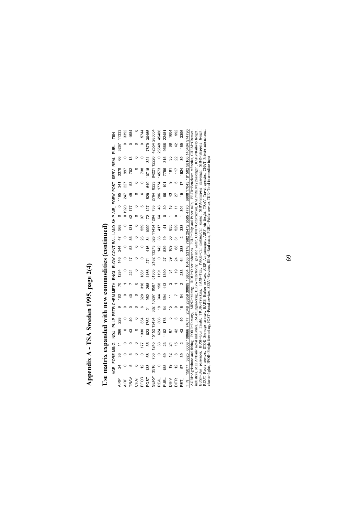## Appendix A - TSA Sweden 1995, page 2(4) **Appendix A - TSA Sweden 1995, page 2(4)**

# Use matrix expanded with new commodities (continued) **Use matrix expanded with new commodities (continued)**

| 三                                  | 1333    | 3392  | 1684          |             | 5744        | 30465           | 285054    | 45486         | 22481          | 1604           | 992     | 3396           |                                                          |                                                                                                                                                     |                                                                                                                                                                                                                                                                                                                                                                                                                                                                                                                                                                                                                            |
|------------------------------------|---------|-------|---------------|-------------|-------------|-----------------|-----------|---------------|----------------|----------------|---------|----------------|----------------------------------------------------------|-----------------------------------------------------------------------------------------------------------------------------------------------------|----------------------------------------------------------------------------------------------------------------------------------------------------------------------------------------------------------------------------------------------------------------------------------------------------------------------------------------------------------------------------------------------------------------------------------------------------------------------------------------------------------------------------------------------------------------------------------------------------------------------------|
| PUBL                               | 3267    |       |               |             |             | 7879            | 42554     | 25548         | 9566           | 68             | $^{42}$ | 169            | 6908 17043 181502 58166 145404 974796                    |                                                                                                                                                     |                                                                                                                                                                                                                                                                                                                                                                                                                                                                                                                                                                                                                            |
| <b>REAL</b>                        | 66      |       |               |             |             | 324             | 12226     |               | 315            | 35             | ನಿ      | 39             |                                                          |                                                                                                                                                     |                                                                                                                                                                                                                                                                                                                                                                                                                                                                                                                                                                                                                            |
| SERV                               | 3378    | 566   | 702           |             |             | 10716           | 84221     | 14573         | 7756           | $\frac{1}{9}$  |         | 1524           |                                                          |                                                                                                                                                     |                                                                                                                                                                                                                                                                                                                                                                                                                                                                                                                                                                                                                            |
| <b>POST</b>                        | 341     | 227   | 53            |             |             | 640             | 8223      | 174           | $\overline{0}$ |                |         |                |                                                          |                                                                                                                                                     |                                                                                                                                                                                                                                                                                                                                                                                                                                                                                                                                                                                                                            |
|                                    | 1165    | 247   |               |             |             | 529             | 2764      | 206           | 88             |                |         | ō              |                                                          |                                                                                                                                                     |                                                                                                                                                                                                                                                                                                                                                                                                                                                                                                                                                                                                                            |
|                                    |         | 01920 | 177           |             |             | $\overline{27}$ | 733       |               |                | ≌              |         |                |                                                          |                                                                                                                                                     |                                                                                                                                                                                                                                                                                                                                                                                                                                                                                                                                                                                                                            |
|                                    | $\circ$ |       | $\frac{2}{3}$ |             |             |                 | 1294      | 64            |                |                |         |                |                                                          |                                                                                                                                                     |                                                                                                                                                                                                                                                                                                                                                                                                                                                                                                                                                                                                                            |
|                                    | 568     |       | $\frac{5}{1}$ |             | 559         | 1099            | 528 11434 | 417           |                | 855            | 529     | 338            |                                                          |                                                                                                                                                     |                                                                                                                                                                                                                                                                                                                                                                                                                                                                                                                                                                                                                            |
|                                    | 47      |       |               |             |             | 84              |           | 38            | ō              |                | ᠷ       |                |                                                          |                                                                                                                                                     |                                                                                                                                                                                                                                                                                                                                                                                                                                                                                                                                                                                                                            |
| ELGW CONT RAIL LAND SHIP AIR_ FORW | 244     |       |               |             |             | 416             | 13273     | 142           | 839            | $\overline{0}$ | 68      | 388            |                                                          |                                                                                                                                                     |                                                                                                                                                                                                                                                                                                                                                                                                                                                                                                                                                                                                                            |
|                                    | 146     |       |               |             |             | 271             | 2182      | $\circ$       |                |                |         | 3              |                                                          |                                                                                                                                                     |                                                                                                                                                                                                                                                                                                                                                                                                                                                                                                                                                                                                                            |
| .<br>조                             | 1284    |       | ន្ទ           |             | 1881        | 4166            | 51303     | 191           | 1390           | న్             | ల్ల     | 283            | 2048 28859 39889 168564 16463 53178 7682 29472 6595 4770 |                                                                                                                                                     |                                                                                                                                                                                                                                                                                                                                                                                                                                                                                                                                                                                                                            |
|                                    | 20      |       |               |             | 316         | 268             | 9587      | 158           |                |                |         |                |                                                          |                                                                                                                                                     |                                                                                                                                                                                                                                                                                                                                                                                                                                                                                                                                                                                                                            |
| PULP PETR CHEM META                | 183     |       |               |             | ଅ           | 952             | 10297     | 344           | 594            |                |         | 모              |                                                          |                                                                                                                                                     |                                                                                                                                                                                                                                                                                                                                                                                                                                                                                                                                                                                                                            |
|                                    | $\circ$ |       |               |             |             |                 | 332       | $\frac{8}{1}$ |                | 15             | თ       | $\overline{6}$ |                                                          |                                                                                                                                                     |                                                                                                                                                                                                                                                                                                                                                                                                                                                                                                                                                                                                                            |
|                                    | 228     |       |               |             | 334         | 1752            | 13434     | 308           | 178            | ю              | ო       | 40             |                                                          |                                                                                                                                                     |                                                                                                                                                                                                                                                                                                                                                                                                                                                                                                                                                                                                                            |
| DONI                               | 266     |       |               |             | 1330        | 823             | 15152     | 624           | 102            | 52             |         | 43             | 3825 6008 108666 74677                                   |                                                                                                                                                     |                                                                                                                                                                                                                                                                                                                                                                                                                                                                                                                                                                                                                            |
|                                    |         |       |               |             |             | 35              | 1245      | 33            |                |                |         |                |                                                          |                                                                                                                                                     |                                                                                                                                                                                                                                                                                                                                                                                                                                                                                                                                                                                                                            |
|                                    | 36      |       |               |             |             | 58              | 756       |               | 69             |                |         | 39             |                                                          |                                                                                                                                                     |                                                                                                                                                                                                                                                                                                                                                                                                                                                                                                                                                                                                                            |
| AGRI FORE MING                     | 24      |       |               |             |             | 133             | 3516      |               | $\frac{88}{2}$ | σ              |         | 57             | 15077                                                    | AGRI=Agriculture and fishing, FORE=Forestry, MING=Mining, INDU=Other industries, PULP=Pulp and Paper mills, PETR=Petroleum refineries, CHEM=Chemica | OUT=Route services, STOR=Stowage services, HARB=Harbor services, AIRP=Air passenger, AIRF=Air freight, TRAV=Travel agencies, CHAT=Private internationa<br>ndustries, META=Basic metal industries, ENGI=Engineering, ELGW=Electricity, gas and water, CONT-Construction, RAIP=Railway passenger, RAIG=Railway freight<br>BUSP=Bus passenger, BUSF=Bus freight, TRUK=Trucking, TAXI=Taxi, PARK=Car parking/Car leasing, SHPA=Shipping passenger, SHFR=Shipping freight<br>charter flights, FFOR=Freight forwarding, POST=Postal services, SERV=Services, REAL=Real estate, PUBL=Public service, TIIN=Total intermediate inpu |
|                                    | AIRP    | AIRF  | TRAV          | <b>CHAT</b> | <b>FFOR</b> | POST            | SERV'     | <b>REAL</b>   | PUBL           | 三点             |         |                | ≧<br>F                                                   |                                                                                                                                                     |                                                                                                                                                                                                                                                                                                                                                                                                                                                                                                                                                                                                                            |

69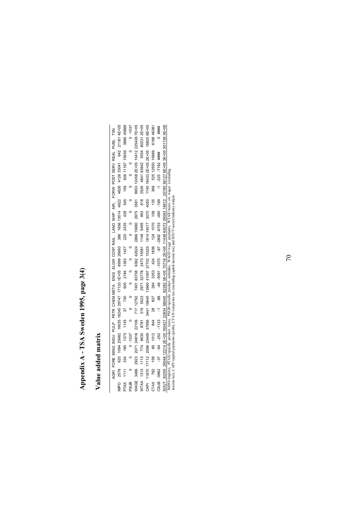## **Appendix A - TSA Sweden 1995, page 3(4)**  Appendix A - TSA Sweden 1995, page 3(4)

### **Value added matrix**  Value added matrix

70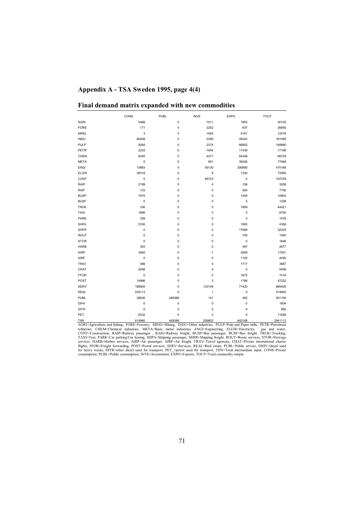### **Appendix A - TSA Sweden 1995, page 4(4)**

|             | CONS      | <b>PUBL</b> | <b>INVE</b>  | <b>EXPO</b> | <b>TOUT</b> |
|-------------|-----------|-------------|--------------|-------------|-------------|
| <b>AGRI</b> | 5488      | 0           | $-1511$      | 1953        | 30130       |
| <b>FORE</b> | 171       | 0           | 2252         | 637         | 26855       |
| <b>MING</b> | 3         | 0           | 1063         | 5161        | 12016       |
| <b>INDU</b> | 60049     | 0           | $-3356$      | 49342       | 181499      |
| <b>PULP</b> | 9264      | 0           | 2374         | 66802       | 148890      |
| PETR'       | 2233      | 0           | $-1604$      | 11439       | 17198       |
| CHEM        | 6240      | 0           | $-4371$      | 64346       | 98729       |
| <b>META</b> | 5         | 0           | 801          | 39426       | 77068       |
| <b>ENGI</b> | 13663     | 0           | 55130        | 295880      | 470168      |
| <b>ELGW</b> | 26318     | 0           | 9            | 1334        | 72065       |
| CONT        | 0         | 0           | 85723        | 0           | 157079      |
| RAIP        | 2199      | 0           | $\pmb{0}$    | 158         | 3208        |
| RAIF        | 123       | 0           | $\pmb{0}$    | 504         | 7700        |
| <b>BUSP</b> | 7475      | 0           | $\mathbf 0$  | 1406        | 10904       |
| <b>BUSF</b> | $\pmb{0}$ | 0           | $\mathbf 0$  | 0           | 1208        |
| <b>TRUK</b> | 336       | 0           | $\pmb{0}$    | 1809        | 44421       |
| TAXI        | 1696      | 0           | 0            | 0           | 6700        |
| PARK        | 359       | 0           | 0            | 0           | 1516        |
| <b>SHPA</b> | 2330      | 0           | 0            | 1993        | 4358        |
| <b>SHFR</b> | 0         | 0           | 0            | 17948       | 22235       |
| ROUT        | $\pmb{0}$ | 0           | 0            | 705         | 1050        |
| <b>STOR</b> | $\pmb{0}$ | 0           | 0            | $\mathbf 0$ | 1646        |
| <b>HARB</b> | 353       | 0           | 0            | 497         | 2677        |
| AIRP        | 3940      | 0           | $-1$         | 2659        | 17931       |
| AIRF        | $\bf 0$   | 0           | 0            | 1100        | 4492        |
| <b>TRAV</b> | 486       | 0           | 0            | 1717        | 3887        |
| CHAT        | 5458      | 0           | $\mathbf 0$  | 0           | 5458        |
| <b>FFOR</b> | $\bf 0$   | 0           | $\pmb{0}$    | 1672        | 7416        |
| POST        | 14986     | 0           | 3            | 1768        | 47222       |
| SERV'       | 185804    | 0           | 123148       | 71420       | 665426      |
| <b>REAL</b> | 229113    | 0           | $\mathbf{1}$ | 0           | 274600      |
| PUBL        | 28636     | 449386      | 141          | 492         | 501136      |
| <b>DIHV</b> | $\pmb{0}$ | 0           | $\mathbf 0$  | 0           | 1604        |
| <b>DITR</b> | 0         | 0           | $\mathbf 0$  | 0           | 992         |
| PET_        | 8232      | 0           | 0            | 0           | 11628       |
| TIIN        | 614960    | 449386      | 259802       | 642168      | 2941112     |

|  |  |  |  |  |  | Final demand matrix expanded with new commodities |
|--|--|--|--|--|--|---------------------------------------------------|
|--|--|--|--|--|--|---------------------------------------------------|

2941112<br>
TIM CHAB0 449802<br>
AGRI=Agriculture and fishing, FORE-Forestry, MING=Ming, INDU=Other industries, PULP=Pub and 186<br>
AGRI=Agriculture and fishing, FORE-Forestry, MING=Ming, INDU=Other industries, EVLP=Pub and Paper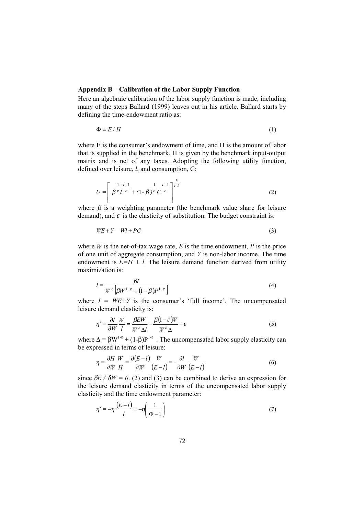### **Appendix B – Calibration of the Labor Supply Function**

Here an algebraic calibration of the labor supply function is made, including many of the steps Ballard (1999) leaves out in his article. Ballard starts by defining the time-endowment ratio as:

$$
\Phi = E / H \tag{1}
$$

where E is the consumer's endowment of time, and H is the amount of labor that is supplied in the benchmark. H is given by the benchmark input-output matrix and is net of any taxes. Adopting the following utility function, defined over leisure, *l*, and consumption, C:

$$
U = \left[ \beta^{\frac{1}{\varepsilon}} \frac{\varepsilon - 1}{\varepsilon} + (1 - \beta)^{\frac{1}{\varepsilon}} C^{\frac{\varepsilon - 1}{\varepsilon}} \right]^{\frac{\varepsilon}{\varepsilon - 1}} \tag{2}
$$

where  $\beta$  is a weighting parameter (the benchmark value share for leisure demand), and  $\varepsilon$  is the elasticity of substitution. The budget constraint is:

$$
WE + Y = WI + PC \tag{3}
$$

where  $W$  is the net-of-tax wage rate,  $E$  is the time endowment,  $P$  is the price of one unit of aggregate consumption, and *Y* is non-labor income. The time endowment is  $E=H + l$ . The leisure demand function derived from utility maximization is:

$$
l = \frac{\beta I}{W^{\varepsilon} \left[ \beta W^{1-\varepsilon} + (1-\beta) P^{1-\varepsilon} \right]}
$$
 (4)

where  $I = W E + Y$  is the consumer's 'full income'. The uncompensated leisure demand elasticity is:

$$
\eta' = \frac{\partial l}{\partial W} \frac{W}{l} = \frac{\beta E W}{W^{\epsilon} \Delta l} - \frac{\beta (1 - \varepsilon) W}{W^{\epsilon} \Delta} - \varepsilon
$$
\n(5)

where  $\Delta = \beta W^{1-\epsilon} + (1-\beta)P^{1-\epsilon}$ . The uncompensated labor supply elasticity can be expressed in terms of leisure:

$$
\eta = \frac{\partial H}{\partial W} \frac{W}{H} = \frac{\partial (E - l)}{\partial W} \frac{W}{(E - l)} = -\frac{\partial l}{\partial W} \frac{W}{(E - l)}
$$
(6)

since  $\delta E / \delta W = 0$ . (2) and (3) can be combined to derive an expression for the leisure demand elasticity in terms of the uncompensated labor supply elasticity and the time endowment parameter:

$$
\eta' = -\eta \frac{(E - l)}{l} = -\eta \left( \frac{1}{\Phi - 1} \right) \tag{7}
$$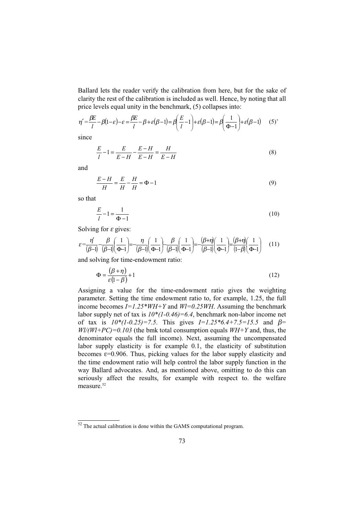Ballard lets the reader verify the calibration from here, but for the sake of clarity the rest of the calibration is included as well. Hence, by noting that all price levels equal unity in the benchmark, (5) collapses into:

$$
\eta' = \frac{\beta E}{l} - \beta(1 - \varepsilon) - \varepsilon = \frac{\beta E}{l} - \beta + \varepsilon(\beta - 1) = \beta \left(\frac{E}{l} - 1\right) + \varepsilon(\beta - 1) = \beta \left(\frac{1}{\Phi - 1}\right) + \varepsilon(\beta - 1) \tag{5'}
$$

since

$$
\frac{E}{l} - 1 = \frac{E}{E - H} - \frac{E - H}{E - H} = \frac{H}{E - H}
$$
(8)

and

$$
\frac{E - H}{H} = \frac{E}{H} - \frac{H}{H} = \Phi - 1\tag{9}
$$

so that

$$
\frac{E}{l} - 1 = \frac{1}{\Phi - 1}
$$
 (10)

Solving for  $\varepsilon$  gives:

$$
\varepsilon = \frac{\eta'}{(\beta - 1)} - \frac{\beta}{(\beta - 1)} \left(\frac{1}{\Phi - 1}\right) = -\frac{\eta}{(\beta - 1)} \left(\frac{1}{\Phi - 1}\right) - \frac{\beta}{(\beta - 1)} \left(\frac{1}{\Phi - 1}\right) = -\frac{(\beta + \eta)}{(\beta - 1)} \left(\frac{1}{\Phi - 1}\right) = \frac{(\beta + \eta)}{(1 - \beta)} \left(\frac{1}{\Phi - 1}\right) \tag{11}
$$

and solving for time-endowment ratio:

$$
\Phi = \frac{(\beta + \eta)}{\varepsilon (1 - \beta)} + 1 \tag{12}
$$

Assigning a value for the time-endowment ratio gives the weighting parameter. Setting the time endowment ratio to, for example, 1.25, the full income becomes *I=1.25\*WH+Y* and *Wl=0.25WH*. Assuming the benchmark labor supply net of tax is *10\*(1-0.46)=6.4*, benchmark non-labor income net of tax is *10\*(1-0.25)=7.5*. This gives *I=1.25\*6.4+7.5=15.5* and β*= Wl/(Wl+PC)=0.103* (the bmk total consumption equals *WH+Y* and, thus, the denominator equals the full income). Next, assuming the uncompensated labor supply elasticity is for example 0.1, the elasticity of substitution becomes  $\varepsilon$ =0.906. Thus, picking values for the labor supply elasticity and the time endowment ratio will help control the labor supply function in the way Ballard advocates. And, as mentioned above, omitting to do this can seriously affect the results, for example with respect to. the welfare measure.<sup>52</sup>

 $52$  The actual calibration is done within the GAMS computational program.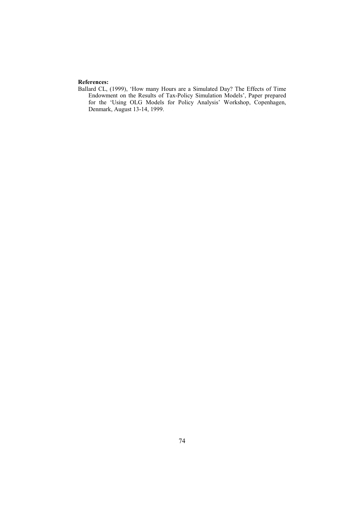### **References:**

Ballard CL, (1999), 'How many Hours are a Simulated Day? The Effects of Time Endowment on the Results of Tax-Policy Simulation Models', Paper prepared for the 'Using OLG Models for Policy Analysis' Workshop, Copenhagen, Denmark, August 13-14, 1999.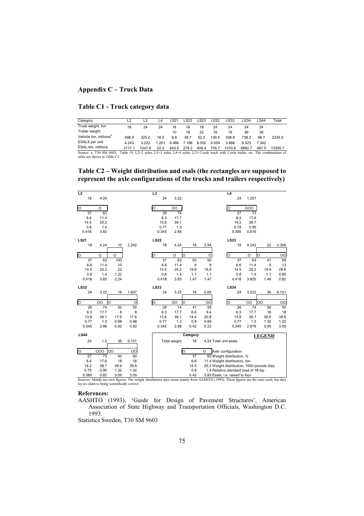### **Appendix C – Truck Data**

### **Table C1 - Truck category data**

| Category                                                                                                                             | L2     | L3     | $-4$    | LS21  | LS22  | LS23  | LS32  | LS33   | LS34   | LS44  | Total   |
|--------------------------------------------------------------------------------------------------------------------------------------|--------|--------|---------|-------|-------|-------|-------|--------|--------|-------|---------|
|                                                                                                                                      |        |        |         |       |       |       |       |        |        |       |         |
| Truck weight, ton                                                                                                                    | 18     | 24     | 24      | 18    | 18    | 18    | 24    | 24     | 24     | 24    |         |
| Trailer weight                                                                                                                       |        |        |         | 10    | 18    | 22    | 16    | 16     | 36     | 36    |         |
| Vehicle km. millions <sup>a</sup>                                                                                                    | 498.9  | 325.2  | 18.5    | 6.8   | 38.7  | 62.5  | 139.5 | 338.8  | 738.2  | 66.7  | 2234.0  |
| ESALS per unit                                                                                                                       | 4.243  | 3.222  | 1 2 0 1 | 6.486 | 7 186 | 6.552 | 5.059 | 3.868  | 9.323  | 7.302 |         |
| ESAL-km. millions                                                                                                                    | 2117.1 | 1047.9 | 22.2    | 443.5 | 278.2 | 409.4 | 705.7 | 1310.6 | 6882.7 | 487.5 | 13305.7 |
| Source: a. T30 SM 9603; Table 19. L2=2 axles, L3=3 axles, L4=4 axles, L21=2-axle truck with 1-axle trailer, etc. The combinations of |        |        |         |       |       |       |       |        |        |       |         |
| axles are shown in Table C2.                                                                                                         |        |        |         |       |       |       |       |        |        |       |         |

**Table C2 – Weight distribution and esals (the rectangles are supposed to represent the axle configurations of the trucks and trailers respectively)** 

| L2<br>18    | 4.24    |         |       | L <sub>3</sub><br>24 | 3.22         |          |      | L <sub>4</sub><br>24                                                                                                                    | 1.201   |               |       |
|-------------|---------|---------|-------|----------------------|--------------|----------|------|-----------------------------------------------------------------------------------------------------------------------------------------|---------|---------------|-------|
| lo          | O       |         |       | lo                   | OO           |          |      | O                                                                                                                                       | 000     |               |       |
| 37          | 63      |         |       | 26                   | 74           |          |      | 27                                                                                                                                      | 73      |               |       |
| 6.6         | 11.4    |         |       | 6.3                  | 17.7         |          |      | 6.4                                                                                                                                     | 17.6    |               |       |
| 14.5        | 25.2    |         |       | 13.8                 | 39.1         |          |      | 14.2                                                                                                                                    | 38.7    |               |       |
| 0.8         | 1.4     |         |       | 0.77                 | 1.3          |          |      | 0.79                                                                                                                                    | 0.95    |               |       |
| 0.418       | 3.83    |         |       | 0.345                | 2.88         |          |      | 0.385                                                                                                                                   | 0.816   |               |       |
| <b>LS21</b> |         |         |       | <b>LS22</b>          |              |          |      | LS23                                                                                                                                    |         |               |       |
| 18          | 4.24    | 10      | 2.242 | 18                   | 4.24         | 18       | 2.94 | 18                                                                                                                                      | 4.243   | 22            | 2.309 |
|             |         |         |       |                      |              |          |      |                                                                                                                                         |         |               |       |
| O           | $\circ$ | $\circ$ |       | O                    | O<br>$\circ$ |          | O    | O                                                                                                                                       | $\circ$ | O             | OO    |
| 37          | 63      | 100     |       | 37                   | 63           | 50       | 50   | 37                                                                                                                                      | 63      | 41            | 59    |
| 6.6         | 11.4    | 10      |       | 6.6                  | 11.4         | 9        | 9    | 6.6                                                                                                                                     | 11.4    | 9             | 13    |
| 14.5        | 25.2    | 22      |       | 14.5                 | 25.2         | 19.8     | 19.8 | 14.5                                                                                                                                    | 25.2    | 19.9          | 28.6  |
| 0.8         | 1.4     | 1.22    |       | 0.8                  | 1.4          | 1.1      | 1.1  | 0.8                                                                                                                                     | 1.4     | 1.1           | 0.95  |
| 0.418       | 3.83    | 2.24    |       | 0.418                | 3.83         | 1.47     | 1.47 | 0.418                                                                                                                                   | 3.825   | 1.48          | 0.82  |
| LS32        |         |         |       | LS33                 |              |          |      | <b>LS34</b>                                                                                                                             |         |               |       |
| 24          | 3.22    | 16      | 1.837 | 24                   | 3.22         | 16       | 0.65 | 24                                                                                                                                      | 3.222   | 36            | 6.101 |
|             |         |         |       |                      |              |          |      |                                                                                                                                         |         |               |       |
| lo          | OO      | $\circ$ | O     | O                    | OO<br>O      |          | OO   | O                                                                                                                                       | OO      | OO            | OO    |
| 26          | 74      | 50      | 50    | 26                   | 74           | 41       | 59   | 26                                                                                                                                      | 74      | 50            | 50    |
| 6.3         | 17.7    | 8       | 8     | 6.3                  | 17.7         | 6.6      | 9.4  | 6.3                                                                                                                                     | 17.7    | 18            | 18    |
| 13.8        | 39.1    | 17.6    | 17.6  | 13.8                 | 39.1         | 14.4     | 20.8 | 13.8                                                                                                                                    | 39.1    | 39.6          | 39.6  |
| 0.77        | 1.3     | 0.98    | 0.98  | 0.77                 | 1.3          | 0.8      | 0.69 | 0.77                                                                                                                                    | 1.3     | 1.32          | 1.32  |
| 0.345       | 2.88    | 0.92    | 0.92  | 0.345                | 2.88         | 0.42     | 0.23 | 0.345                                                                                                                                   | 2.878   | 3.05          | 3.05  |
| <b>LS44</b> |         |         |       |                      |              | Category |      |                                                                                                                                         |         | <b>LEGEND</b> |       |
| 24          | 1.2     | 36      | 6.101 |                      | Total weight | 18       |      | 4.24 Total unit esals                                                                                                                   |         |               |       |
|             |         |         |       |                      |              |          |      |                                                                                                                                         |         |               |       |
| O           | 000     | OO      | OO    |                      | O            |          | O    | Axle configuration                                                                                                                      |         |               |       |
| 27          | 73      | 50      | 50    |                      |              | 37       |      | 63 Weight distribution, %                                                                                                               |         |               |       |
| 6.4         | 17.6    | 18      | 18    |                      |              | 6.6      |      | 11.4 Weight distribution, ton                                                                                                           |         |               |       |
| 14.2        | 38.7    | 39.6    | 39.6  |                      |              | 14.5     |      | 25.2 Weight distribution, 1000 pounds (kip)                                                                                             |         |               |       |
| 0.79        | 0.95    | 1.32    | 1.32  |                      |              | 0.8      |      | 1.4 Relative standard load of 18 kip                                                                                                    |         |               |       |
| 0.385       | 0.82    | 3.05    | 3.05  |                      |              | 0.42     |      | 3.83 Esals, i.e. raised to four                                                                                                         |         |               |       |
|             |         |         |       |                      |              |          |      | Sources: Mainly my own figures. The weight distribution data stems mainly from AASHTO (1993). These figures are the ones used, but they |         |               |       |

Sources: Mainly my own figures. The weight distribution data stems mainly from AASHTO (1993). These figures are the ones used, but they lay no claim to being scientifically correct.

### **References:**

AASHTO (1993), 'Guide for Design of Pavement Structures', American Association of State Highway and Transportation Officials, Washington D.C. 1993.

Statistics Sweden, T30 SM 9603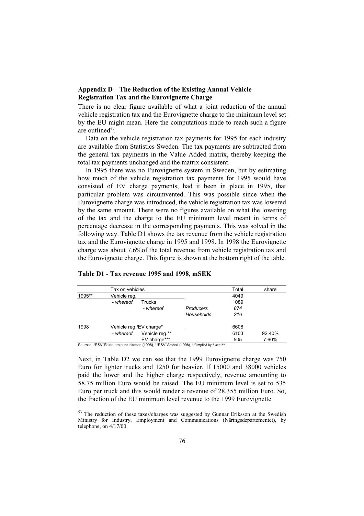### **Appendix D – The Reduction of the Existing Annual Vehicle Registration Tax and the Eurovignette Charge**

There is no clear figure available of what a joint reduction of the annual vehicle registration tax and the Eurovignette charge to the minimum level set by the EU might mean. Here the computations made to reach such a figure are outlined<sup>53</sup>.

Data on the vehicle registration tax payments for 1995 for each industry are available from Statistics Sweden. The tax payments are subtracted from the general tax payments in the Value Added matrix, thereby keeping the total tax payments unchanged and the matrix consistent.

In 1995 there was no Eurovignette system in Sweden, but by estimating how much of the vehicle registration tax payments for 1995 would have consisted of EV charge payments, had it been in place in 1995, that particular problem was circumvented. This was possible since when the Eurovignette charge was introduced, the vehicle registration tax was lowered by the same amount. There were no figures available on what the lowering of the tax and the charge to the EU minimum level meant in terms of percentage decrease in the corresponding payments. This was solved in the following way. Table D1 shows the tax revenue from the vehicle registration tax and the Eurovignette charge in 1995 and 1998. In 1998 the Eurovignette charge was about 7.6%of the total revenue from vehicle registration tax and the Eurovignette charge. This figure is shown at the bottom right of the table.

|        | Tax on vehicles         |                                                                |            | Total | share  |
|--------|-------------------------|----------------------------------------------------------------|------------|-------|--------|
| 1995** | Vehicle reg.            |                                                                |            | 4049  |        |
|        | - whereof               | Trucks                                                         |            | 1089  |        |
|        |                         | - whereof                                                      | Producers  | 874   |        |
|        |                         |                                                                | Households | 216   |        |
| 1998   | Vehicle reg./EV charge* |                                                                |            | 6608  |        |
|        | - whereof               | Vehicle req.**                                                 |            | 6103  | 92.40% |
| $\sim$ | $\cdots$<br>.           | EV charge***<br>$1/1.00001 - 1.0000111$ $1/1.000001 - 1.00001$ |            | 505   | 7.60%  |

### **Table D1 - Tax revenue 1995 and 1998, mSEK**

Sources: \*RSV 'Fakta om punktskatter' (1998), \*\*RSV 'Årsbok'(1998), \*\*\*Implied by \* and \*\*.

Next, in Table D2 we can see that the 1999 Eurovignette charge was 750 Euro for lighter trucks and 1250 for heavier. If 15000 and 38000 vehicles paid the lower and the higher charge respectively, revenue amounting to 58.75 million Euro would be raised. The EU minimum level is set to 535 Euro per truck and this would render a revenue of 28.355 million Euro. So, the fraction of the EU minimum level revenue to the 1999 Eurovignette

<sup>&</sup>lt;sup>53</sup> The reduction of these taxes/charges was suggested by Gunnar Eriksson at the Swedish Ministry for Industry, Employment and Communications (Näringsdepartementet), by telephone, on 4/17/00.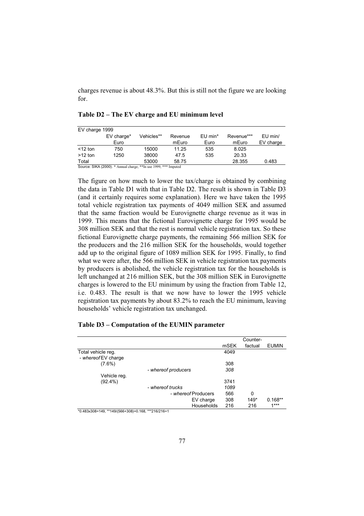charges revenue is about 48.3%. But this is still not the figure we are looking for.

| EV charge 1999 |                    |            |                  |                               |                     |                        |
|----------------|--------------------|------------|------------------|-------------------------------|---------------------|------------------------|
|                | EV charge*<br>Euro | Vehicles** | Revenue<br>mEuro | $EU$ min <sup>*</sup><br>Euro | Revenue***<br>mEuro | $EU$ min/<br>EV charge |
| $<$ 12 ton     | 750                | 15000      | 11.25            | 535                           | 8.025               |                        |
| $>12$ ton      | 1250               | 38000      | 47.5             | 535                           | 20.33               |                        |
| Total          |                    | 53000      | 58.75            |                               | 28.355              | 0.483                  |

**Table D2 – The EV charge and EU minimum level** 

Source: SIKA (2000). \* Annual charge, \*\*In use 1999, \*\*\* Imputed

The figure on how much to lower the tax/charge is obtained by combining the data in Table D1 with that in Table D2. The result is shown in Table D3 (and it certainly requires some explanation). Here we have taken the 1995 total vehicle registration tax payments of 4049 million SEK and assumed that the same fraction would be Eurovignette charge revenue as it was in 1999. This means that the fictional Eurovignette charge for 1995 would be 308 million SEK and that the rest is normal vehicle registration tax. So these fictional Eurovignette charge payments, the remaining 566 million SEK for the producers and the 216 million SEK for the households, would together add up to the original figure of 1089 million SEK for 1995. Finally, to find what we were after, the 566 million SEK in vehicle registration tax payments by producers is abolished, the vehicle registration tax for the households is left unchanged at 216 million SEK, but the 308 million SEK in Eurovignette charges is lowered to the EU minimum by using the fraction from Table 12, i.e. 0.483. The result is that we now have to lower the 1995 vehicle registration tax payments by about 83.2% to reach the EU minimum, leaving households' vehicle registration tax unchanged.

### **Table D3 – Computation of the EUMIN parameter**

|                                                  |                     |      | Counter-     |              |
|--------------------------------------------------|---------------------|------|--------------|--------------|
|                                                  |                     | mSEK | factual      | <b>EUMIN</b> |
| Total vehicle reg.                               |                     | 4049 |              |              |
| - whereof EV charge                              |                     |      |              |              |
| $(7.6\%)$                                        |                     | 308  |              |              |
|                                                  | - whereof producers | 308  |              |              |
| Vehicle reg.                                     |                     |      |              |              |
| $(92.4\%)$                                       |                     | 3741 |              |              |
|                                                  | - whereof trucks    | 1089 |              |              |
|                                                  | - whereof Producers | 566  | $\mathbf{0}$ |              |
|                                                  | EV charge           | 308  | $149*$       | $0.168**$    |
| *0.483x308=149 **149/566+308)=0.168 ***216/216=1 | Households          | 216  | 216          | $1***$       |

\*0.483x308=149, \*\*149/(566+308)=0.168, \*\*\*216/216=1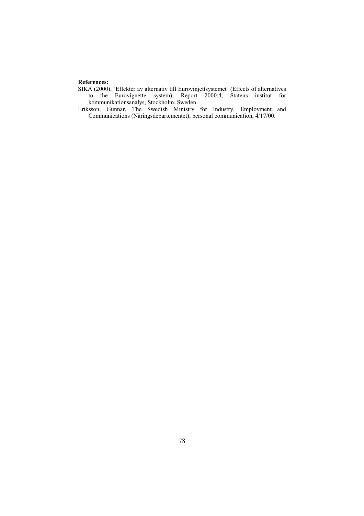### **References:**

SIKA (2000), 'Effekter av alternativ till Eurovinjettsystemet' (Effects of alternatives to the Eurovignette system), Report 2000:4, Statens institut for kommunikationsanalys, Stockholm, Sweden.

Eriksson, Gunnar, The Swedish Ministry for Industry, Employment and Communications (Näringsdepartementet), personal communication, 4/17/00.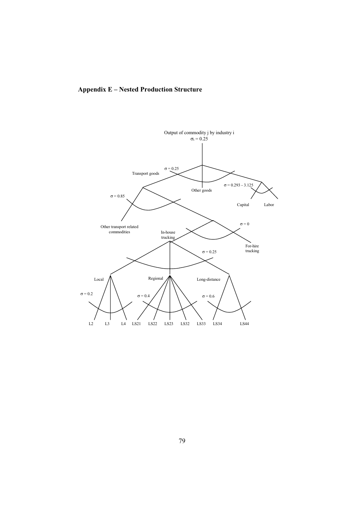### **Appendix E – Nested Production Structure**

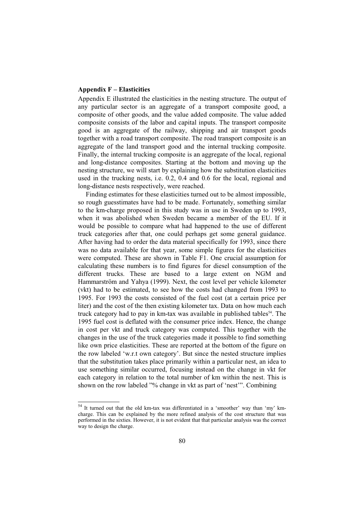### **Appendix F – Elasticities**

Appendix E illustrated the elasticities in the nesting structure. The output of any particular sector is an aggregate of a transport composite good, a composite of other goods, and the value added composite. The value added composite consists of the labor and capital inputs. The transport composite good is an aggregate of the railway, shipping and air transport goods together with a road transport composite. The road transport composite is an aggregate of the land transport good and the internal trucking composite. Finally, the internal trucking composite is an aggregate of the local, regional and long-distance composites. Starting at the bottom and moving up the nesting structure, we will start by explaining how the substitution elasticities used in the trucking nests, i.e. 0.2, 0.4 and 0.6 for the local, regional and long-distance nests respectively, were reached.

Finding estimates for these elasticities turned out to be almost impossible, so rough guesstimates have had to be made. Fortunately, something similar to the km-charge proposed in this study was in use in Sweden up to 1993, when it was abolished when Sweden became a member of the EU. If it would be possible to compare what had happened to the use of different truck categories after that, one could perhaps get some general guidance. After having had to order the data material specifically for 1993, since there was no data available for that year, some simple figures for the elasticities were computed. These are shown in Table F1. One crucial assumption for calculating these numbers is to find figures for diesel consumption of the different trucks. These are based to a large extent on NGM and Hammarström and Yahya (1999). Next, the cost level per vehicle kilometer (vkt) had to be estimated, to see how the costs had changed from 1993 to 1995. For 1993 the costs consisted of the fuel cost (at a certain price per liter) and the cost of the then existing kilometer tax. Data on how much each truck category had to pay in  $km$ -tax was available in published tables<sup>54</sup>. The 1995 fuel cost is deflated with the consumer price index. Hence, the change in cost per vkt and truck category was computed. This together with the changes in the use of the truck categories made it possible to find something like own price elasticities. These are reported at the bottom of the figure on the row labeled 'w.r.t own category'. But since the nested structure implies that the substitution takes place primarily within a particular nest, an idea to use something similar occurred, focusing instead on the change in vkt for each category in relation to the total number of km within the nest. This is shown on the row labeled "% change in vkt as part of 'nest'". Combining

<sup>54</sup> It turned out that the old km-tax was differentiated in a 'smoother' way than 'my' kmcharge. This can be explained by the more refined analysis of the cost structure that was performed in the sixties. However, it is not evident that that particular analysis was the correct way to design the charge.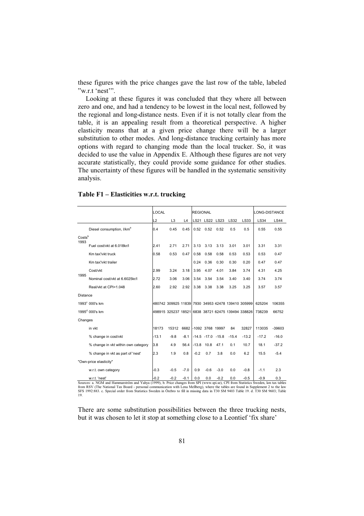these figures with the price changes gave the last row of the table, labeled "w.r.t 'nest'".

Looking at these figures it was concluded that they where all between zero and one, and had a tendency to be lowest in the local nest, followed by the regional and long-distance nests. Even if it is not totally clear from the table, it is an appealing result from a theoretical perspective. A higher elasticity means that at a given price change there will be a larger substitution to other modes. And long-distance trucking certainly has more options with regard to changing mode than the local trucker. So, it was decided to use the value in Appendix E. Although these figures are not very accurate statistically, they could provide some guidance for other studies. The uncertainty of these figures will be handled in the systematic sensitivity analysis.

|                 |                                       | <b>LOCAL</b>   |                                                    |        | <b>REGIONAL</b> |                       |        |             |             | LONG-DISTANCE |             |
|-----------------|---------------------------------------|----------------|----------------------------------------------------|--------|-----------------|-----------------------|--------|-------------|-------------|---------------|-------------|
|                 |                                       | L <sub>2</sub> | L <sub>3</sub>                                     | L4     |                 | LS21 LS22             | LS23   | <b>LS32</b> | <b>LS33</b> | <b>LS34</b>   | <b>LS44</b> |
|                 | Diesel consumption, I/km <sup>a</sup> | 0.4            | 0.45                                               | 0.45   | 0.52            | 0.52                  | 0.52   | 0.5         | 0.5         | 0.55          | 0.55        |
| Costsb          |                                       |                |                                                    |        |                 |                       |        |             |             |               |             |
| 1993            | Fuel cost/vkt at 6.018kr/l            | 2.41           | 2.71                                               | 2.71   | 3.13            | 3.13                  | 3.13   | 3.01        | 3.01        | 3.31          | 3.31        |
|                 | Km tax'/vkt truck                     | 0.58           | 0.53                                               | 0.47   | 0.58            | 0.58                  | 0.58   | 0.53        | 0.53        | 0.53          | 0.47        |
|                 | Km tax'/vkt trailer                   |                |                                                    |        | 0.24            | 0.36                  | 0.30   | 0.30        | 0.20        | 0.47          | 0.47        |
|                 | Cost/vkt                              | 2.99           | 3.24                                               | 3.18   | 3.95            | 4.07                  | 4.01   | 3.84        | 3.74        | 4.31          | 4.25        |
| 1995            | Nominal cost/vkt at 6.6025kr/l        | 2.72           | 3.06                                               | 3.06   | 3.54            | 3.54                  | 3.54   | 3.40        | 3.40        | 3.74          | 3.74        |
|                 | Real/vkt at CPI=1.048                 | 2.60           | 2.92                                               | 2.92   | 3.38            | 3.38                  | 3.38   | 3.25        | 3.25        | 3.57          | 3.57        |
| <b>Distance</b> |                                       |                |                                                    |        |                 |                       |        |             |             |               |             |
|                 | 1993° 000's km                        |                | 480742 309925 11839 7930 34953 42478 139410 305999 |        |                 |                       |        |             |             | 625204        | 106355      |
|                 | $1995^{\text{d}}$ 000's km            |                | 498915 325237 18521 6838 38721 62475 139494 338826 |        |                 |                       |        |             |             | 738239        | 66752       |
| Changes         |                                       |                |                                                    |        |                 |                       |        |             |             |               |             |
|                 | in vkt                                | 18173          | 15312                                              |        |                 | 6682 -1092 3768 19997 |        | 84          | 32827       | 113035        | $-39603$    |
|                 | % change in cost/vkt                  | $-13.1$        | $-9.8$                                             | $-8.1$ |                 | $-14.5 -17.0 -15.8$   |        | $-15.4$     | $-13.2$     | $-17.2$       | $-16.0$     |
|                 | % change in vkt within own category   | 3.8            | 4.9                                                | 56.4   | $-13.8$         | 10.8                  | 47.1   | 0.1         | 10.7        | 18.1          | $-37.2$     |
|                 | % change in vkt as part of 'nest'     | 2.3            | 1.9                                                | 0.8    | $-0.2$          | 0.7                   | 3.8    | 0.0         | 6.2         | 15.5          | $-5.4$      |
|                 | "Own-price elasticity"                |                |                                                    |        |                 |                       |        |             |             |               |             |
|                 | w.r.t. own category                   | $-0.3$         | $-0.5$                                             | $-7.0$ | 0.9             | $-0.6$                | $-3.0$ | 0.0         | $-0.8$      | $-1.1$        | 2.3         |
|                 | w.r.t. 'nest'                         | $-0.2$         | $-0.2$                                             | $-0.1$ | 0.0             | 0.0                   | $-0.2$ | 0.0         | $-0.5$      | $-0.9$        | 0.3         |

### **Table F1 – Elasticities w.r.t. trucking**

w.r.t. 'nest' -0.2 -0.2 -0.1 0.0 0.0 -0.2 0.0 -0.5 -0.9 0.3 Sources: a. NGM and Hammarström and Yahya (1999), b. Price changes from SPI (www.spi.se), CPI from Statistics Sweden, km tax tables from RSV (The National Tax Board - personal communication with Lena Mellberg), where the tables are found in Supplement 2 to the law SFS 1992:883. c. Special order from Statistics Sweden in Örebro to fill in missing data in T30 SM 9403 Table 19. d. T30 SM 9603; Table 19.

There are some substitution possibilities between the three trucking nests, but it was chosen to let it stop at something close to a Leontief 'fix share'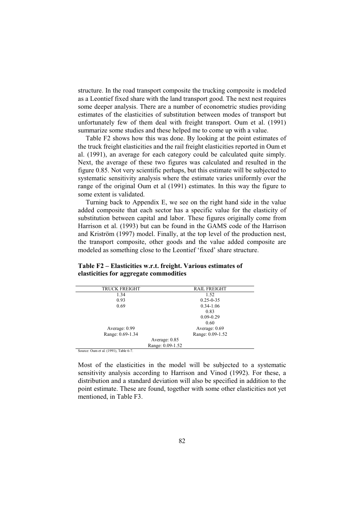structure. In the road transport composite the trucking composite is modeled as a Leontief fixed share with the land transport good. The next nest requires some deeper analysis. There are a number of econometric studies providing estimates of the elasticities of substitution between modes of transport but unfortunately few of them deal with freight transport. Oum et al. (1991) summarize some studies and these helped me to come up with a value.

Table F2 shows how this was done. By looking at the point estimates of the truck freight elasticities and the rail freight elasticities reported in Oum et al. (1991), an average for each category could be calculated quite simply. Next, the average of these two figures was calculated and resulted in the figure 0.85. Not very scientific perhaps, but this estimate will be subjected to systematic sensitivity analysis where the estimate varies uniformly over the range of the original Oum et al (1991) estimates. In this way the figure to some extent is validated.

Turning back to Appendix E, we see on the right hand side in the value added composite that each sector has a specific value for the elasticity of substitution between capital and labor. These figures originally come from Harrison et al. (1993) but can be found in the GAMS code of the Harrison and Kriström (1997) model. Finally, at the top level of the production nest, the transport composite, other goods and the value added composite are modeled as something close to the Leontief 'fixed' share structure.

| <b>RAIL FREIGHT</b> |
|---------------------|
|                     |
| $0.25 - 0.35$       |
| $0.34 - 1.06$       |
|                     |
| $0.09 - 0.29$       |
|                     |
| Average: 0.69       |
| Range: 0.09-1.52    |
|                     |
|                     |
|                     |

### **Table F2 – Elasticities w.r.t. freight. Various estimates of elasticities for aggregate commodities**

Source: Oum et al. (1991), Table 6-7.

Most of the elasticities in the model will be subjected to a systematic sensitivity analysis according to Harrison and Vinod (1992). For these, a distribution and a standard deviation will also be specified in addition to the point estimate. These are found, together with some other elasticities not yet mentioned, in Table F3.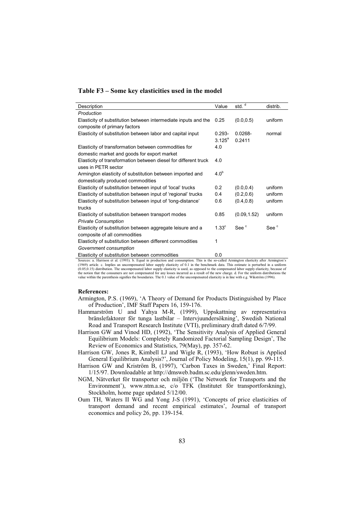### **Table F3 – Some key elasticities used in the model**

| Description                                                                                                                                                                                                | Value            | std. <sup>d</sup> | distrib.         |
|------------------------------------------------------------------------------------------------------------------------------------------------------------------------------------------------------------|------------------|-------------------|------------------|
| Production                                                                                                                                                                                                 |                  |                   |                  |
| Elasticity of substitution between intermediate inputs and the                                                                                                                                             | 0.25             | (0.0, 0.5)        | uniform          |
| composite of primary factors                                                                                                                                                                               |                  |                   |                  |
| Elasticity of substitution between labor and capital input                                                                                                                                                 | $0.293 -$        | $0.0268 -$        | normal           |
|                                                                                                                                                                                                            | $3.125^{\circ}$  | 0.2411            |                  |
| Elasticity of transformation between commodities for                                                                                                                                                       | 4.0              |                   |                  |
| domestic market and goods for export market                                                                                                                                                                |                  |                   |                  |
| Elasticity of transformation between diesel for different truck                                                                                                                                            | 4.0              |                   |                  |
| uses in PETR sector                                                                                                                                                                                        |                  |                   |                  |
| Armington elasticity of substitution between imported and                                                                                                                                                  | 4.0 <sup>b</sup> |                   |                  |
| domestically produced commodities                                                                                                                                                                          |                  |                   |                  |
| Elasticity of substitution between input of 'local' trucks                                                                                                                                                 | 0.2              | (0.0, 0.4)        | uniform          |
| Elasticity of substitution between input of 'regional' trucks                                                                                                                                              | 0.4              | (0.2, 0.6)        | uniform          |
| Elasticity of substitution between input of 'long-distance'                                                                                                                                                | 0.6              | (0.4, 0.8)        | uniform          |
| trucks                                                                                                                                                                                                     |                  |                   |                  |
| Elasticity of substitution between transport modes                                                                                                                                                         | 0.85             | (0.09, 1.52)      | uniform          |
| <b>Private Consumption</b>                                                                                                                                                                                 |                  |                   |                  |
| Elasticity of substitution between aggregate leisure and a                                                                                                                                                 | $1.33^\circ$     | See <sup>c</sup>  | See <sup>c</sup> |
| composite of all commodities                                                                                                                                                                               |                  |                   |                  |
| Elasticity of substitution between different commodities                                                                                                                                                   | 1                |                   |                  |
| Government consumption                                                                                                                                                                                     |                  |                   |                  |
| Elasticity of substitution between commodities<br>Correspondent Dominant of al. (1002). In David in medication and communities. This is the secondary additional planticity often American algorithment of | 0.0              |                   |                  |

Sources: a. Harrison et al. (1993). b. Equal in production and consumption. This is the so-called Armington elasticity after Armington's<br>(1969) article. c. Implies an uncompensated labor supply elasticity of 0.1 in the ben (0.05,0.15) distribution. The uncompensated labor supply elasticity is used, as opposed to the compensated labor supply elasticity, because of<br>the notion that the consumers are not compensated for any losses incurred as a value within the parenthesis signifies the boundaries. The 0.1 value of the uncompensated elasticity is in line with e.g. Wikström (1996).

### **References:**

- Armington, P.S. (1969), 'A Theory of Demand for Products Distinguished by Place of Production', IMF Staff Papers 16, 159-176.
- Hammarström U and Yahya M-R, (1999), Uppskattning av representativa bränslefaktorer för tunga lastbilar – Intervjuundersökning', Swedish National Road and Transport Research Institute (VTI), preliminary draft dated 6/7/99.
- Harrison GW and Vinod HD, (1992), 'The Sensitivity Analysis of Applied General Equilibrium Models: Completely Randomized Factorial Sampling Design', The Review of Economics and Statistics, 79(May), pp. 357-62.
- Harrison GW, Jones R, Kimbell LJ and Wigle R, (1993), 'How Robust is Applied General Equilibrium Analysis?', Journal of Policy Modeling, 15(1), pp. 99-115.
- Harrison GW and Kriström B, (1997), 'Carbon Taxes in Sweden,' Final Report: 1/15/97. Downloadable at http://dmsweb.badm.sc.edu/glenn/sweden.htm.
- NGM, Nätverket för transporter och miljön ('The Network for Transports and the Environment'), www.ntm.a.se, c/o TFK (Institutet för transportforskning), Stockholm, home page updated 5/12/00.
- Oum TH, Waters II WG and Yong J-S (1991), 'Concepts of price elasticities of transport demand and recent empirical estimates', Journal of transport economics and policy 26, pp. 139-154.